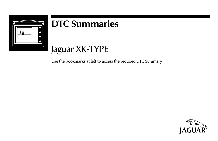

# **DTC Summaries**

# Jaguar XK-TYPE

Use the bookmarks at left to access the required DTC Summary.

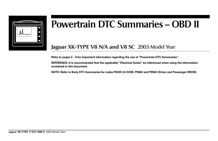

# **Powertrain DTC Summaries – OBD II**

# **Jaguar XK-TYPE V8 N/A and V8 SC** 2003 Model Year

**Refer to pages 2 – 9 for important information regarding the use of "Powertrain DTC Summaries".**

**REFERENCE: It is recommended that the applicable "Electrical Guide" be referenced when using the information contained in this document.**

**NOTE: Refer to Body DTC Summaries for codes P0335 (A/CCM), P0562 and P0563 (Driver and Passenger HRCM).**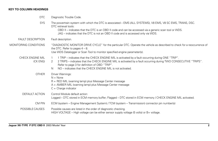# **KEY TO COLUMN HEADINGS**

| <b>DTC</b>                   | Diagnostic Trouble Code.                                                                                                                                                                                                                                                                                                                                      |
|------------------------------|---------------------------------------------------------------------------------------------------------------------------------------------------------------------------------------------------------------------------------------------------------------------------------------------------------------------------------------------------------------|
| <b>SYS</b>                   | The powertrain system with which the DTC is associated – EMS (ALL SYSTEMS), V8 EMS, V8 SC EMS, TRANS, DSC.<br>DTC retrieval tools:<br>OBD II – indicates that the DTC is an OBD II code and can be accessed via a generic scan tool or WDS.<br>JAG – indicates that the DTC is not an OBD II code and is accessed only via WDS.                               |
| <b>FAULT DESCRIPTION</b>     | Fault description.                                                                                                                                                                                                                                                                                                                                            |
| MONITORING CONDITIONS        | "DIAGNOSTIC MONITOR DRIVE CYCLE" for the particular DTC. Operate the vehicle as described to check for a reoccurrence of<br>the DTC. Refer to pages $4 - 8$ .<br>Use WDS Datalogger or Scan Tool to monitor specified engine parameter(s).                                                                                                                    |
| CHECK ENGINE MIL<br>(CK ENG) | 1 TRIP – indicates that the CHECK ENGINE MIL is activated by a fault occurring during ONE "TRIP".<br>$\mathbf{1}$<br>2 TRIPS – indicates that the CHECK ENGINE MIL is activated by a fault occurring during TWO CONSECUTIVE "TRIPS".<br>2<br>Refer to page 3 for definition of OBD "TRIP".<br>NO – indicates that the CHECK ENGINE MIL is not activated.<br>N |
| <b>OTHER</b>                 | Driver Warnings:<br>$N = None$<br>$R = RED$ MIL (warning lamp) plus Message Center message<br>$A = AMBER \text{ MIL}$ (warning lamp) plus Message Center message<br>$C =$ Charge indicator                                                                                                                                                                    |
| DEFAULT ACTION               | Control Module default action:<br>Logged – DTC stored in ECM memory buffer; Flagged – DTC stored in ECM memory / CHECK ENGINE MIL activated.                                                                                                                                                                                                                  |
| CM PIN                       | ECM (system – Engine Management System) / TCM (system – Transmission) connector pin number(s)                                                                                                                                                                                                                                                                 |
| POSSIBLE CAUSES              | Possible causes are listed in the order of diagnostic checking.<br>HIGH VOLTAGE - High voltage can be either sensor supply voltage (5 volts) or B+ voltage.                                                                                                                                                                                                   |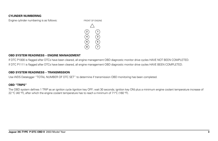#### **CYLINDER NUMBERING**

Engine cylinder numbering is as follows: FRONT OF ENGINE



#### **OBD SYSTEM READINESS – ENGINE MANAGEMENT**

If DTC P1000 is flagged after DTCs have been cleared, all engine management OBD diagnostic monitor drive cycles HAVE NOT BEEN COMPLETED. If DTC P1111 is flagged after DTCs have been cleared, all engine management OBD diagnostic monitor drive cycles HAVE BEEN COMPLETED.

#### **OBD SYSTEM READINESS – TRANSMISSION**

Use WDS Datalogger "TOTAL NUMBER OF DTC SET" to determine if transmission OBD monitoring has been completed.

#### **OBD "TRIPS"**

The OBD system defines 1 TRIP as an ignition cycle (ignition key OFF; wait 30 seconds; ignition key ON) plus a minimum engine coolant temperature increase of 22 °C (40 °F), after which the engine coolant temperature has to reach a minimum of 71 °C (160 °F).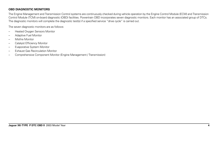# **OBD DIAGNOSTIC MONITORS**

The Engine Management and Transmission Control systems are continuously checked during vehicle operation by the Engine Control Module (ECM) and Transmission Control Module (TCM) on-board diagnostic (OBD) facilities. Powertrain OBD incorporates seven diagnostic monitors. Each monitor has an associated group of DTCs. The diagnostic monitors will complete the diagnostic test(s) if a specified service "drive cycle" is carried out.

The seven diagnostic monitors are as follows:

- Heated Oxygen Sensors Monitor
- Adaptive Fuel Monitor
- Misfire Monitor
- Catalyst Efficiency Monitor
- Evaporative System Monitor
- Exhaust Gas Recirculation Monitor
- Comprehensive Component Monitor (Engine Management / Transmission)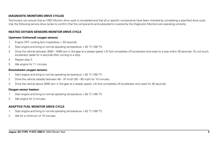#### **DIAGNOSTIC MONITORS DRIVE CYCLES**

Technicians can ensure that an OBD Monitor drive cycle is completed and that all or specific components have been checked by completing a specified drive cycle. Use the following service drive cycles to confirm that the components and subsystems covered by the Diagnostic Monitors are operating correctly.

#### **HEATED OXYGEN SENSORS MONITOR DRIVE CYCLE**

#### **Upstream (Universal) oxygen sensors:**

- 1 Engine OFF; cooling fans inoperative > 20 seconds.
- 2 Start engine and bring to normal operating temperature > 82 °C (180 °F).
- 3 Drive the vehicle between 3000 4000 rpm in 3rd gear at a steady speed. Lift foot completely off accelerator and coast to a stop within 30 seconds. Do not touch accelerator pedal for 4 seconds after coming to a stop.
- 4 Repeat step 3.
- 5 Idle engine for 11 minutes.

#### **Downstream oxygen sensors:**

- 1 Start engine and bring to normal operating temperature > 82 °C (180 °F).
- 2 Drive the vehicle steadily between  $48 97$  km/h  $(30 60$  mph) for 10 minutes.
- 3 Drive the vehicle above 3000 rpm in 3rd gear at a steady speed. Lift foot completely off accelerator and coast for 30 seconds.

#### **Oxygen sensor heaters:**

- Start engine and bring to normal operating temperature  $> 82$  °C (180 °F).
- 2 Idle engine for 3 minutes.

### **ADAPTIVE FUEL MONITOR DRIVE CYCLE**

- 1 Start engine and bring to normal operating temperature > 82 °C (180 °F).
- 2 Idle for a minimum of 10 minutes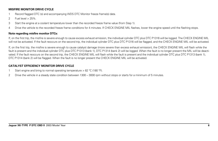## **MISFIRE MONITOR DRIVE CYCLE**

- 1 Record flagged DTC (s) and accompanying WDS DTC Monitor freeze frame(s) data.
- 2 Fuel level > 25%.
- 3 Start the engine at a coolant temperature lower than the recorded freeze frame value (from Step 1).
- 4 Drive the vehicle to the recorded freeze frame conditions for 4 minutes. If CHECK ENGINE MIL flashes, lower the engine speed until the flashing stops.

# **Note regarding misfire monitor DTCs:**

If, on the first trip, the misfire is severe enough to cause excess exhaust emission, the individual cylinder DTC plus DTC P1316 will be logged. The CHECK ENGINE MIL will not be activated. If the fault reoccurs on the second trip, the individual cylinder DTC plus DTC P1316 will be flagged, and the CHECK ENGINE MIL will be activated.

If, on the first trip, the misfire is severe enough to cause catalyst damage (more severe than excess exhaust emission), the CHECK ENGINE MIL will flash while the fault is present and the individual cylinder DTC plus DTC P1313 (bank 1), DTC P1314 (bank 2) will be logged. When the fault is no longer present the MIL will be deactivated. If the fault reoccurs on the second trip, the CHECK ENGINE MIL will flash while the fault is present and the individual cylinder DTC plus DTC P1313 (bank 1), DTC P1314 (bank 2) will be flagged. When the fault is no longer present the CHECK ENGINE MIL will be activated.

# **CATALYST EFFICIENCY MONITOR DRIVE CYCLE**

- 1 Start engine and bring to normal operating temperature > 82 °C (180 °F).
- 2 Drive the vehicle in a steady state condition between 1300 3000 rpm without stops or starts for a minimum of 5 minutes.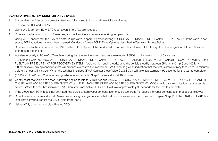### **EVAPORATIVE SYSTEM MONITOR DRIVE CYCLE**

- 1 Ensure that fuel filler cap is correctly fitted and fully closed (minimum three clicks, clockwise).
- 2 Fuel level > 30% and < 85%.
- 3 Using WDS, perform ECM DTC Clear (even if no DTCs are flagged).
- 4 Drive vehicle for a minimum of 2 minutes, and until engine is at normal operating temperature.
- 5 Using WDS, ensure that the EVAP Canister Purge Valve is operating by observing "PURGE VAPOR MANAGEMENT VALVE DUTY CYCLE". If the valve is not active, ECM adaptions have not been learned. Conduct a "green ECM" Drive Cycle as described in Technical Service Bulletin.
- 6 Drive vehicle to the road where the EVAP System Drive Cycle will be conducted. Stop vehicle and switch OFF the ignition. Leave ignition OFF for 30 seconds, then restart the engine.
- 7 Accelerate briskly to 80 km/h (50 mph) ensuring that the engine speed reaches a minimum of 3500 rpm for a minimum of 5 seconds.
- 8 (0.040 inch EVAP Test) View WDS "PURGE VAPOR MANAGEMENT VALVE DUTY CYCLE", "CANISTER CLOSE VALVE VAPOR RECOVERY SYSTEM", and FUEL TANK PRESSURE – VAPOR RECOVERY SYSTEM". Avoiding high engine loads, drive the vehicle steadily between 65 km/h (40 mph) and 100 km/h (60 mph). Avoid driving conditions that will produce excessive fuel movement. WDS should give an indication that the test is active (it may take up to 30 minutes before the test will initialize). When the test has initialized (EVAP Canister Close Valve CLOSED), it will take approximately 90 seconds for the test to complete.
- 9 (0.020 inch EVAP Test) Continue driving vehicle as explained in Step 8 for an additional 10 minutes.
- 10 Gently coast the vehicle to a stop. Allow the engine to idle for 2 minutes and view WDS "PURGE VAPOR MANAGEMENT VALVE DUTY CYCLE", "CANISTER CLOSE VALVE – VAPOR RECOVERY SYSTEM", and FUEL TANK PRESSURE – VAPOR RECOVERY SYSTEM". WDS should give an indication that the test is active. When the test has initialized (EVAP Canister Close Valve CLOSED), it will take approximately 90 seconds for the test to complete.
- 11 If the 0.020 inch EVAP Test is not activated, the purge system vapor concentration may be too great. To reduce the vapor concentration proceed as follows:
- 12 Drive the vehicle for an additional 30 minutes avoiding driving conditions that will produce excessive fuel movement. Repeat Step 10. If the 0.020 inch EVAP Test is still not activated, repeat the Drive Cycle from Step 6.
- 13 Using WDS, check for and clear flagged DTCs.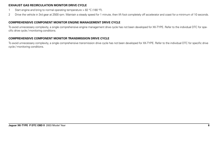### **EXHAUST GAS RECIRCULATION MONITOR DRIVE CYCLE**

- 1 Start engine and bring to normal operating temperature > 82 °C (180 °F).
- 2 Drive the vehicle in 3rd gear at 2500 rpm. Maintain a steady speed for 1 minute, then lift foot completely off accelerator and coast for a minimum of 10 seconds.

# **COMPREHENSIVE COMPONENT MONITOR ENGINE MANAGEMENT DRIVE CYCLE**

To avoid unnecessary complexity, a single comprehensive engine management drive cycle has not been developed for XK-TYPE. Refer to the individual DTC for specific drive cycle / monitoring conditions.

# **COMPREHENSIVE COMPONENT MONITOR TRANSMISSION DRIVE CYCLE**

To avoid unnecessary complexity, a single comprehensive transmission drive cycle has not been developed for XK-TYPE. Refer to the individual DTC for specific drive cycle / monitoring conditions.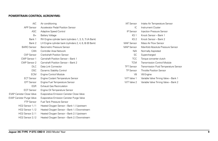#### **POWERTRAIN CONTROL ACRONYMS:**

| A/C                              | Air conditioning                                        | <b>IAT Ser</b> |
|----------------------------------|---------------------------------------------------------|----------------|
| <b>APP Sensor</b>                | Accelerator Pedal Position Sensor                       |                |
| ASC.                             | Adaptive Speed Control                                  | IP Ser         |
| $B+$                             | <b>Battery Voltage</b>                                  | Κ              |
| Bank 1                           | RH Engine cylinder bank (cylinders 1, 3, 5, 7) (A Bank) | K              |
| Bank 2                           | LH Engine cylinder bank (cylinders 2, 4, 6, 8) (B Bank) | MAF Ser        |
| <b>BARO</b> Sensor               | Barometric Pressure Sensor                              | <b>MAP</b> Ser |
| CAN                              | Controller Area Network                                 |                |
| <b>CKP</b> Sensor                | <b>Crankshaft Position Sensor</b>                       |                |
| CMP Sensor 1                     | Camshaft Position Sensor - Bank 1                       | Ī              |
| CMP Sensor 2                     | Camshaft Position Sensor - Bank 2                       | т              |
| DLC.                             | Data Link Connector                                     | <b>TFT Ser</b> |
| DSC.                             | Dynamic Stability Control                               | TP Ser         |
| <b>ECM</b>                       | <b>Engine Control Module</b>                            |                |
| <b>ECT Sensor</b>                | Engine Coolant Temperature Sensor                       | <b>WT Valv</b> |
| <b>EFT Sensor</b>                | Engine Fuel Temperature Sensor                          | <b>WT Valv</b> |
| <b>EGR</b>                       | <b>Exhaust Gas Recirculation</b>                        |                |
| <b>EOT Sensor</b>                | Engine Oil Temperature Sensor                           |                |
| <b>EVAP Canister Close Valve</b> | Evaporative Emission Canister Close Valve               |                |
| <b>EVAP Canister Purge Valve</b> | Evaporative Emission Canister Purge Valve               |                |
| <b>FTP Sensor</b>                | <b>Fuel Tank Pressure Sensor</b>                        |                |
| HO2 Sensor 1/1                   | Heated Oxygen Sensor - Bank 1 / Upstream                |                |
| HO <sub>2</sub> Sensor 1/2       | Heated Oxygen Sensor - Bank 1 / Downstream              |                |
| HO2 Sensor 2/1                   | Heated Oxygen Sensor - Bank 2 / Upstream                |                |
| HO2 Sensor 2/2                   | Heated Oxygen Sensor - Bank 2 / Downstream              |                |

| <b>IAT Sensor</b> | Intake Air Temperature Sensor         |
|-------------------|---------------------------------------|
| IC.               | Instrument Cluster                    |
| IP Sensor         | Injection Pressure Sensor             |
| KS 1              | Knock Sensor – Bank 1                 |
| KS 2              | Knock Sensor – Bank 2                 |
| <b>MAF Sensor</b> | Mass Air Flow Sensor                  |
| MAP Sensor        | Manifold Absolute Pressure Sensor     |
| N/A               | Normally Aspirated                    |
| SС                | Supercharged                          |
| <b>TCC</b>        | Torque converter clutch               |
| <b>TCM</b>        | Transmission Control Module           |
| <b>TFT Sensor</b> | Transmission Fluid Temperature Sensor |
| <b>TP Sensor</b>  | <b>Throttle Position Sensor</b>       |
| V8                | V8 Engine                             |
| WT Valve 1        | Variable Valve Timing Valve - Bank 1  |
| WT Valve 2        | Variable Valve Timing Valve - Bank 2  |
|                   |                                       |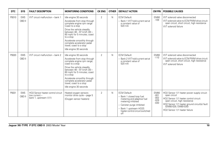| <b>DTC</b> | <b>SYS</b>           | <b>FAULT DESCRIPTION</b>                                                     | <b>MONITORING CONDITIONS</b>                                                                                                                                                                                                                                                                                                       | <b>CK ENG</b>  | <b>OTHER</b> | <b>DEFAULT ACTION</b>                                                                                                                                                                              | <b>CM PIN</b>                                | <b>POSSIBLE CAUSES</b>                                                                                                                                                                                                                           |
|------------|----------------------|------------------------------------------------------------------------------|------------------------------------------------------------------------------------------------------------------------------------------------------------------------------------------------------------------------------------------------------------------------------------------------------------------------------------|----------------|--------------|----------------------------------------------------------------------------------------------------------------------------------------------------------------------------------------------------|----------------------------------------------|--------------------------------------------------------------------------------------------------------------------------------------------------------------------------------------------------------------------------------------------------|
| P0010      | <b>EMS</b><br>OBD II | WT circuit malfunction - bank 1                                              | Idle engine 30 seconds<br>Accelerate from stop through<br>complete engine rpm range<br>Coast to a stop<br>Drive the vehicle steadily<br>between 48 - 97 km/h (30 -<br>60 mph) for 5 minutes; coast<br>to a stop<br>Accelerate smoothly through<br>complete accelerator pedal<br>travel; coast to a stop<br>Idle engine 30 seconds  | $\overline{2}$ | N            | <b>ECM Default:</b><br>- Bank 1 VVT hold current set at<br>a constant value of<br>520 mA                                                                                                           | <b>EM80</b><br>$-109$                        | VVT solenoid valve disconnected<br>VVT solenoid valve to ECM PWM drive circuit:<br>open circuit, short circuit, high resistance<br>VVT solenoid failure                                                                                          |
| P0020      | <b>EMS</b><br>OBD II | WT circuit malfunction - bank 2                                              | Idle engine 30 seconds<br>Accelerate from stop through<br>complete engine rpm range;<br>coast to a stop<br>Drive the vehicle steadily<br>between 48 - 97 km/h (30 -<br>60 mph) for 5 minutes; coast<br>to a stop<br>Accelerate smoothly through<br>complete accelerator pedal<br>travel; coast to a stop<br>Idle engine 30 seconds | $\overline{2}$ | N            | <b>ECM Default:</b><br>- Bank 2 VVT hold current set at<br>a constant value of<br>520 mA                                                                                                           | <b>EM80</b><br>$-110$                        | VVT solenoid valve disconnected<br>VVT solenoid valve to ECM PWM drive circuit:<br>open circuit, short circuit, high resistance<br><b>WT</b> solenoid failure                                                                                    |
| P0031      | <b>EMS</b><br>OBD II | HO2 Sensor heater control circuit<br>low current -<br>bank 1, upstream (1/1) | Heated oxygen sensors<br>monitor drive cycle - page 5<br>(Oxygen sensor heaters)                                                                                                                                                                                                                                                   | $\overline{2}$ | N            | <b>ECM Default:</b><br>Bank 1 closed loop fuel<br>metering and adaptive fuel<br>metering inhibited<br>- Canister purge inhibited<br>Bank 1 upstream HO2S<br>heater control circuit switched<br>off | EM80<br>$-001$<br>$-002$<br>$-029$<br>$-030$ | HO2 Sensor 1/1 heater power supply circuit:<br>open circuit<br>HO2 Sensor 1/1 heater control circuit:<br>open circuit, high resistance<br>HO2 Sensor 1/1 heater ground circuit(s) fault<br>(EM80-029, EM80-030)<br>HO2 Sensor 1/1 heater failure |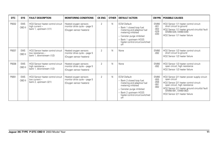| DTC   | <b>SYS</b>           | <b>FAULT DESCRIPTION</b>                                                           | <b>MONITORING CONDITIONS</b>                                                     | <b>CK ENG</b>  | <b>OTHER</b> | <b>DEFAULT ACTION</b>                                                                                                                                                                                  |                                                     | <b>CM PIN   POSSIBLE CAUSES</b>                                                                                                                                                                                                                  |
|-------|----------------------|------------------------------------------------------------------------------------|----------------------------------------------------------------------------------|----------------|--------------|--------------------------------------------------------------------------------------------------------------------------------------------------------------------------------------------------------|-----------------------------------------------------|--------------------------------------------------------------------------------------------------------------------------------------------------------------------------------------------------------------------------------------------------|
| P0032 | <b>EMS</b><br>OBD II | HO2 Sensor heater control circuit<br>high current -<br>bank 1, upstream (1/1)      | Heated oxygen sensors<br>monitor drive cycle - page 5<br>(Oxygen sensor heaters) | 2              | N            | <b>ECM Default:</b><br>- Bank 1 closed loop fuel<br>metering and adaptive fuel<br>metering inhibited<br>- Canister purge inhibited<br>- Bank 1 upstream HO2S<br>heater control circuit switched<br>off | <b>EM80</b><br>$-001$<br>$-002$<br>$-029$<br>$-030$ | HO2 Sensor 1/1 heater control circuit:<br>short circuit to ground<br>HO2 Sensor 1/1 heater ground circuit(s) fault<br>(EM80-029, EM80-030)<br>HO2 Sensor 1/1 heater failure                                                                      |
| P0037 | <b>EMS</b><br>OBD II | HO2 Sensor heater control circuit<br>low resistance -<br>bank 1, downstream (1/2)  | Heated oxygen sensors<br>monitor drive cycle - page 5<br>(Oxygen sensor heaters) | $\overline{2}$ | N            | None                                                                                                                                                                                                   | <b>EM80</b><br>$-0.92$                              | HO2 Sensor 1/2 heater control circuit:<br>short circuit to ground<br>HO2 Sensor 1/2 heater failure                                                                                                                                               |
| P0038 | <b>EMS</b><br>OBD II | HO2 Sensor heater control circuit<br>high resistance -<br>bank 1, downstream (1/2) | Heated oxygen sensors<br>monitor drive cycle - page 5<br>(Oxygen sensor heaters) | $\overline{2}$ | N            | None                                                                                                                                                                                                   | <b>EM80</b><br>$-0.92$                              | HO2 Sensor 1/2 heater control circuit:<br>open circuit; high resistance<br>HO2 Sensor 1/2 heater failure                                                                                                                                         |
| P0051 | <b>EMS</b><br>OBD II | HO2 Sensor heater control circuit<br>low current -<br>bank 2, upstream (2/1)       | Heated oxygen sensors<br>monitor drive cycle - page 5<br>(Oxygen sensor heaters) | $\overline{2}$ | N            | <b>ECM Default:</b><br>- Bank 2 closed loop fuel<br>metering and adaptive fuel<br>metering inhibited<br>- Canister purge inhibited<br>- Bank 2 upstream HO2S<br>heater control circuit switched<br>off | <b>EM80</b><br>$-055$<br>$-056$<br>$-081$<br>$-082$ | HO2 Sensor 2/1 heater power supply circuit:<br>open circuit<br>HO2 Sensor 2/1 heater control circuit:<br>open circuit, high resistance<br>HO2 Sensor 2/1 heater ground circuit(s) fault<br>(EM80-081, EM80-082)<br>HO2 Sensor 2/1 heater failure |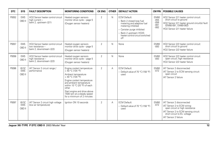| <b>DTC</b> | <b>SYS</b>                    | <b>FAULT DESCRIPTION</b>                                                           | <b>MONITORING CONDITIONS</b>                                                                                                                                                                                                                                                              | <b>CK ENG</b>  | <b>OTHER</b> | <b>DEFAULT ACTION</b>                                                                                                                                                                              | <b>CM PIN</b>                                       | <b>POSSIBLE CAUSES</b>                                                                                                                                                                     |
|------------|-------------------------------|------------------------------------------------------------------------------------|-------------------------------------------------------------------------------------------------------------------------------------------------------------------------------------------------------------------------------------------------------------------------------------------|----------------|--------------|----------------------------------------------------------------------------------------------------------------------------------------------------------------------------------------------------|-----------------------------------------------------|--------------------------------------------------------------------------------------------------------------------------------------------------------------------------------------------|
| P0052      | <b>EMS</b><br>OBD II          | HO2 Sensor heater control circuit<br>high current -<br>bank 2, upstream (2/1)      | Heated oxygen sensors<br>monitor drive cycle - page 5<br>(Oxygen sensor heaters)                                                                                                                                                                                                          | $\overline{2}$ | $\mathsf{N}$ | <b>ECM Default:</b><br>Bank 2 closed loop fuel<br>metering and adaptive fuel<br>metering inhibited<br>- Canister purge inhibited<br>Bank 2 upstream HO2S<br>heater control circuit switched<br>off | <b>EM80</b><br>$-055$<br>$-056$<br>$-081$<br>$-082$ | HO2 Sensor 2/1 heater control circuit:<br>short circuit to ground<br>HO2 Sensor 2/1 heater ground circuit(s) fault<br>(EM80-081, EM80-082)<br>HO2 Sensor 2/1 heater failure                |
| P0057      | <b>EMS</b><br>OBD II          | HO2 Sensor heater control circuit<br>low resistance -<br>bank 2, downstream (2/2)  | Heated oxygen sensors<br>monitor drive cycle - page 5<br>(Oxygen sensor heaters)                                                                                                                                                                                                          | $\overline{2}$ | N            | None                                                                                                                                                                                               | <b>EM80</b><br>$-0.93$                              | HO2 Sensor 2/2 heater control circuit:<br>short circuit to ground<br>HO2 Sensor 2/2 heater failure                                                                                         |
| P0058      | <b>EMS</b><br>OBD II          | HO2 Sensor heater control circuit<br>high resistance -<br>bank 2, downstream (2/2) | Heated oxygen sensors<br>monitor drive cycle - page 5<br>(Oxygen sensor heaters)                                                                                                                                                                                                          | $\overline{2}$ | $\mathsf{N}$ | None                                                                                                                                                                                               | <b>EM80</b><br>$-0.93$                              | HO2 Sensor 2/2 heater control circuit:<br>open circuit; high resistance<br>HO2 Sensor 2/2 heater failure                                                                                   |
| P0096      | V8 SC<br><b>EMS</b><br>OBD II | IAT Sensor 2 circuit range /<br>performance                                        | Engine coolant temperature<br>< 40 °C (104 °F)<br>Ambient temperature<br>$<$ 40 °C (104 °F)<br>Engine coolant temperature<br>and ambient temperature<br>within 10 °C (20 °F) of each<br>other<br>Start engine and drive above<br>1500 rpm at a steady speed<br>for a minimum of 2 minutes | $\overline{2}$ | A            | <b>ECM Default:</b><br>- Default value of 70 °C (158 °F)<br>used                                                                                                                                   | <b>EM80</b><br>$-072$                               | IAT Sensor 2 disconnected<br>IAT Sensor 2 to ECM sensing circuit:<br>open circuit<br>IAT Sensor 2 failure                                                                                  |
| P0097      | V8 SC<br><b>EMS</b><br>OBD II | IAT Sensor 2 circuit high voltage<br>(low air temperature)                         | lanition ON 10 seconds                                                                                                                                                                                                                                                                    | $\overline{2}$ | А            | <b>ECM Default:</b><br>- Default value of 70 °C (158 °F)<br>used                                                                                                                                   | <b>EM80</b><br>$-072$                               | IAT Sensor 2 disconnected<br>IAT Sensor 2 to ECM wiring:<br>open circuit or high resistance<br>IAT Sensor 2 to ECM sensing circuit:<br>short circuit to B+ voltage<br>IAT Sensor 2 failure |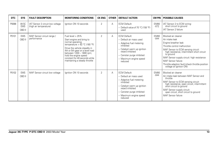| <b>DTC</b> | <b>SYS</b>                    | <b>FAULT DESCRIPTION</b>                                   | <b>MONITORING CONDITIONS</b>                                                                                                                                                                                                                                                                    | <b>CK ENG</b>  | <b>OTHER</b> | <b>DEFAULT ACTION</b>                                                                                                                                                                                         | CM PIN                | <b>POSSIBLE CAUSES</b>                                                                                                                                                                                                                                                                                                                              |
|------------|-------------------------------|------------------------------------------------------------|-------------------------------------------------------------------------------------------------------------------------------------------------------------------------------------------------------------------------------------------------------------------------------------------------|----------------|--------------|---------------------------------------------------------------------------------------------------------------------------------------------------------------------------------------------------------------|-----------------------|-----------------------------------------------------------------------------------------------------------------------------------------------------------------------------------------------------------------------------------------------------------------------------------------------------------------------------------------------------|
| P0098      | V8 SC<br><b>EMS</b><br>OBD II | IAT Sensor 2 circuit low voltage<br>(high air temperature) | Ignition ON 10 seconds                                                                                                                                                                                                                                                                          | $\overline{2}$ | Α            | <b>ECM Default:</b><br>- Default value of 70 °C (158 °F)<br>used                                                                                                                                              | EM80<br>$-072$        | IAT Sensor 2 to ECM wiring:<br>short circuit to ground<br>IAT Sensor 2 failure                                                                                                                                                                                                                                                                      |
| P0101      | <b>EMS</b><br>OBD II          | MAF Sensor circuit range /<br>performance                  | Fuel level $> 25\%$<br>Start engine and bring to<br>normal operating<br>temperature > 82 °C (180 °F)<br>Drive the vehicle steadily in<br>4th or 5th gear on a level road<br>between 1200 - 1800 rpm;<br>hold the engine speed<br>constant for 40 seconds while<br>maintaining a steady throttle | $\mathfrak{D}$ | Α            | <b>ECM Default:</b><br>- Default air mass used<br>- Adaptive fuel metering<br>inhibited<br>- Catalyst warm up ignition<br>retard inhibited<br>- Canister purge inhibited<br>- Maximum engine speed<br>reduced | <b>EM80</b><br>$-044$ | Blocked air cleaner<br>Air intake leak<br>Engine breather leak<br>Throttle control malfunction<br>MAF Sensor to ECM sensing circuit:<br>high resistance, intermittent short circuit<br>to ground<br>MAF Sensor supply circuit: high resistance<br>MAF Sensor failure<br>Throttle adaption fault (check throttle position<br>voltage at Ignition ON) |
| P0102      | <b>EMS</b><br>OBD II          | MAF Sensor circuit low voltage                             | Ignition ON 10 seconds                                                                                                                                                                                                                                                                          | $\overline{2}$ | A            | <b>ECM Default:</b><br>- Default air mass used<br>- Adaptive fuel metering<br>inhibited<br>- Catalyst warm up ignition<br>retard inhibited<br>- Canister purge inhibited<br>- Maximum engine speed<br>reduced | <b>EM80</b><br>$-044$ | Blocked air cleaner<br>Air intake leak between MAF Sensor and<br>throttle<br>MAF Sensor to ECM sensing circuit:<br>high resistance, open circuit, intermittent<br>short circuit to ground<br>MAF Sensor supply circuit:<br>open circuit, short circuit to ground<br>MAF Sensor failure                                                              |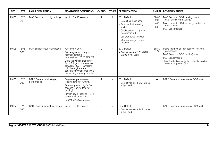| DTC   | <b>SYS</b>           | <b>FAULT DESCRIPTION</b>                   | <b>MONITORING CONDITIONS</b>                                                                                                                                                                                                                                                                   | <b>CK ENG</b>  | <b>OTHER</b> | <b>DEFAULT ACTION</b>                                                                                                                                                                                         | CM PIN                                    | <b>POSSIBLE CAUSES</b>                                                                                                                                                                              |
|-------|----------------------|--------------------------------------------|------------------------------------------------------------------------------------------------------------------------------------------------------------------------------------------------------------------------------------------------------------------------------------------------|----------------|--------------|---------------------------------------------------------------------------------------------------------------------------------------------------------------------------------------------------------------|-------------------------------------------|-----------------------------------------------------------------------------------------------------------------------------------------------------------------------------------------------------|
| P0103 | <b>EMS</b><br>OBD II | MAF Sensor circuit high voltage            | lanition ON 10 seconds                                                                                                                                                                                                                                                                         | $\overline{2}$ | Α            | <b>ECM Default:</b><br>- Default air mass used<br>- Adaptive fuel metering<br>inhibited<br>- Catalyst warm up ignition<br>retard inhibited<br>- Canister purge inhibited<br>- Maximum engine speed<br>reduced | <b>EM80</b><br>$-044$<br>$-045$<br>$-046$ | MAF Sensor to ECM sensing circuit:<br>short circuit to B+ voltage<br>MAF Sensor to ECM sensor ground circuit:<br>open circuit<br>MAF Sensor failure                                                 |
| P0105 | <b>EMS</b><br>OBD II | MAP Sensor circuit malfunction             | Fuel level > 25%<br>Start engine and bring to<br>normal operating<br>temperature > $82 °C$ (180 °F)<br>Drive the vehicle steadily in<br>4th or 5th gear on a level road<br>between 1200 - 1800 rpm:<br>hold the engine speed<br>constant for 40 seconds while<br>maintaining a steady throttle | $\overline{2}$ | N            | <b>ECM Default:</b><br>- Default value of 1.013 BAR<br>(29.92 in hq) used                                                                                                                                     | <b>EM80</b><br>$-127$                     | Intake manifold air leak (loose or missing<br>component)<br>MAP Sensor to ECM circuit(s) fault<br>MAP Sensor failure<br>Throttle adaption fault (check throttle position<br>voltage at Ignition ON) |
| P0106 | <b>EMS</b><br>OBD II | BARO Sensor circuit range /<br>performance | Engine temperature cool<br>(cooling fans not running)<br>Remove ignition key for 20<br>seconds (cooling fans not<br>running)<br>Ignition key in, position II for 5<br>seconds (do not start)<br>Repeat cycle twice more                                                                        | $\overline{2}$ | N            | <b>ECM Default:</b><br>- Default value of 1 BAR (29.53)<br>in hg) used                                                                                                                                        | -                                         | BARO Sensor failure (internal ECM fault)                                                                                                                                                            |
| P0107 | <b>EMS</b><br>OBD II | BARO Sensor circuit low voltage            | Ignition ON 10 seconds                                                                                                                                                                                                                                                                         | $\overline{2}$ | N            | <b>ECM Default:</b><br>- Default value of 1 BAR (29.53)<br>in hg) used                                                                                                                                        | $\overline{\phantom{0}}$                  | BARO Sensor failure (internal ECM fault)                                                                                                                                                            |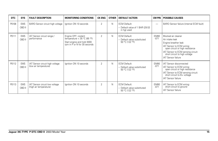| <b>DTC</b> | <b>SYS</b>           | <b>FAULT DESCRIPTION</b>                                 | <b>MONITORING CONDITIONS</b>                                                                                       | <b>CK ENG</b>  | <b>OTHER</b> | <b>DEFAULT ACTION</b>                                                  | <b>CM PIN</b>         | <b>POSSIBLE CAUSES</b>                                                                                                                                                                                                             |
|------------|----------------------|----------------------------------------------------------|--------------------------------------------------------------------------------------------------------------------|----------------|--------------|------------------------------------------------------------------------|-----------------------|------------------------------------------------------------------------------------------------------------------------------------------------------------------------------------------------------------------------------------|
| P0108      | <b>EMS</b><br>OBD II | BARO Sensor circuit high voltage                         | Ignition ON 10 seconds                                                                                             | $\overline{2}$ | $\mathsf{N}$ | <b>ECM Default:</b><br>- Default value of 1 BAR (29.53)<br>in hg) used |                       | BARO Sensor failure (internal ECM fault)                                                                                                                                                                                           |
| P0111      | <b>EMS</b><br>OBD II | IAT Sensor circuit range /<br>performance                | Engine OFF; coolant<br>temperature $<$ 35 °C (95 °F)<br>Start engine and hold 3000<br>rpm in P or N for 30 seconds | $\overline{2}$ | $\mathsf{N}$ | <b>ECM Default:</b><br>- Default value substituted<br>50 °C (122 °F)   | <b>EM80</b><br>$-071$ | Blocked air cleaner<br>Air intake leak<br>Engine breather leak<br>IAT Sensor to ECM wiring:<br>open circuit or high resistance<br>IAT Sensor to ECM sensing circuit:<br>short circuit to high voltage<br><b>IAT Sensor failure</b> |
| P0112      | <b>EMS</b><br>OBD II | IAT Sensor circuit high voltage<br>(low air temperature) | Ignition ON 10 seconds                                                                                             | $\overline{2}$ | $\mathsf{N}$ | <b>ECM Default:</b><br>- Default value substituted<br>50 °C (122 °F)   | <b>EM80</b><br>$-071$ | <b>IAT Sensor disconnected</b><br>IAT Sensor to ECM wiring:<br>open circuit or high resistance<br>IAT Sensor to ECM sensing circuit:<br>short circuit to B+ voltage<br><b>IAT Sensor failure</b>                                   |
| P0113      | <b>EMS</b><br>OBD II | IAT Sensor circuit low voltage<br>(high air temperature) | Ignition ON 10 seconds                                                                                             | $\overline{2}$ | $\mathsf{N}$ | <b>ECM Default:</b><br>- Default value substituted<br>50 °C (122 °F)   | <b>EM80</b><br>$-071$ | IAT Sensor to ECM wiring:<br>short circuit to ground<br><b>IAT Sensor failure</b>                                                                                                                                                  |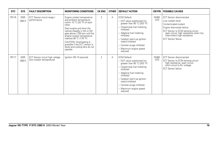| <b>DTC</b> | <b>SYS</b>           | <b>FAULT DESCRIPTION</b>                                     | <b>MONITORING CONDITIONS</b>                                                                                                                                                                                                                                                                                                                                     | <b>CK ENG</b>  | <b>OTHER</b> | <b>DEFAULT ACTION</b>                                                                                                                                                                                                                                                                        | <b>CM PIN</b>         | <b>POSSIBLE CAUSES</b>                                                                                                                                                                                                                                 |
|------------|----------------------|--------------------------------------------------------------|------------------------------------------------------------------------------------------------------------------------------------------------------------------------------------------------------------------------------------------------------------------------------------------------------------------------------------------------------------------|----------------|--------------|----------------------------------------------------------------------------------------------------------------------------------------------------------------------------------------------------------------------------------------------------------------------------------------------|-----------------------|--------------------------------------------------------------------------------------------------------------------------------------------------------------------------------------------------------------------------------------------------------|
| P0116      | <b>EMS</b><br>OBD II | ECT Sensor circuit range /<br>performance                    | Engine coolant temperature<br>and ambient temperature<br>within 10 °C (20 °F) of each<br>other<br>Start engine and drive the<br>vehicle steadily in 4th or 5th<br>gear above 1700 rpm until the<br>engine coolant temperature<br>reaches 80 °C (176 °F)<br>CAUTION: Overheating is<br>possible if the ECT sensor is<br>faulty and cooling fans do not<br>operate | $\overline{2}$ | Α            | <b>ECM Default:</b><br>- EOT value substituted (no<br>greater than 95 °C (203 °F)<br>- Closed loop fuel metering<br>inhibited<br>- Adaptive fuel metering<br>inhibited<br>- Catalyst warm-up ignition<br>retard inhibited<br>- Canister purge inhibited<br>- Maximum engine speed<br>reduced | <b>EM80</b><br>$-070$ | <b>ECT Sensor disconnected</b><br>Low coolant level<br>Contaminated coolant<br>Engine thermostat failure<br>ECT Sensor to ECM sensing circuit:<br>open circuit, high resistance when hot,<br>intermittent high resistance<br><b>ECT Sensor failure</b> |
| P0117      | <b>EMS</b><br>OBD II | ECT Sensor circuit high voltage<br>(low coolant temperature) | Ignition ON 10 seconds                                                                                                                                                                                                                                                                                                                                           | $\overline{2}$ | Α            | <b>ECM Default:</b><br>- EOT value substituted (no<br>greater than 95 °C (203 °F)<br>- Closed loop fuel metering<br>inhibited<br>- Adaptive fuel metering<br>inhibited<br>- Catalyst warm-up ignition<br>retard inhibited<br>- Canister purge inhibited<br>- Maximum engine speed<br>reduced | <b>EM80</b><br>$-070$ | <b>ECT Sensor disconnected</b><br>ECT Sensor to ECM sensing circuit:<br>high resistance, open circuit,<br>short circuit to B+ voltage<br><b>ECT Sensor failure</b>                                                                                     |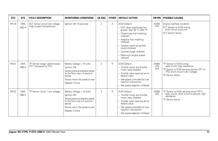| <b>DTC</b> | <b>SYS</b>           | <b>FAULT DESCRIPTION</b>                                     | <b>MONITORING CONDITIONS</b>                                                                                                                                               | <b>CK ENG</b>  | <b>OTHER</b> | <b>DEFAULT ACTION</b>                                                                                                                                                                                                                                                                        | CM PIN                          | <b>POSSIBLE CAUSES</b>                                                                                                                                           |
|------------|----------------------|--------------------------------------------------------------|----------------------------------------------------------------------------------------------------------------------------------------------------------------------------|----------------|--------------|----------------------------------------------------------------------------------------------------------------------------------------------------------------------------------------------------------------------------------------------------------------------------------------------|---------------------------------|------------------------------------------------------------------------------------------------------------------------------------------------------------------|
| P0118      | <b>EMS</b><br>OBD II | ECT Sensor circuit low voltage<br>(high coolant temperature) | lanition ON 10 seconds                                                                                                                                                     | $\overline{2}$ | Α            | <b>ECM Default:</b><br>- EOT value substituted (no<br>qreater than 95 °C (203 °F)<br>- Closed loop fuel metering<br>inhibited<br>- Adaptive fuel metering<br>inhibited<br>- Catalyst warm-up ignition<br>retard inhibited<br>- Canister purge inhibited<br>- Maximum engine speed<br>reduced | EM80<br>$-070$                  | Engine overheat condition<br>ECT Sensor to ECM wiring:<br>short circuit to ground<br><b>ECT Sensor failure</b>                                                   |
| P0121      | <b>EMS</b><br>OBD II | TP Sensor range / performance<br>(TP1 compared to TP2)       | Battery voltage > 10 volts<br>Ignition ON<br>Slowly press accelerator pedal<br>to the floor over a 5 second<br>period<br>Slowly return the pedal to rest<br>Repeat 3 times | $\overline{2}$ | R            | <b>ECM Default:</b><br>- Throttle motor and throttle<br>motor relay disabled<br>- Throttle valve opening set to<br>default value<br>- Idle speed controlled by fuel<br>injection intervention<br>- Idle speed adaption inhibited                                                             | <b>EM80</b><br>$-075$<br>$-076$ | TP Sensor to ECM wiring:<br>open circuit, high resistance<br>TP Sensor to ECM sensing circuits (TP1 or<br>TP2): short circuit to B+ voltage<br>TP Sensor failure |
| P0122      | <b>EMS</b><br>OBD II | TP Sensor circuit 1 low voltage                              | Battery voltage > 10 volts<br>Ianition ON<br>Slowly press accelerator pedal<br>to the floor over a 5 second<br>period<br>Slowly return the pedal to rest<br>Repeat 3 times | 2              | R            | <b>ECM Default:</b><br>- Throttle motor and throttle<br>motor relay disabled<br>- Throttle valve opening set to<br>default value<br>- Idle speed controlled by fuel<br>injection intervention<br>- Idle speed adaption inhibited                                                             | <b>EM80</b><br>$-075$           | TP Sensor to ECM sensing circuit (TP1):<br>open circuit, short circuit to ground, high<br>resistance<br>TP Sensor failure                                        |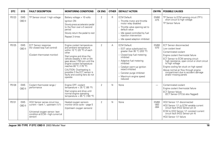| <b>DTC</b> | <b>SYS</b>           | <b>FAULT DESCRIPTION</b>                                                                                                                            | <b>MONITORING CONDITIONS</b>                                                                                                                                                                                                                                                                                                                                     | <b>CK ENG</b>  | <b>OTHER</b> | <b>DEFAULT ACTION</b>                                                                                                                                                                                                                                                                        | <b>CM PIN</b>                   | <b>POSSIBLE CAUSES</b>                                                                                                                                                                                                                                                                                                                                                       |
|------------|----------------------|-----------------------------------------------------------------------------------------------------------------------------------------------------|------------------------------------------------------------------------------------------------------------------------------------------------------------------------------------------------------------------------------------------------------------------------------------------------------------------------------------------------------------------|----------------|--------------|----------------------------------------------------------------------------------------------------------------------------------------------------------------------------------------------------------------------------------------------------------------------------------------------|---------------------------------|------------------------------------------------------------------------------------------------------------------------------------------------------------------------------------------------------------------------------------------------------------------------------------------------------------------------------------------------------------------------------|
| P0123      | <b>EMS</b><br>OBD II | TP Sensor circuit 1 high voltage                                                                                                                    | Battery voltage > 10 volts<br>Ignition ON<br>Slowly press accelerator pedal<br>to the floor over a 5 second<br>period<br>Slowly return the pedal to rest<br>Repeat 3 times                                                                                                                                                                                       | $\overline{2}$ | R            | <b>ECM Default:</b><br>- Throttle motor and throttle<br>motor relay disabled<br>- Throttle valve opening set to<br>default value<br>- Idle speed controlled by fuel<br>injection intervention<br>- Idle speed adaption inhibited                                                             | <b>EM80</b><br>$-075$           | TP Sensor to ECM sensing circuit (TP1):<br>short circuit to high voltage<br>TP Sensor failure                                                                                                                                                                                                                                                                                |
| P0125      | <b>EMS</b><br>OBD II | <b>ECT Sensor response</b><br>(for closed loop fuel control)<br>(Coolant thermostat monitor)                                                        | Engine coolant temperature<br>and ambient temperature<br>within 10 °C (20 °F) of each<br>other<br>Start engine and drive the<br>vehicle steadily in 4th or 5th<br>gear above 1700 rpm until the<br>engine coolant temperature<br>reaches 80 °C (176 °F)<br>CAUTION: Overheating is<br>possible if the ECT sensor is<br>faulty and cooling fans do not<br>operate | $\overline{2}$ | A            | <b>ECM Default:</b><br>- EOT value substituted (no<br>qreater than 95 °C (203 °F)<br>- Closed loop fuel metering<br>inhibited<br>- Adaptive fuel metering<br>inhibited<br>- Catalyst warm-up ignition<br>retard inhibited<br>- Canister purge inhibited<br>- Maximum engine speed<br>reduced | <b>EM80</b><br>$-070$           | <b>ECT Sensor disconnected</b><br>Low coolant level<br>Contaminated coolant<br>Engine coolant thermostat failure<br>ECT Sensor to ECM sensing circuit:<br>high resistance, open circuit or short circuit<br>to high voltage<br>Engine cooling fan stuck on high speed<br>Above normal air flow through engine<br>compartment due to accident damage<br>and/or missing panels |
| P0128      | <b>EMS</b><br>OBD II | Coolant thermostat range /<br>performance                                                                                                           | Engine OFF; coolant<br>temperature < $35 °C$ (95 °F)<br>Start engine and drive until<br>normal engine operating<br>temperature > $85^{\circ}$ C (180 °F)                                                                                                                                                                                                         | $\overline{2}$ | $\mathsf{N}$ | None                                                                                                                                                                                                                                                                                         | $\overline{\phantom{0}}$        | Contaminated coolant<br>Engine coolant thermostat failure<br><b>ECT Sensor failure</b><br>(ECT Sensor DTC(s) also flagged)                                                                                                                                                                                                                                                   |
| P0131      | <b>EMS</b><br>OBD II | HO2 Sensor sense circuit low<br>current - bank 1, upstream (1/1)<br>(Universal oxygen sensor: lean<br>condition at ECM - high current at<br>sensor) | Heated oxygen sensors<br>monitor drive cycle - page 5<br>(Upstream oxygen sensors)                                                                                                                                                                                                                                                                               | $\overline{2}$ | $\mathsf{N}$ | None                                                                                                                                                                                                                                                                                         | <b>EM80</b><br>$-083$<br>$-084$ | HO2 Sensor 1/1 disconnected<br>HO2 Sensor 1/1 to ECM variable current<br>circuit fault (HO2 Sensor pin 3)<br>ECM to HO2 Sensor 1/1 constant current<br>circuit fault (HO2 Sensor pin 4)<br>HO2 Sensor 1/1 failure                                                                                                                                                            |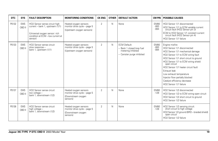| <b>DTC</b> | <b>SYS</b>           | <b>FAULT DESCRIPTION</b>                                                                                                                            | <b>MONITORING CONDITIONS</b>                                                            | <b>CK ENG</b>  | <b>OTHER</b> | <b>DEFAULT ACTION</b>                                                                                | <b>CM PIN</b>                   | <b>POSSIBLE CAUSES</b>                                                                                                                                                                                                                                                                                                                                                                                  |
|------------|----------------------|-----------------------------------------------------------------------------------------------------------------------------------------------------|-----------------------------------------------------------------------------------------|----------------|--------------|------------------------------------------------------------------------------------------------------|---------------------------------|---------------------------------------------------------------------------------------------------------------------------------------------------------------------------------------------------------------------------------------------------------------------------------------------------------------------------------------------------------------------------------------------------------|
| P0132      | <b>EMS</b><br>OBD II | HO2 Sensor sense circuit high<br>current - bank 1, upstream (1/1)<br>(Universal oxygen sensor: rich<br>condition at ECM - low current at<br>sensor) | Heated oxygen sensors<br>monitor drive cycle - page 5<br>(Upstream oxygen sensors)      | $\overline{2}$ | N            | None                                                                                                 | <b>EM80</b><br>$-083$<br>$-084$ | HO2 Sensor 1/1 disconnected<br>HO2 Sensor 1/1 to ECM variable current<br>circuit fault (HO2 Sensor pin 3)<br>ECM to HO2 Sensor 1/1 constant current<br>circuit fault (HO2 Sensor pin 4)<br>HO2 Sensor 1/1 failure                                                                                                                                                                                       |
| P0133      | <b>EMS</b><br>OBD II | HO2 Sensor sense circuit<br>slow response -<br>bank 1, upstream (1/1)                                                                               | Heated oxygen sensors<br>monitor drive cycle - page 5<br>(Upstream oxygen sensors)      | $\overline{2}$ | N            | <b>ECM Default:</b><br>- Bank 1 closed loop fuel<br>metering inhibited<br>- Canister purge inhibited | <b>EM80</b><br>$-083$<br>$-084$ | Engine misfire<br>HO2 Sensor 1/1 disconnected<br>HO2 Sensor 1/1 mechanical damage<br>HO2 Sensor 1/1 to ECM wiring fault<br>HO2 Sensor 1/1 short circuit to ground<br>HO2 Sensor 1/1 to ECM wiring shield<br>open circuit<br>HO2 Sensor 1/1 heater circuit fault<br>Exhaust leak<br>Low exhaust temperature<br>Injector flow partially blocked<br>Catalyst efficiency decrease<br>HO2 Sensor 1/1 failure |
| P0137      | <b>EMS</b><br>OBD II | HO2 Sensor sense circuit<br>low voltage -<br>bank 1, downstream (1/2)                                                                               | Heated oxygen sensors<br>monitor drive cycle - page 5<br>(Downstream oxygen<br>sensors) | $\overline{2}$ | $\mathsf{N}$ | None                                                                                                 | <b>EM80</b><br>$-128$           | HO2 Sensor 1/2 disconnected<br>HO2 Sensor 1/2 to ECM wiring open circuit<br>HO2 Sensor 1/2 short circuit to ground<br>HO2 Sensor 1/2 failure                                                                                                                                                                                                                                                            |
| P0138      | <b>EMS</b><br>OBD II | HO2 Sensor sense circuit<br>high voltage -<br>bank 1, downstream (1/2)                                                                              | Heated oxygen sensors<br>monitor drive cycle - page 5<br>(Downstream oxygen<br>sensors) | $\mathfrak{D}$ | $\mathsf{N}$ | None                                                                                                 | <b>EM80</b><br>$-128$           | HO2 Sensor 1/2 sensing circuit:<br>short circuit to high voltage<br>HO2 Sensor 1/2 ground (BRD - braided shield)<br>open circuit<br>HO2 Sensor 1/2 failure                                                                                                                                                                                                                                              |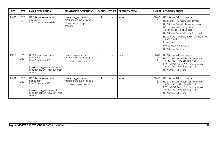| <b>DTC</b> | <b>SYS</b>           | <b>FAULT DESCRIPTION</b>                                                                                                                                           | <b>MONITORING CONDITIONS</b>                                                            | <b>CK ENG</b>  | <b>OTHER</b> | <b>DEFAULT ACTION</b> | CM PIN                          | <b>POSSIBLE CAUSES</b>                                                                                                                                                                                                                                                                                                                                          |
|------------|----------------------|--------------------------------------------------------------------------------------------------------------------------------------------------------------------|-----------------------------------------------------------------------------------------|----------------|--------------|-----------------------|---------------------------------|-----------------------------------------------------------------------------------------------------------------------------------------------------------------------------------------------------------------------------------------------------------------------------------------------------------------------------------------------------------------|
| P0140      | <b>EMS</b><br>OBD II | HO2 Sensor sense circuit<br>no activity -<br>bank 1, downstream (1/2)                                                                                              | Heated oxygen sensors<br>monitor drive cycle - page 5<br>(Downstream oxygen<br>sensors) | $\overline{2}$ | N            | None                  | EM80<br>$-128$                  | HO2 Sensor 1/2 disconnected<br>HO2 Sensor 1/2 mechanical damage<br>HO2 Sensor 1/2 to ECM wiring open circuit<br>HO2 Sensor 1/2 sensing circuit:<br>short circuit to high voltage<br>HO2 Sensor 1/2 short circuit to ground<br>HO2 Sensor 1/2 ground (BRD - braided shield)<br>open circuit<br>Exhaust leak<br>Low exhaust temperature<br>HO2 Sensor 1/2 failure |
| P0151      | <b>EMS</b><br>OBD II | HO <sub>2</sub> Sensor sense circuit<br>low current -<br>bank 2, upstream (2/1)<br>(Universal oxygen sensor: lean<br>condition at ECM - high current at<br>sensor) | Heated oxygen sensors<br>monitor drive cycle - page 5<br>(Upstream oxygen sensors)      | $\overline{2}$ | N            | None                  | <b>EM80</b><br>$-107$<br>$-108$ | HO2 Sensor 2/1 disconnected<br>HO2 Sensor 2/1 to ECM variable current<br>circuit fault (HO2 Sensor pin 3)<br>ECM to HO2 Sensor 2/1 constant current<br>circuit fault (HO2 Sensor pin 4)<br>HO2 Sensor 2/1 failure                                                                                                                                               |
| P0152      | <b>EMS</b><br>OBD II | HO <sub>2</sub> Sensor sense circuit<br>high current -<br>bank 2, upstream (2/1)<br>(Universal oxygen sensor: rich<br>condition at ECM - low current at<br>sensor) | Heated oxygen sensors<br>monitor drive cycle - page 5<br>(Upstream oxygen sensors)      | $\overline{2}$ | N            | None                  | EM80<br>$-107$<br>$-108$        | HO2 Sensor 2/1 disconnected<br>HO2 Sensor 2/1 to ECM variable current<br>circuit fault (HO2 Sensor pin 3)<br>ECM to HO2 Sensor 2/1 constant current<br>circuit fault (HO2 Sensor pin 4)<br>HO2 Sensor 2/1 failure                                                                                                                                               |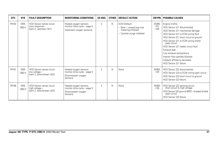| <b>DTC</b> | <b>SYS</b>           | <b>FAULT DESCRIPTION</b>                                               | <b>MONITORING CONDITIONS</b>                                                            | <b>CK ENG</b>  | <b>OTHER</b> | <b>DEFAULT ACTION</b>                                                                                |                                 | <b>CM PIN   POSSIBLE CAUSES</b>                                                                                                                                                                                                                                                                                                                                                                         |
|------------|----------------------|------------------------------------------------------------------------|-----------------------------------------------------------------------------------------|----------------|--------------|------------------------------------------------------------------------------------------------------|---------------------------------|---------------------------------------------------------------------------------------------------------------------------------------------------------------------------------------------------------------------------------------------------------------------------------------------------------------------------------------------------------------------------------------------------------|
| P0153      | <b>EMS</b><br>OBD II | HO2 Sensor sense circuit<br>slow response -<br>bank 2, upstream (2/1)  | Heated oxygen sensors<br>monitor drive cycle - page 5<br>(Upstream oxygen sensors)      | $\overline{2}$ | N            | <b>ECM Default:</b><br>- Bank 1 closed loop fuel<br>metering inhibited<br>- Canister purge inhibited | <b>EM80</b><br>$-107$<br>$-108$ | Engine misfire<br>HO2 Sensor 2/1 disconnected<br>HO2 Sensor 2/1 mechanical damage<br>HO2 Sensor 2/1 to ECM wiring fault<br>HO2 Sensor 2/1 short circuit to ground<br>HO2 Sensor 2/1 to ECM wiring shield<br>open circuit<br>HO2 Sensor 2/1 heater circuit fault<br>Exhaust leak<br>Low exhaust temperature<br>Injector flow partially blocked<br>Catalyst efficiency decrease<br>HO2 Sensor 2/1 failure |
| P0157      | <b>EMS</b><br>OBD II | HO2 Sensor sense circuit<br>low voltage -<br>bank 2, downstream (2/2)  | Heated oxygen sensors<br>monitor drive cycle - page 5<br>(Downstream oxygen<br>sensors) | $\overline{2}$ | N            | None                                                                                                 | <b>EM80</b><br>$-129$           | HO2 Sensor 2/2 disconnected<br>HO2 Sensor 2/2 to ECM wiring open circuit<br>HO2 Sensor 2/2 short circuit to ground<br>HO2 Sensor 2/2 failure                                                                                                                                                                                                                                                            |
| P0158      | <b>EMS</b><br>OBD II | HO2 Sensor sense circuit<br>high voltage -<br>bank 2, downstream (2/2) | Heated oxygen sensors<br>monitor drive cycle - page 5<br>(Downstream oxygen<br>sensors) | $\overline{2}$ | N            | None                                                                                                 | EM80<br>$-129$                  | HO2 Sensor 2/2 sensing circuit:<br>short circuit to high voltage<br>HO2 Sensor 2/2 ground (BRD - braided shield)<br>open circuit<br>HO2 Sensor 2/2 failure                                                                                                                                                                                                                                              |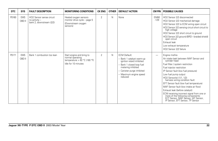| <b>DTC</b> | <b>SYS</b>           | <b>FAULT DESCRIPTION</b>                                              | <b>MONITORING CONDITIONS</b>                                                                           | <b>CK ENG</b>  | <b>OTHER</b> | <b>DEFAULT ACTION</b>                                                                                                                                                                               | <b>CM PIN</b>  | <b>POSSIBLE CAUSES</b>                                                                                                                                                                                                                                                                                                                                                                                                                                                                                                                                       |
|------------|----------------------|-----------------------------------------------------------------------|--------------------------------------------------------------------------------------------------------|----------------|--------------|-----------------------------------------------------------------------------------------------------------------------------------------------------------------------------------------------------|----------------|--------------------------------------------------------------------------------------------------------------------------------------------------------------------------------------------------------------------------------------------------------------------------------------------------------------------------------------------------------------------------------------------------------------------------------------------------------------------------------------------------------------------------------------------------------------|
| P0160      | <b>EMS</b><br>OBD II | HO2 Sensor sense circuit<br>no activity -<br>bank 2. downstream (2/2) | Heated oxygen sensors<br>monitor drive cycle - page 5<br>(Downstream oxygen<br>sensors)                | $\overline{2}$ | N            | None                                                                                                                                                                                                | EM80<br>$-129$ | HO2 Sensor 2/2 disconnected<br>HO2 Sensor 2/2 mechanical damage<br>HO2 Sensor 2/2 to ECM wiring open circuit<br>HO2 Sensor 2/2 sensing circuit short circuit to<br>high voltage<br>HO2 Sensor 2/2 short circuit to ground<br>HO2 Sensor 2/2 ground (BRD - braided shield)<br>open circuit<br>Exhaust leak<br>Low exhaust temperature<br>HO2 Sensor 2/2 failure                                                                                                                                                                                               |
| P0171      | <b>EMS</b><br>OBD II | Bank 1 combustion too lean                                            | Start engine and bring to<br>normal operating<br>temperature > $82 °C$ (180 °F)<br>Idle for 10 minutes | $\overline{2}$ | N            | <b>ECM Default:</b><br>- Bank 1 catalyst warm-up<br>ignition retard inhibited<br>- Bank 1 closed loop fuel<br>metering inhibited<br>- Canister purge inhibited<br>- Maximum engine speed<br>reduced | -              | Engine misfire<br>Air intake leak between MAF Sensor and<br>cylinder head<br>Fuel filter / system restriction<br>Fuel injector restriction<br>IP Sensor fault (low fuel pressure)<br>Low fuel pump output<br>HO2 Sensor(s) (1/1, 1/2)<br>harness wiring condition fault<br>EFT Sensor fault (low fuel temperature)<br>MAF Sensor fault (low intake air flow)<br>Exhaust leak (before catalyst)<br>ECM receiving incorrect signal from one or<br>more of the following components:<br>ECT Sensor, MAF Sensor, IAT Sensor,<br>IP Sensor, EFT Sensor, TP Sensor |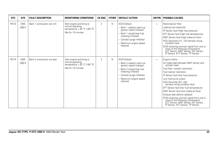| <b>DTC</b> | <b>SYS</b>           | <b>FAULT DESCRIPTION</b>   | <b>MONITORING CONDITIONS</b>                                                                           | <b>CK ENG</b>  | <b>OTHER</b> | <b>DEFAULT ACTION</b>                                                                                                                                                                             | <b>CM PIN</b>            | <b>POSSIBLE CAUSES</b>                                                                                                                                                                                                                                                                                                                                                                                                                                                                                                                                    |
|------------|----------------------|----------------------------|--------------------------------------------------------------------------------------------------------|----------------|--------------|---------------------------------------------------------------------------------------------------------------------------------------------------------------------------------------------------|--------------------------|-----------------------------------------------------------------------------------------------------------------------------------------------------------------------------------------------------------------------------------------------------------------------------------------------------------------------------------------------------------------------------------------------------------------------------------------------------------------------------------------------------------------------------------------------------------|
| P0172      | <b>EMS</b><br>OBD II | Bank 1 combustion too rich | Start engine and bring to<br>normal operating<br>temperature > $82 °C$ (180 °F)<br>Idle for 10 minutes | $\overline{2}$ | N            | <b>ECM Default:</b><br>Bank 1 catalyst warm-up<br>ignition retard inhibited<br>Bank 1 closed loop fuel<br>metering inhibited<br>- Canister purge inhibited<br>- Maximum engine speed<br>reduced   | $\overline{\phantom{0}}$ | Restricted air filter<br>Leaking fuel injector(s)<br>IP Sensor fault (high fuel pressure)<br>EFT Sensor fault (high fuel temperature)<br>MAF Sensor fault (high intake air flow)<br>HO2 Sensor(s) (1/1, 1/2) harness wiring<br>condition fault<br>ECM receiving incorrect signal from one or<br>more of the following components:<br>ECT Sensor, MAF Sensor, IAT Sensor,<br>IP Sensor, EFT Sensor, TP Sensor                                                                                                                                              |
| P0174      | <b>EMS</b><br>OBD II | Bank 2 combustion too lean | Start engine and bring to<br>normal operating<br>temperature > $82 °C$ (180 °F)<br>Idle for 10 minutes | $\overline{2}$ | N            | <b>ECM Default:</b><br>- Bank 2 catalyst warm-up<br>ignition retard inhibited<br>Bank 2 closed loop fuel<br>metering inhibited<br>- Canister purge inhibited<br>- Maximum engine speed<br>reduced | $\overline{\phantom{0}}$ | Engine misfire<br>Air intake leak between MAF Sensor and<br>cylinder head<br>Fuel filter / system restriction<br>Fuel injector restriction<br>IP Sensor fault (low fuel pressure)<br>Low fuel pump output<br>HO2 Sensor(s) (2/1, 2/2)<br>harness wiring condition fault<br>EFT Sensor fault (low fuel temperature)<br>MAF Sensor fault (low intake air flow)<br>Exhaust leak (before catalyst)<br>ECM receiving incorrect signal from one or<br>more of the following components:<br>ECT Sensor, MAF Sensor, IAT Sensor, IP Sensor, EFT Sensor, TP Sensor |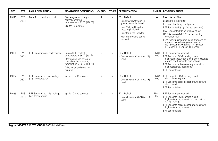| <b>DTC</b> | <b>SYS</b>           | <b>FAULT DESCRIPTION</b>                             | <b>MONITORING CONDITIONS</b>                                                                                                                                                             | <b>CK ENG</b>  | <b>OTHER</b> | <b>DEFAULT ACTION</b>                                                                                                                                                                               | <b>CM PIN</b>            | <b>POSSIBLE CAUSES</b>                                                                                                                                                                                                                                                                                                                                                                                       |
|------------|----------------------|------------------------------------------------------|------------------------------------------------------------------------------------------------------------------------------------------------------------------------------------------|----------------|--------------|-----------------------------------------------------------------------------------------------------------------------------------------------------------------------------------------------------|--------------------------|--------------------------------------------------------------------------------------------------------------------------------------------------------------------------------------------------------------------------------------------------------------------------------------------------------------------------------------------------------------------------------------------------------------|
| P0175      | <b>EMS</b><br>OBD II | Bank 2 combustion too rich                           | Start engine and bring to<br>normal operating<br>temperature > 82 °C (180 °F)<br>Idle for 10 minutes                                                                                     | $\mathfrak{D}$ | N            | <b>ECM Default:</b><br>- Bank 2 catalyst warm-up<br>ignition retard inhibited<br>- Bank 2 closed loop fuel<br>metering inhibited<br>- Canister purge inhibited<br>- Maximum engine speed<br>reduced | $\overline{\phantom{0}}$ | Restricted air filter<br>Leaking fuel injector(s)<br>IP Sensor fault (high fuel pressure)<br>EFT Sensor fault (high fuel temperature)<br>MAF Sensor fault (high intake air flow)<br>HO2 Sensor(s) (2/1, 2/2) harness wiring<br>condition fault<br>ECM receiving incorrect signal from one or<br>Finance of the following components:<br>ECT Sensor, MAF Sensor, IAT Sensor, IP Sensor, EFT Sensor, TP Sensor |
| P0181      | <b>EMS</b><br>OBD II | EFT Sensor range / performance                       | Engine OFF; coolant<br>temperature $<$ 35 °C (95 °F)<br>Start engine and drive until<br>normal engine operating<br>temperature > 82 °C (180 °F)<br>Drive for an additional 25<br>minutes | $\mathfrak{D}$ | N            | <b>ECM Default:</b><br>- Default value of 25 °C (77 °F)<br>used                                                                                                                                     | <b>EM80</b><br>$-050$    | EFT Sensor disconnected<br>EFT Sensor to ECM sensing circuit:<br>high resistance, open circuit, short circuit to<br>ground short circuit to high voltage<br>EFT Sensor to splice sensor ground circuit:<br>high resistance, open circuit<br><b>EFT Sensor failure</b>                                                                                                                                        |
| P0182      | <b>EMS</b><br>OBD II | EFT Sensor circuit low voltage<br>(high temperature) | Ignition ON 10 seconds                                                                                                                                                                   | $\overline{2}$ | N            | <b>ECM Default:</b><br>- Default value of 25 °C (77 °F)<br>used                                                                                                                                     | <b>EM80</b><br>$-050$    | EFT Sensor to ECM sensing circuit:<br>short circuit to ground<br>EFT Sensor to splice sensor ground circuit:<br>short circuit<br><b>EFT Sensor failure</b>                                                                                                                                                                                                                                                   |
| P0183      | <b>EMS</b><br>OBD II | EFT Sensor circuit high voltage<br>(low temperature) | lanition ON 10 seconds                                                                                                                                                                   | $\overline{2}$ | N            | <b>ECM Default:</b><br>- Default value of 25 °C (77 °F)<br>used                                                                                                                                     | <b>EM80</b><br>$-050$    | EFT Sensor disconnected<br>EFT Sensor to ECM sensing circuit:<br>high resistance, open circuit, short circuit<br>to high voltage<br>EFT Sensor to splice sensor ground circuit:<br>high resistance, open circuit<br><b>EFT Sensor failure</b>                                                                                                                                                                |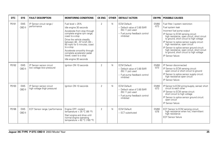| <b>DTC</b> | <b>SYS</b>           | <b>FAULT DESCRIPTION</b>                                 | <b>MONITORING CONDITIONS</b>                                                                                                                                                                                                                                                                                                                           | <b>CK ENG</b>  | <b>OTHER</b> | <b>DEFAULT ACTION</b>                                                                                                 | <b>CM PIN</b>         | <b>POSSIBLE CAUSES</b>                                                                                                                                                                                                                                                                                                                                                                                                                                            |
|------------|----------------------|----------------------------------------------------------|--------------------------------------------------------------------------------------------------------------------------------------------------------------------------------------------------------------------------------------------------------------------------------------------------------------------------------------------------------|----------------|--------------|-----------------------------------------------------------------------------------------------------------------------|-----------------------|-------------------------------------------------------------------------------------------------------------------------------------------------------------------------------------------------------------------------------------------------------------------------------------------------------------------------------------------------------------------------------------------------------------------------------------------------------------------|
| P0191      | <b>EMS</b><br>OBD II | IP Sensor circuit range /<br>performance                 | Fuel level > 25%<br>Idle engine 30 seconds<br>Accelerate from stop through<br>complete engine rpm range;<br>coast to a stop<br>Drive the vehicle steadily<br>between 48 - 97 km/h (30 -<br>60 mph) for 5 minutes; coast<br>to a stop<br>Accelerate smoothly through<br>complete accelerator pedal<br>travel: coast to a stop<br>Idle engine 30 seconds | $\overline{2}$ | N            | <b>ECM Default:</b><br>- Default value of 3.80 BAR<br>$(55.11$ psi) used<br>- Fuel pump feedback control<br>inhibited | <b>EM80</b><br>$-073$ | Fuel filter / system restriction<br>Fuel system leak<br>Incorrect fuel pump output<br>IP Sensor to ECM sensing circuit:<br>high resistance, open circuit, short circuit<br>to ground, short circuit to high voltage<br>IP Sensor to splice sensor supply circuit:<br>high resistance, open circuit<br>IP Sensor to splice sensor ground circuit:<br>high resistance, open circuit, short circuit<br>to ground, short circuit to high voltage<br>IP Sensor failure |
| P0192      | <b>EMS</b><br>OBD II | IP Sensor sensor circuit<br>low voltage (low pressure)   | lanition ON 10 seconds                                                                                                                                                                                                                                                                                                                                 | $\mathfrak{p}$ | N            | <b>ECM Default:</b><br>- Default value of 3.80 BAR<br>$(55.11$ psi) used<br>- Fuel pump feedback control<br>inhibited | <b>EM80</b><br>$-073$ | IP Sensor disconnected<br>IP Sensor to ECM sensing circuit:<br>open circuit or short circuit to ground<br>IP Sensor to splice sensor supply circuit:<br>high resistance open circuit<br>IP Sensor failure                                                                                                                                                                                                                                                         |
| P0193      | <b>EMS</b><br>OBD II | IP Sensor sensor circuit<br>high voltage (high pressure) | lanition ON 10 seconds                                                                                                                                                                                                                                                                                                                                 | $\overline{2}$ | N            | FCM Default:<br>- Default value of 3.80 BAR<br>(55.11 psi) used<br>- Fuel pump feedback control<br>inhibited          | <b>EM80</b><br>$-073$ | IP Sensor to ECM wiring (supply, sense): short<br>circuit to each other<br>IP Sensor to ECM sense circuit:<br>short circuit to high voltage<br>IP Sensor to splice sensor ground circuit:<br>open circuit<br>IP Sensor failure                                                                                                                                                                                                                                    |
| P0196      | <b>EMS</b><br>OBD II | EOT Sensor range / performance                           | Engine OFF; coolant<br>temperature < $35 °C$ (95 °F)<br>Start engine and drive until<br>normal engine operating<br>temperature > $82 °C$ (180 °F)                                                                                                                                                                                                      | $\overline{2}$ | N            | <b>ECM Default:</b><br>- ECT substituted                                                                              | <b>EM80</b><br>$-078$ | EOT Sensor to ECM sensing circuit;<br>high resistance when hot, intermittent<br>high resistance<br><b>EOT Sensor failure</b>                                                                                                                                                                                                                                                                                                                                      |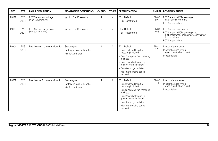| <b>DTC</b> | <b>SYS</b>           | <b>FAULT DESCRIPTION</b>                            | <b>MONITORING CONDITIONS</b>                                     | <b>CK ENG</b>  | <b>OTHER</b> | <b>DEFAULT ACTION</b>                                                                                                                                                                                                                             | CM PIN                | <b>POSSIBLE CAUSES</b>                                                                                                                                                 |
|------------|----------------------|-----------------------------------------------------|------------------------------------------------------------------|----------------|--------------|---------------------------------------------------------------------------------------------------------------------------------------------------------------------------------------------------------------------------------------------------|-----------------------|------------------------------------------------------------------------------------------------------------------------------------------------------------------------|
| P0197      | <b>EMS</b><br>OBD II | <b>EOT Sensor low voltage</b><br>(high temperature) | Ignition ON 10 seconds                                           | $\overline{2}$ | N            | <b>ECM Default:</b><br>- ECT substituted                                                                                                                                                                                                          | <b>EM80</b><br>$-078$ | EOT Sensor to ECM sensing circuit:<br>short circuit to ground<br><b>EOT Sensor failure</b>                                                                             |
| P0198      | <b>EMS</b><br>OBD II | EOT Sensor high voltage<br>(low temperature)        | lanition ON 10 seconds                                           | $\overline{2}$ | N            | <b>ECM Default:</b><br>- ECT substituted                                                                                                                                                                                                          | <b>EM80</b><br>$-078$ | <b>EOT Sensor disconnected</b><br>EOT Sensor to ECM sensing circuit:<br>high resistance, open circuit, short circuit<br>$to$ $B+$ voltage<br><b>EOT Sensor failure</b> |
| P0201      | <b>EMS</b><br>OBD II | Fuel injector 1 circuit malfunction                 | Start engine<br>Battery voltage > 12 volts<br>Idle for 2 minutes | $\overline{2}$ | Α            | <b>ECM Default:</b><br>- Bank 1 closed loop fuel<br>metering inhibited<br>- Bank 1 adaptive fuel metering<br>inhibited<br>Bank 1 catalyst warm up<br>ignition retard inhibited<br>- Canister purge inhibited<br>- Maximum engine speed<br>reduced | <b>EM80</b><br>$-120$ | Injector disconnected<br>Injector harness wiring:<br>open circuit, short circuit<br>Injector failure                                                                   |
| P0202      | <b>EMS</b><br>OBD II | Fuel injector 2 circuit malfunction                 | Start engine<br>Battery voltage > 12 volts<br>Idle for 2 minutes | 2              | A            | <b>ECM Default:</b><br>- Bank 2 closed loop fuel<br>metering inhibited<br>Bank 2 adaptive fuel metering<br>inhibited<br>Bank 2 catalyst warm up<br>ignition retard inhibited<br>- Canister purge inhibited<br>- Maximum engine speed<br>reduced   | <b>EM80</b><br>$-115$ | Injector disconnected<br>Injector harness wiring:<br>open circuit, short circuit<br>Injector failure                                                                   |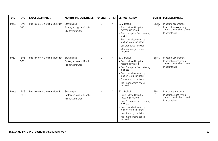| <b>DTC</b> | <b>SYS</b>           | <b>FAULT DESCRIPTION</b>            | <b>MONITORING CONDITIONS</b>                                     | <b>CK ENG</b>  | <b>OTHER</b> | <b>DEFAULT ACTION</b>                                                                                                                                                                                                                           | <b>CM PIN</b>         | <b>POSSIBLE CAUSES</b>                                                                               |
|------------|----------------------|-------------------------------------|------------------------------------------------------------------|----------------|--------------|-------------------------------------------------------------------------------------------------------------------------------------------------------------------------------------------------------------------------------------------------|-----------------------|------------------------------------------------------------------------------------------------------|
| P0203      | <b>EMS</b><br>OBD II | Fuel injector 3 circuit malfunction | Start engine<br>Battery voltage > 12 volts<br>Idle for 2 minutes | $\overline{2}$ | Α            | <b>ECM Default:</b><br>- Bank 1 closed loop fuel<br>metering inhibited<br>Bank 1 adaptive fuel metering<br>inhibited<br>Bank 1 catalyst warm up<br>ignition retard inhibited<br>- Canister purge inhibited<br>- Maximum engine speed<br>reduced | <b>EM80</b><br>$-114$ | Injector disconnected<br>Injector harness wiring:<br>open circuit, short circuit<br>Injector failure |
| P0204      | <b>EMS</b><br>OBD II | Fuel injector 4 circuit malfunction | Start engine<br>Battery voltage > 12 volts<br>Idle for 2 minutes | $\overline{2}$ | A            | <b>ECM Default:</b><br>- Bank 2 closed loop fuel<br>metering inhibited<br>Bank 2 adaptive fuel metering<br>inhibited<br>Bank 2 catalyst warm up<br>ignition retard inhibited<br>- Canister purge inhibited<br>- Maximum engine speed<br>reduced | <b>EM80</b><br>$-119$ | Injector disconnected<br>Injector harness wiring:<br>open circuit, short circuit<br>Injector failure |
| P0205      | <b>EMS</b><br>OBD II | Fuel injector 5 circuit malfunction | Start engine<br>Battery voltage > 12 volts<br>Idle for 2 minutes | $\overline{2}$ | Α            | <b>ECM Default:</b><br>- Bank 1 closed loop fuel<br>metering inhibited<br>Bank 1 adaptive fuel metering<br>inhibited<br>Bank 1 catalyst warm up<br>ignition retard inhibited<br>- Canister purge inhibited<br>- Maximum engine speed<br>reduced | <b>EM80</b><br>$-113$ | Injector disconnected<br>Injector harness wiring:<br>open circuit, short circuit<br>Injector failure |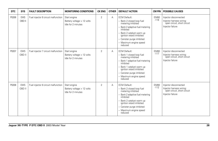| <b>DTC</b> | <b>SYS</b>           | <b>FAULT DESCRIPTION</b>            | <b>MONITORING CONDITIONS</b>                                     | <b>CK ENG</b>  | <b>OTHER</b> | <b>DEFAULT ACTION</b>                                                                                                                                                                                                                               | <b>CM PIN</b>         | <b>POSSIBLE CAUSES</b>                                                                               |
|------------|----------------------|-------------------------------------|------------------------------------------------------------------|----------------|--------------|-----------------------------------------------------------------------------------------------------------------------------------------------------------------------------------------------------------------------------------------------------|-----------------------|------------------------------------------------------------------------------------------------------|
| P0206      | <b>EMS</b><br>OBD II | Fuel injector 6 circuit malfunction | Start engine<br>Battery voltage > 12 volts<br>Idle for 2 minutes | $\overline{2}$ | A            | <b>ECM Default:</b><br>- Bank 2 closed loop fuel<br>metering inhibited<br>- Bank 2 adaptive fuel metering<br>inhibited<br>- Bank 2 catalyst warm up<br>ignition retard inhibited<br>- Canister purge inhibited<br>- Maximum engine speed<br>reduced | <b>EM80</b><br>$-118$ | Injector disconnected<br>Injector harness wiring:<br>open circuit, short circuit<br>Injector failure |
| P0207      | <b>EMS</b><br>OBD II | Fuel injector 7 circuit malfunction | Start engine<br>Battery voltage > 12 volts<br>Idle for 2 minutes | $\overline{2}$ | A            | <b>ECM Default:</b><br>- Bank 1 closed loop fuel<br>metering inhibited<br>- Bank 1 adaptive fuel metering<br>inhibited<br>- Bank 1 catalyst warm up<br>janition retard inhibited<br>- Canister purge inhibited<br>- Maximum engine speed<br>reduced | <b>EM80</b><br>$-117$ | Injector disconnected<br>Injector harness wiring:<br>open circuit, short circuit<br>Injector failure |
| P0208      | <b>EMS</b><br>OBD II | Fuel injector 8 circuit malfunction | Start engine<br>Battery voltage > 12 volts<br>Idle for 2 minutes | $\overline{2}$ | Α            | <b>ECM Default:</b><br>- Bank 2 closed loop fuel<br>metering inhibited<br>- Bank 2 adaptive fuel metering<br>inhibited<br>- Bank 2 catalyst warm up<br>ignition retard inhibited<br>- Canister purge inhibited<br>- Maximum engine speed<br>reduced | <b>EM80</b><br>$-112$ | Injector disconnected<br>Injector harness wiring:<br>open circuit, short circuit<br>Injector failure |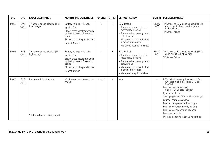| <b>DTC</b> | <b>SYS</b>           | <b>FAULT DESCRIPTION</b>                                  | <b>MONITORING CONDITIONS</b>                                                                                                                                               | <b>CK ENG</b>  | <b>OTHER</b> | <b>DEFAULT ACTION</b>                                                                                                                                                                                                            | <b>CM PIN</b>         | <b>POSSIBLE CAUSES</b>                                                                                                                                                                                                                                                                                                                                                                                                                                    |
|------------|----------------------|-----------------------------------------------------------|----------------------------------------------------------------------------------------------------------------------------------------------------------------------------|----------------|--------------|----------------------------------------------------------------------------------------------------------------------------------------------------------------------------------------------------------------------------------|-----------------------|-----------------------------------------------------------------------------------------------------------------------------------------------------------------------------------------------------------------------------------------------------------------------------------------------------------------------------------------------------------------------------------------------------------------------------------------------------------|
| P0222      | <b>EMS</b><br>OBD II | TP Sensor sense circuit 2 (TP2)<br>low voltage            | Battery voltage > 10 volts<br>Ignition ON<br>Slowly press accelerator pedal<br>to the floor over a 5 second<br>period<br>Slowly return the pedal to rest<br>Repeat 3 times | $\overline{2}$ | R            | <b>ECM Default:</b><br>- Throttle motor and throttle<br>motor relay disabled<br>- Throttle valve opening set to<br>default value<br>- Idle speed controlled by fuel<br>injection intervention<br>- Idle speed adaption inhibited | <b>EM80</b><br>$-076$ | TP Sensor to ECM sensing circuit (TP2):<br>open circuit, short circuit to ground,<br>high resistance<br>TP Sensor failure                                                                                                                                                                                                                                                                                                                                 |
| P0223      | <b>EMS</b><br>OBD II | TP Sensor sense circuit 2 (TP2)<br>high voltage           | Battery voltage > 10 volts<br>Ignition ON<br>Slowly press accelerator pedal<br>to the floor over a 5 second<br>period<br>Slowly return the pedal to rest<br>Repeat 3 times | $\overline{2}$ | R            | <b>ECM Default:</b><br>- Throttle motor and throttle<br>motor relay disabled<br>- Throttle valve opening set to<br>default value<br>- Idle speed controlled by fuel<br>injection intervention<br>- Idle speed adaption inhibited | <b>EM80</b><br>$-076$ | TP Sensor to ECM sensing circuit (TP2):<br>short circuit to high voltage<br>TP Sensor failure                                                                                                                                                                                                                                                                                                                                                             |
| P0300      | <b>EMS</b><br>OBD II | Random misfire detected<br>*Refer to Misfire Note, page 6 | Misfire monitor drive cycle -<br>page 6                                                                                                                                    | 1 or $2^*$     | N            | None                                                                                                                                                                                                                             |                       | ECM to ignition coil primary circuit fault<br>(Cylinder misfire detected DTC also<br>flagged)<br>Fuel injector circuit fault(s)<br>(Injector DTCs also flagged)<br>Ignition coil failure<br>Spark plug failure / fouled / incorrect gap<br>Cylinder compression low<br>Fuel delivery pressure (low / high)<br>Fuel injector(s) restricted / leaking<br>Fuel injector(s) continuously open<br>Fuel contamination<br>Worn camshaft / broken valve spring(s) |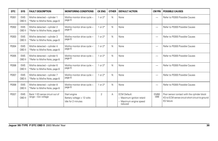| <b>DTC</b> | <b>SYS</b>           | <b>FAULT DESCRIPTION</b>                                        | <b>MONITORING CONDITIONS</b>                                     | <b>CK ENG</b>  | <b>OTHER</b> | <b>DEFAULT ACTION</b>                                                                 | <b>CM PIN</b>            | <b>POSSIBLE CAUSES</b>                                                                                       |
|------------|----------------------|-----------------------------------------------------------------|------------------------------------------------------------------|----------------|--------------|---------------------------------------------------------------------------------------|--------------------------|--------------------------------------------------------------------------------------------------------------|
| P0301      | <b>EMS</b><br>OBD II | Misfire detected - cylinder 1<br>*Refer to Misfire Note, page 6 | Misfire monitor drive cycle -<br>page 6                          | 1 or $2*$      | N            | None                                                                                  | $\overline{\phantom{0}}$ | Refer to P0300 Possible Causes                                                                               |
| P0302      | <b>EMS</b><br>OBD II | Misfire detected - cylinder 2<br>*Refer to Misfire Note, page 6 | Misfire monitor drive cycle -<br>page 6                          | 1 or $2*$      | N            | None                                                                                  | -                        | Refer to P0300 Possible Causes                                                                               |
| P0303      | <b>EMS</b><br>OBD II | Misfire detected - cylinder 3<br>*Refer to Misfire Note, page 6 | Misfire monitor drive cycle -<br>page 6                          | 1 or $2*$      | N            | None                                                                                  | $\overline{\phantom{0}}$ | Refer to P0300 Possible Causes                                                                               |
| P0304      | <b>EMS</b><br>OBD II | Misfire detected - cylinder 4<br>*Refer to Misfire Note, page 6 | Misfire monitor drive cycle -<br>page 6                          | 1 or $2*$      | N            | None                                                                                  | $\overline{\phantom{0}}$ | Refer to P0300 Possible Causes                                                                               |
| P0305      | <b>EMS</b><br>OBD II | Misfire detected - cylinder 5<br>*Refer to Misfire Note, page 6 | Misfire monitor drive cycle -<br>page 6                          | 1 or $2*$      | N            | None                                                                                  | —                        | Refer to P0300 Possible Causes                                                                               |
| P0306      | <b>EMS</b><br>OBD II | Misfire detected - cylinder 6<br>*Refer to Misfire Note, page 6 | Misfire monitor drive cycle -<br>page 6                          | 1 or $2*$      | N            | None                                                                                  | $\overline{\phantom{0}}$ | Refer to P0300 Possible Causes                                                                               |
| P0307      | <b>EMS</b><br>OBD II | Misfire detected - cylinder 7<br>*Refer to Misfire Note, page 6 | Misfire monitor drive cycle -<br>page 6                          | 1 or $2*$      | N            | None                                                                                  | $\overline{\phantom{0}}$ | Refer to P0300 Possible Causes                                                                               |
| P0308      | <b>EMS</b><br>OBD II | Misfire detected - cylinder 8<br>*Refer to Misfire Note, page 6 | Misfire monitor drive cycle -<br>page 6                          | 1 or $2*$      | N            | None                                                                                  | $\overline{\phantom{0}}$ | Refer to P0300 Possible Causes                                                                               |
| P0327      | <b>EMS</b><br>OBD II | Bank 1 KS sense circuit out of<br>range - low voltage           | Start engine<br>Battery voltage > 12 volts<br>Idle for 2 minutes | $\overline{2}$ | А            | <b>ECM Default:</b><br>- Maximum ignition retard<br>- Maximum engine speed<br>reduced | EM80<br>$-098$           | Poor sensor contact with the cylinder block<br>KS to ECM sense circuit short circuit to ground<br>KS failure |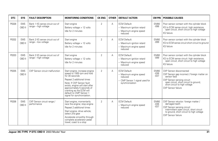| <b>DTC</b> | <b>SYS</b>           | <b>FAULT DESCRIPTION</b>                               | <b>MONITORING CONDITIONS</b>                                                                                                                                                                                                                                                                   | <b>CK ENG</b>  | <b>OTHER</b> | <b>DEFAULT ACTION</b>                                                                                         | <b>CM PIN</b>                    | <b>POSSIBLE CAUSES</b>                                                                                                                                                                                                 |
|------------|----------------------|--------------------------------------------------------|------------------------------------------------------------------------------------------------------------------------------------------------------------------------------------------------------------------------------------------------------------------------------------------------|----------------|--------------|---------------------------------------------------------------------------------------------------------------|----------------------------------|------------------------------------------------------------------------------------------------------------------------------------------------------------------------------------------------------------------------|
| P0328      | <b>EMS</b><br>OBD II | Bank 1 KS sense circuit out of<br>range - high voltage | Start engine<br>Battery voltage > 12 volts<br>Idle for 2 minutes                                                                                                                                                                                                                               | 2              | Α            | <b>ECM Default:</b><br>- Maximum ignition retard<br>- Maximum engine speed<br>reduced                         | <b>EM80</b><br>$-098$            | Poor sensor contact with the cylinder block<br>KS to ECM sense circuit: high resistance,<br>open circuit, short circuit to high voltage<br>KS failure                                                                  |
| P0332      | <b>EMS</b><br>OBD II | Bank 2 KS sense circuit out of<br>range - low voltage  | Start engine<br>Battery voltage > 12 volts<br>Idle for 2 minutes                                                                                                                                                                                                                               | $\overline{2}$ | A            | <b>ECM Default:</b><br>- Maximum ignition retard<br>- Maximum engine speed<br>reduced                         | <b>EM80</b><br>$-0.99$           | Poor sensor contact with the cylinder block<br>KS to ECM sense circuit short circuit to ground<br>KS failure                                                                                                           |
| P0333      | <b>EMS</b><br>OBD II | Bank 2 KS sense circuit out of<br>range - high voltage | Start engine<br>Battery voltage > 12 volts<br>Idle for 2 minutes                                                                                                                                                                                                                               | 2              | A            | <b>ECM Default:</b><br>- Maximum ignition retard<br>- Maximum engine speed<br>reduced                         | <b>EM80</b><br>$-099$            | Poor sensor contact with the cylinder block<br>KS to ECM sense circuit: high resistance,<br>open circuit, short circuit to high voltage<br>KS failure                                                                  |
| P0335      | <b>EMS</b><br>OBD II | CKP Sensor circuit malfunction                         | Start engine; increase engine<br>speed to 1500 rpm and hold<br>for 30 seconds<br>Repeat 2 additional times<br>Note: If CKP Sensor fault<br>exists, engine will start after<br>approximately 5 seconds of<br>cranking as the ECM will<br>default to CMP Sensor 1<br>signal for synchronization. | 2              | A            | <b>ECM Default:</b><br>- Maximum engine speed<br>reduced<br>- CMP Sensor 1 signal used for<br>synchronization | <b>EM80</b><br>$-036$<br>$-0.37$ | CKP Sensor disconnected<br>CKP Sensor gap incorrect / foreign matter on<br>sensor face<br>CKP Sensor sensing circuit:<br>open circuit, short circuit to ground,<br>short circuit to high voltage<br>CKP Sensor failure |
| P0336      | <b>EMS</b><br>OBD II | CKP Sensor circuit range /<br>performance              | Start engine; momentarily<br>race the engine; stop engine<br>Repeat 2 additional times<br>Start engine; drive vehicle;<br>select 2nd gear<br>Accelerate smoothly through<br>complete accelerator pedal<br>travel; coast to a stop                                                              | $\overline{2}$ | Α            | <b>ECM Default:</b><br>- Maximum engine speed<br>reduced                                                      | <b>EM80</b><br>$-036$<br>$-037$  | CKP Sensor reluctor: foreign matter /<br>damaged teeth<br>CKP Sensor sensing circuit:<br>intermittent open circuit, short circuit<br>to ground, short circuit to high voltage<br>CKP Sensor failure                    |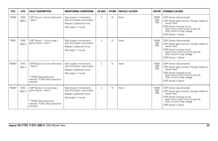| <b>DTC</b> | <b>SYS</b>           | <b>FAULT DESCRIPTION</b>                                                                                                         | <b>MONITORING CONDITIONS</b>                                                                                   | <b>CK ENG</b>  | <b>OTHER</b> | <b>DEFAULT ACTION</b> | CM PIN                           | <b>POSSIBLE CAUSES</b>                                                                                                                                                                                                   |
|------------|----------------------|----------------------------------------------------------------------------------------------------------------------------------|----------------------------------------------------------------------------------------------------------------|----------------|--------------|-----------------------|----------------------------------|--------------------------------------------------------------------------------------------------------------------------------------------------------------------------------------------------------------------------|
| P0340      | <b>EMS</b><br>OBD II | CMP Sensor 1 circuit malfunction<br>- bank 1                                                                                     | Start engine; momentarily<br>race the engine; stop engine<br>Repeat 2 additional times<br>Idle engine 1 minute | $\overline{2}$ | N            | None                  | <b>EM80</b><br>$-094$<br>$-0.95$ | CMP Sensor disconnected<br>CMP Sensor gap incorrect / foreign matter on<br>sensor face<br>CMP Sensor sensing circuit:<br>open circuit, short circuit to ground,<br>short circuit to high voltage<br>CMP Sensor 1 failure |
| P0341      | <b>EMS</b><br>OBD II | CMP Sensor 1 circuit range /<br>performance - bank 1                                                                             | Start engine; momentarily<br>race the engine; stop engine<br>Repeat 2 additional times<br>Idle engine 1 minute | $\overline{2}$ | N            | None                  | <b>EM80</b><br>$-094$<br>$-0.95$ | CMP Sensor disconnected<br>CMP Sensor gap incorrect / foreign matter on<br>sensor face<br>CMP Sensor sensing circuit:<br>open circuit, short circuit to ground,<br>short circuit to high voltage<br>CMP Sensor 1 failure |
| P0345*     | <b>EMS</b><br>OBD II | CMP Sensor 2 circuit malfunction<br>$-$ bank 2<br>* P0345 Early production<br>vehicles; P1340 later production<br>vehicles       | Start engine; momentarily<br>race the engine; stop engine<br>Repeat 2 additional times<br>Idle engine 1 minute | $\overline{2}$ | N            | None                  | <b>EM80</b><br>$-068$<br>$-069$  | CMP Sensor disconnected<br>CMP Sensor gap incorrect / foreign matter on<br>sensor face<br>CMP Sensor sensing circuit:<br>open circuit, short circuit to ground,<br>short circuit to high voltage<br>CMP Sensor 2 failure |
| P0346*     | <b>EMS</b><br>OBD II | CMP Sensor 2 circuit range /<br>performance - bank 2<br>* P0346 Early production<br>vehicles; P1341 later production<br>vehicles | Start engine; momentarily<br>race the engine; stop engine<br>Repeat 2 additional times<br>Idle engine 1 minute | $\overline{2}$ | N            | None                  | EM80<br>$-068$<br>$-069$         | CMP Sensor disconnected<br>CMP Sensor gap incorrect / foreign matter on<br>sensor face<br>CMP Sensor sensing circuit:<br>open circuit, short circuit to ground,<br>short circuit to high voltage<br>CMP Sensor 2 failure |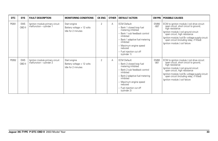| <b>DTC</b> | <b>SYS</b>           | <b>FAULT DESCRIPTION</b>                                    | <b>MONITORING CONDITIONS</b>                                       | <b>CK ENG</b>  | <b>OTHER</b> | <b>DEFAULT ACTION</b>                                                                                                                                                                                                                               | CM PIN                | <b>POSSIBLE CAUSES</b>                                                                                                                                                                                                                                                                                                    |
|------------|----------------------|-------------------------------------------------------------|--------------------------------------------------------------------|----------------|--------------|-----------------------------------------------------------------------------------------------------------------------------------------------------------------------------------------------------------------------------------------------------|-----------------------|---------------------------------------------------------------------------------------------------------------------------------------------------------------------------------------------------------------------------------------------------------------------------------------------------------------------------|
| P0351      | <b>EMS</b><br>OBD II | Ignition module primary circuit<br>malfunction – cylinder 1 | Start engine<br>Battery voltage $> 12$ volts<br>Idle for 2 minutes | $\overline{2}$ | Α            | <b>ECM Default:</b><br>Bank 1 closed loop fuel<br>metering inhibited<br>- Bank 1 sub feedback control<br>inhibited<br>Bank 1 adaptive fuel metering<br>inhibited<br>- Maximum engine speed<br>reduced<br>- Fuel injection cut off<br>(cylinder 1)   | EM80<br>$-087$        | ECM to ignition module / coil drive circuit:<br>open circuit, short circuit to ground,<br>high resistance<br>Ignition module / coil ground circuit:<br>open circuit, high resistance<br>Ignition module / coil B + voltage supply circuit:<br>open circuit (including relay, if fitted)<br>Ignition module / coil failure |
| P0352      | <b>EMS</b><br>OBD II | Ignition module primary circuit<br>malfunction - cylinder 2 | Start engine<br>Battery voltage > 12 volts<br>Idle for 2 minutes   | $\overline{2}$ | Α            | <b>ECM Default:</b><br>- Bank 2 closed loop fuel<br>metering inhibited<br>- Bank 2 sub feedback control<br>inhibited<br>Bank 2 adaptive fuel metering<br>inhibited<br>- Maximum engine speed<br>reduced<br>- Fuel injection cut off<br>(cylinder 2) | <b>EM80</b><br>$-061$ | ECM to ignition module / coil drive circuit:<br>open circuit, short circuit to ground,<br>high resistance<br>Ignition module / coil ground circuit:<br>open circuit, high resistance<br>Ignition module / coil B+ voltage supply circuit:<br>open circuit (including relay, if fitted)<br>Ignition module / coil failure  |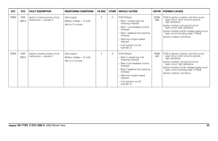| <b>DTC</b> | <b>SYS</b>           | <b>FAULT DESCRIPTION</b>                                    | <b>MONITORING CONDITIONS</b>                                       | <b>CK ENG</b>  | <b>OTHER</b> | <b>DEFAULT ACTION</b>                                                                                                                                                                                                                             |                       | <b>CM PIN   POSSIBLE CAUSES</b>                                                                                                                                                                                                                                                                                          |
|------------|----------------------|-------------------------------------------------------------|--------------------------------------------------------------------|----------------|--------------|---------------------------------------------------------------------------------------------------------------------------------------------------------------------------------------------------------------------------------------------------|-----------------------|--------------------------------------------------------------------------------------------------------------------------------------------------------------------------------------------------------------------------------------------------------------------------------------------------------------------------|
| P0353      | <b>EMS</b><br>OBD II | Ignition module primary circuit<br>malfunction - cylinder 3 | Start engine<br>Battery voltage $> 12$ volts<br>Idle for 2 minutes | $\overline{2}$ | Α            | <b>ECM Default:</b><br>- Bank 1 closed loop fuel<br>metering inhibited<br>Bank 1 sub feedback control<br>inhibited<br>Bank 1 adaptive fuel metering<br>inhibited<br>- Maximum engine speed<br>reduced<br>- Fuel injection cut off<br>(cylinder 3) | <b>EM80</b><br>$-088$ | ECM to ignition module / coil drive circuit:<br>open circuit, short circuit to ground,<br>high resistance<br>Ignition module / coil ground circuit:<br>open circuit, high resistance<br>Ignition module / coil B+ voltage supply circuit:<br>open circuit (including relay, if fitted)<br>Ignition module / coil failure |
| P0354      | <b>EMS</b><br>OBD II | Ignition module primary circuit<br>malfunction - cylinder 4 | Start engine<br>Battery voltage $> 12$ volts<br>Idle for 2 minutes | 2              | Α            | <b>ECM Default:</b><br>Bank 2 closed loop fuel<br>metering inhibited<br>Bank 2 sub feedback control<br>inhibited<br>Bank 2 adaptive fuel metering<br>inhibited<br>- Maximum engine speed<br>reduced<br>- Fuel injection cut off<br>(cylinder 4)   | <b>EM80</b><br>$-062$ | ECM to ignition module / coil drive circuit:<br>open circuit, short circuit to ground,<br>high resistance<br>Ignition module / coil ground circuit:<br>open circuit, high resistance<br>Ignition module / coil B+ voltage supply circuit:<br>open circuit (including relay, if fitted)<br>Ignition module / coil failure |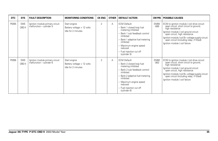| <b>DTC</b> | <b>SYS</b>           | <b>FAULT DESCRIPTION</b>                                        | <b>MONITORING CONDITIONS</b>                                       | <b>CK ENG</b>  | <b>OTHER</b> | <b>DEFAULT ACTION</b>                                                                                                                                                                                                                             | CM PIN                | <b>POSSIBLE CAUSES</b>                                                                                                                                                                                                                                                                                                    |
|------------|----------------------|-----------------------------------------------------------------|--------------------------------------------------------------------|----------------|--------------|---------------------------------------------------------------------------------------------------------------------------------------------------------------------------------------------------------------------------------------------------|-----------------------|---------------------------------------------------------------------------------------------------------------------------------------------------------------------------------------------------------------------------------------------------------------------------------------------------------------------------|
| P0355      | <b>EMS</b><br>OBD II | Ignition module primary circuit<br>malfunction – cylinder 5     | Start engine<br>Battery voltage $> 12$ volts<br>Idle for 2 minutes | $\overline{2}$ | A            | <b>ECM Default:</b><br>Bank 1 closed loop fuel<br>metering inhibited<br>- Bank 1 sub feedback control<br>inhibited<br>Bank 1 adaptive fuel metering<br>inhibited<br>- Maximum engine speed<br>reduced<br>- Fuel injection cut off<br>(cylinder 5) | <b>EM80</b><br>$-089$ | ECM to ignition module / coil drive circuit:<br>open circuit, short circuit to ground,<br>high resistance<br>Ignition module / coil ground circuit:<br>open circuit, high resistance<br>Ignition module / coil B + voltage supply circuit:<br>open circuit (including relay, if fitted)<br>Ignition module / coil failure |
| P0356      | <b>EMS</b><br>OBD II | Ignition module primary circuit<br>malfunction $-$ cylinder $6$ | Start engine<br>Battery voltage $> 12$ volts<br>Idle for 2 minutes | $\overline{2}$ | Α            | <b>ECM Default:</b><br>Bank 2 closed loop fuel<br>metering inhibited<br>Bank 2 sub feedback control<br>inhibited<br>Bank 2 adaptive fuel metering<br>inhibited<br>- Maximum engine speed<br>reduced<br>- Fuel injection cut off<br>(cylinder 6)   | <b>EM80</b><br>$-063$ | ECM to ignition module / coil drive circuit:<br>open circuit, short circuit to ground,<br>high resistance<br>Ignition module / coil ground circuit:<br>open circuit, high resistance<br>Ignition module / coil B+ voltage supply circuit:<br>open circuit (including relay, if fitted)<br>Ignition module / coil failure  |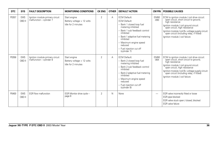| <b>DTC</b> | <b>SYS</b>           | <b>FAULT DESCRIPTION</b>                                    | <b>MONITORING CONDITIONS</b>                                     | <b>CK ENG</b>  | <b>OTHER</b> | <b>DEFAULT ACTION</b>                                                                                                                                                                                                                                                        |                          | <b>CM PIN   POSSIBLE CAUSES</b>                                                                                                                                                                                                                                                                                           |
|------------|----------------------|-------------------------------------------------------------|------------------------------------------------------------------|----------------|--------------|------------------------------------------------------------------------------------------------------------------------------------------------------------------------------------------------------------------------------------------------------------------------------|--------------------------|---------------------------------------------------------------------------------------------------------------------------------------------------------------------------------------------------------------------------------------------------------------------------------------------------------------------------|
| P0357      | <b>EMS</b><br>OBD II | Ignition module primary circuit<br>malfunction - cylinder 7 | Start engine<br>Battery voltage > 12 volts<br>Idle for 2 minutes | $\overline{2}$ | A            | <b>ECM Default:</b><br><b>ECM Default:</b><br>- Bank 1 closed loop fuel<br>metering inhibited<br>- Bank 1 sub feedback control<br>inhibited<br>- Bank 1 adaptive fuel metering<br>inhibited<br>- Maximum engine speed<br>reduced<br>- Fuel injection cut off<br>(cylinder 7) | <b>EM80</b><br>$-090$    | ECM to ignition module / coil drive circuit:<br>open circuit, short circuit to ground,<br>high resistance<br>Ignition module / coil ground circuit:<br>open circuit, high resistance<br>Ignition module / coil B + voltage supply circuit:<br>open circuit (including relay, if fitted)<br>Ignition module / coil failure |
| P0358      | <b>EMS</b><br>OBD II | Ignition module primary circuit<br>malfunction - cylinder 8 | Start engine<br>Battery voltage > 12 volts<br>Idle for 2 minutes | $\overline{2}$ | A            | <b>ECM Default:</b><br>- Bank 2 closed loop fuel<br>metering inhibited<br>- Bank 2 sub feedback control<br>inhibited<br>- Bank 2 adaptive fuel metering<br>inhibited<br>- Maximum engine speed<br>reduced<br>- Fuel injection cut off<br>(cylinder 8)                        | <b>EM80</b><br>$-064$    | ECM to ignition module / coil drive circuit:<br>open circuit, short circuit to ground,<br>high resistance<br>Ignition module / coil ground circuit:<br>open circuit, high resistance<br>Ignition module / coil B+ voltage supply circuit:<br>open circuit (including relay, if fitted)<br>Ignition module / coil failure  |
| P0400      | <b>EMS</b><br>OBD II | EGR flow malfunction                                        | EGR Monitor drive cycle -<br>page 8                              | $\overline{2}$ | N            | None                                                                                                                                                                                                                                                                         | $\overline{\phantom{0}}$ | EGR valve incorrectly fitted or loose<br>EGR pipe blocked<br>EGR valve stuck open / closed, blocked<br>EGR valve failure                                                                                                                                                                                                  |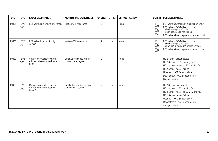| <b>DTC</b> | <b>SYS</b>           | <b>FAULT DESCRIPTION</b>                                             | <b>MONITORING CONDITIONS</b>                        | <b>CK ENG</b>  | <b>OTHER</b> | <b>DEFAULT ACTION</b> | <b>CM PIN</b>                                           | <b>POSSIBLE CAUSES</b>                                                                                                                                                                                                          |
|------------|----------------------|----------------------------------------------------------------------|-----------------------------------------------------|----------------|--------------|-----------------------|---------------------------------------------------------|---------------------------------------------------------------------------------------------------------------------------------------------------------------------------------------------------------------------------------|
| P0405      | <b>EMS</b><br>OBD II | EGR valve drive circuits low voltage                                 | lanition ON 10 seconds                              | $\overline{2}$ | N            | None                  | IP <sub>1</sub><br>$-057$<br>$-058$<br>$-059$<br>$-060$ | EGR valve power supply circuit open circuit<br>EGR valve to ECM drive circuit pair<br>(EGR valve pins 1/4, 6/3):<br>open circuit, high resistance<br>EGR valve failure (stepper motor open circuit)                             |
| P0406      | <b>EMS</b><br>OBD II | EGR valve drive circuits high<br>voltage                             | Ignition ON 10 seconds                              | $\overline{2}$ | N            | None                  | IP1<br>$-057$<br>$-058$<br>$-059$<br>$-600$             | EGR valve to ECM drive circuit pair<br>(EGR valve pins 1/4, 6/3):<br>short circuit to ground or high voltage<br>EGR valve failure (stepper motor short circuit)                                                                 |
| P0420      | <b>EMS</b><br>OBD II | Catalytic converter system<br>efficiency below threshold -<br>bank 1 | Catalyst efficiency monitor<br>drive cycle - page 6 | $\overline{2}$ | $\mathsf{N}$ | None                  | $\overline{\phantom{0}}$                                | HO <sub>2</sub> Sensor disconnected<br>HO2 Sensor to ECM wiring fault<br>HO2 Sensor heater to ECM wiring fault<br>HO2 Sensor heater failure<br>Upstream HO2 Sensor failure<br>Downstream HO2 Sensor failure<br>Catalyst failure |
| P0430      | <b>EMS</b><br>OBD II | Catalytic converter system<br>efficiency below threshold -<br>bank 2 | Catalyst efficiency monitor<br>drive cycle - page 6 | $\overline{2}$ | N            | None                  | $\overline{\phantom{0}}$                                | HO2 Sensor disconnected<br>HO2 Sensor to ECM wiring fault<br>HO2 Sensor heater to ECM wiring fault<br>HO2 Sensor heater failure<br>Upstream HO2 Sensor failure<br>Downstream HO2 Sensor failure<br>Catalyst failure             |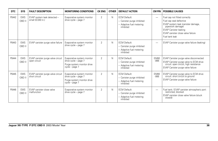| DTC   | <b>SYS</b>           | <b>FAULT DESCRIPTION</b>                           | <b>MONITORING CONDITIONS</b>                                                                             | <b>CK ENG</b>  | <b>OTHER</b> | <b>DEFAULT ACTION</b>                                                                      | CM PIN                   | <b>POSSIBLE CAUSES</b>                                                                                                                                                                                    |
|-------|----------------------|----------------------------------------------------|----------------------------------------------------------------------------------------------------------|----------------|--------------|--------------------------------------------------------------------------------------------|--------------------------|-----------------------------------------------------------------------------------------------------------------------------------------------------------------------------------------------------------|
| P0442 | <b>EMS</b><br>OBD II | EVAP system leak detected -<br>small (0.040 in.)   | Evaporative system monitor<br>drive cycle - page 7                                                       | $\overline{2}$ | N            | <b>ECM Default:</b><br>- Canister purge inhibited<br>- Adaptive fuel metering<br>inhibited | $\overline{\phantom{0}}$ | Fuel cap not fitted correctly<br>Fuel cap seal defective<br>EVAP system leak (canister damage,<br>pipework damage)<br><b>EVAP Canister leaking</b><br>EVAP canister close valve failure<br>Fuel tank leak |
| P0443 | <b>EMS</b><br>OBD II | EVAP canister purge valve failure                  | Evaporative system monitor<br>drive cycle - page 7                                                       | $\overline{2}$ | N            | <b>ECM Default:</b><br>- Canister purge inhibited<br>- Adaptive fuel metering<br>inhibited | $\overline{\phantom{0}}$ | EVAP Canister purge valve failure (leaking)                                                                                                                                                               |
| P0444 | <b>EMS</b><br>OBD II | EVAP canister purge valve circuit<br>open circuit  | Evaporative system monitor<br>$drive$ cycle $-$ page $7$<br>Purge system monitor drive<br>cycle - page 7 | $\overline{2}$ | N            | <b>ECM Default:</b><br>- Canister purge inhibited<br>- Adaptive fuel metering<br>inhibited | <b>EM80</b><br>$-066$    | EVAP Canister purge valve disconnected<br>EVAP Canister purge valve to ECM drive<br>circuit: open circuit, high resistance<br>EVAP Canister purge valve failure                                           |
| P0445 | <b>EMS</b><br>OBD II | EVAP canister purge valve circuit<br>short circuit | Evaporative system monitor<br>drive cycle - page 7<br>Purge system monitor drive<br>cycle - page 7       | $\overline{2}$ | N            | <b>ECM Default:</b><br>- Canister purge inhibited<br>- Adaptive fuel metering<br>inhibited | <b>EM80</b><br>$-066$    | EVAP Canister purge valve to ECM drive<br>circuit: short circuit to ground<br>EVAP Canister purge valve failure                                                                                           |
| P0446 | <b>EMS</b><br>OBD II | EVAP canister close valve<br>malfunction           | Evaporative system monitor<br>drive cycle - page 7                                                       | $\overline{2}$ | N            | <b>ECM Default:</b><br>- Canister purge inhibited<br>- Adaptive fuel metering<br>inhibited | $\overline{\phantom{0}}$ | Fuel tank / EVAP canister atmospheric port:<br>restricted, blocked<br>EVAP canister close valve failure (stuck)<br>closed)                                                                                |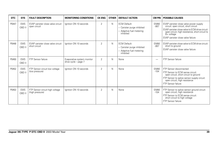| <b>DTC</b> | <b>SYS</b>           | <b>FAULT DESCRIPTION</b>                           | <b>MONITORING CONDITIONS</b>                       | <b>CK ENG</b>  | <b>OTHER</b> | <b>DEFAULT ACTION</b>                                                                      | <b>CM PIN</b>         | <b>POSSIBLE CAUSES</b>                                                                                                                                                                                                                    |
|------------|----------------------|----------------------------------------------------|----------------------------------------------------|----------------|--------------|--------------------------------------------------------------------------------------------|-----------------------|-------------------------------------------------------------------------------------------------------------------------------------------------------------------------------------------------------------------------------------------|
| P0447      | <b>EMS</b><br>OBD II | EVAP canister close valve circuit<br>open circuit  | lanition ON 10 seconds                             | $\overline{2}$ | $\mathsf{N}$ | <b>ECM Default:</b><br>- Canister purge inhibited<br>- Adaptive fuel metering<br>inhibited | <b>EM80</b><br>$-067$ | EVAP canister close valve power supply<br>circuit: open circuit, short circuit<br>EVAP canister close valve to ECM drive circuit:<br>open circuit, high resistance, short circuit to<br>$B+$ voltage<br>EVAP canister close valve failure |
| P0448      | <b>EMS</b><br>OBD II | EVAP canister close valve circuit<br>short circuit | lanition ON 10 seconds                             | $\overline{2}$ | $\mathsf{N}$ | <b>ECM Default:</b><br>- Canister purge inhibited<br>- Adaptive fuel metering<br>inhibited | <b>EM80</b><br>$-067$ | EVAP canister close valve to ECM drive circuit:<br>short to ground<br>EVAP canister close valve failure                                                                                                                                   |
| P0450      | <b>EMS</b><br>OBD II | <b>FTP Sensor failure</b>                          | Evaporative system monitor<br>drive cycle - page 7 | $\overline{2}$ | N            | None                                                                                       | —                     | <b>FTP Sensor failure</b>                                                                                                                                                                                                                 |
| P0452      | <b>EMS</b><br>OBD II | FTP Sensor circuit low voltage<br>(low pressure)   | lanition ON 10 seconds                             | $\overline{2}$ | N            | None                                                                                       | <b>EM80</b><br>$-104$ | FTP Sensor disconnected<br>FTP Sensor to ECM sense circuit:<br>open circuit, short circuit to ground<br>FTP Sensor to splice sensor supply circuit:<br>open circuit, high resistance<br><b>FTP Sensor failure</b>                         |
| P0453      | <b>EMS</b><br>OBD II | FTP Sensor circuit high voltage<br>(high pressure) | Ignition ON 10 seconds                             | $\overline{2}$ | $\mathsf{N}$ | None                                                                                       | <b>EM80</b><br>$-104$ | FTP Sensor to splice sensor ground circuit:<br>open circuit, high resistance<br>FTP Sensor to ECM sense circuit:<br>short circuit to high voltage<br>FTP Sensor failure                                                                   |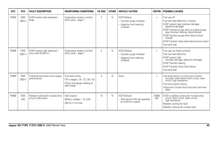| <b>DTC</b> | <b>SYS</b>           | <b>FAULT DESCRIPTION</b>                                 | <b>MONITORING CONDITIONS</b>                                                                        | <b>CK ENG</b>  | <b>OTHER</b> | <b>DEFAULT ACTION</b>                                                                      | <b>CM PIN</b>            | <b>POSSIBLE CAUSES</b>                                                                                                                                                                                                                                                                                                      |
|------------|----------------------|----------------------------------------------------------|-----------------------------------------------------------------------------------------------------|----------------|--------------|--------------------------------------------------------------------------------------------|--------------------------|-----------------------------------------------------------------------------------------------------------------------------------------------------------------------------------------------------------------------------------------------------------------------------------------------------------------------------|
| P0455      | <b>EMS</b><br>OBD II | EVAP system leak detected -<br>large                     | Evaporative system monitor<br>drive cycle - page 7                                                  | $\overline{2}$ | N            | <b>ECM Default:</b><br>- Canister purge inhibited<br>- Adaptive fuel metering<br>inhibited | $\overline{\phantom{0}}$ | Fuel cap off<br>Fuel cap seal defective / missing<br>EVAP system leak (canister damage,<br>pipework damage)<br>EVAP Canister purge valve to engine purge<br>pipe: blocked, leaking, disconnected<br>EVAP Canister purge valve failure (stuck<br>closed)<br>EVAP Canister close valve failure (stuck open)<br>Fuel tank leak |
| P0456      | <b>EMS</b><br>OBD II | EVAP system leak detected -<br>very small (0.020 in.)    | Evaporative system monitor<br>drive cycle - page 7                                                  | $\overline{2}$ | N            | <b>ECM Default:</b><br>- Canister purge inhibited<br>- Adaptive fuel metering<br>inhibited | —                        | Fuel cap not fitted correctly<br>Fuel cap seal defective<br>EVAP system leak<br>(canister damage, pipework damage)<br><b>EVAP Canister leaking</b><br>EVAP Canister close valve failure<br>Fuel tank leak                                                                                                                   |
| P0460      | <b>EMS</b><br>OBD II | Fuel level sensor(s) circuit range /<br>performance      | Fuel tank empty<br>Fill in stages: 1/4, 1/2, 3/4, full<br>Check fuel gauge reading at<br>each stage | $\overline{2}$ | N            | None                                                                                       | -                        | Fuel level sensor to Instrument Cluster<br>circuit(s): intermittent short circuit, open<br>circuit, high resistance<br>Fuel level sensor failure<br>Instrument Cluster fault (incorrect fuel level<br>data)                                                                                                                 |
| P0480      | <b>EMS</b><br>JAG    | Radiator cooling fan module drive<br>circuit malfunction | Start engine<br>Battery voltage > 12 volts<br>Idle for 2 minutes                                    | N              | N            | <b>ECM Default:</b><br>- With ignition ON, fan operates<br>at maximum speed                | EM80<br>$-051$           | ECM to radiator cooling fan module drive<br>circuit: short circuit, open circuit,<br>high resistance<br>Radiator cooling fan fault<br>Radiator cooling fan module fault                                                                                                                                                     |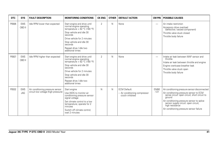| <b>DTC</b> | <b>SYS</b>           | <b>FAULT DESCRIPTION</b>                                                | <b>MONITORING CONDITIONS</b>                                                                                                                                                                                                                          | <b>CK ENG</b>  | <b>OTHER</b> | <b>DEFAULT ACTION</b>                                                    | CM PIN                   | <b>POSSIBLE CAUSES</b>                                                                                                                                                                                                                                                                                   |
|------------|----------------------|-------------------------------------------------------------------------|-------------------------------------------------------------------------------------------------------------------------------------------------------------------------------------------------------------------------------------------------------|----------------|--------------|--------------------------------------------------------------------------|--------------------------|----------------------------------------------------------------------------------------------------------------------------------------------------------------------------------------------------------------------------------------------------------------------------------------------------------|
| P0506      | <b>EMS</b><br>OBD II | Idle RPM lower than expected                                            | Start engine and drive until<br>normal engine operating<br>temperature > $82 °C$ (180 °F)<br>Stop vehicle and idle 30<br>seconds<br>Drive vehicle for 2 minutes<br>Stop vehicle and idle 30<br>seconds<br>Repeat drive / idle two<br>additional times | $\overline{2}$ | $\mathsf{N}$ | None                                                                     | $\overline{\phantom{0}}$ | Air intake restriction<br>Accessory drive overload<br>(defective / seized component)<br>Throttle valve stuck closed<br>Throttle body failure                                                                                                                                                             |
| P0507      | <b>EMS</b><br>OBD II | Idle RPM higher than expected                                           | Start engine and drive until<br>normal engine operating<br>temperature > 82 °C (180 °F)<br>Stop vehicle and idle 30<br>seconds<br>Drive vehicle for 2 minutes<br>Stop vehicle and idle 30<br>seconds<br>Repeat drive / idle two<br>additional times   | $\overline{2}$ | $\mathsf{N}$ | None                                                                     | $\overline{\phantom{0}}$ | Intake air leak between MAF sensor and<br>throttle<br>Intake air leak between throttle and engine<br>Engine crankcase breather leak<br>Throttle valve stuck open<br>Throttle body failure                                                                                                                |
| P0532      | <b>EMS</b><br>JAG    | Air conditioning pressure sensor<br>circuit low voltage (high pressure) | Start engine<br>Use WDS to monitor air<br>conditioning pressure sensor<br>signal voltage<br>Set climate control to a low<br>temperature; operate for 2<br>minutes<br>Switch off climate control:<br>wait 2 minutes                                    | N              | N            | <b>ECM Default:</b><br>- Air conditioning compressor<br>clutch inhibited | <b>EM80</b><br>$-121$    | Air conditioning pressure sensor disconnected<br>Air conditioning pressure sensor to ECM<br>sense circuit: open circuit, short circuit to<br>ground<br>Air conditioning pressure sensor to splice<br>sensor supply circuit: open circuit,<br>high resistance<br>Air conditioning pressure sensor failure |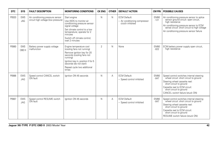| <b>DTC</b> | <b>SYS</b>               | <b>FAULT DESCRIPTION</b>                                                | <b>MONITORING CONDITIONS</b>                                                                                                                                                                                                         | <b>CK ENG</b>  | <b>OTHER</b> | <b>DEFAULT ACTION</b>                                                    | <b>CM PIN</b>         | <b>POSSIBLE CAUSES</b>                                                                                                                                                                                                                         |
|------------|--------------------------|-------------------------------------------------------------------------|--------------------------------------------------------------------------------------------------------------------------------------------------------------------------------------------------------------------------------------|----------------|--------------|--------------------------------------------------------------------------|-----------------------|------------------------------------------------------------------------------------------------------------------------------------------------------------------------------------------------------------------------------------------------|
| P0533      | <b>EMS</b><br><b>JAG</b> | Air conditioning pressure sensor<br>circuit high voltage (low pressure) | Start engine<br>Use WDS to monitor air<br>conditioning pressure sensor<br>signal voltage<br>Set climate control to a low<br>temperature; operate for 2<br>minutes<br>Switch off climate control:<br>wait 2 minutes                   | N              | $\mathsf{N}$ | <b>ECM Default:</b><br>- Air conditioning compressor<br>clutch inhibited | <b>EM80</b><br>$-121$ | Air conditioning pressure sensor to splice<br>sensor ground circuit: open circuit,<br>high resistance<br>Air conditioning pressure sensor to ECM<br>sense circuit: short circuit to high voltage<br>Air conditioning pressure sensor failure   |
| P0560      | <b>EMS</b><br>OBD II     | Battery power supply voltage<br>malfunction                             | Engine temperature cool<br>(cooling fans not running)<br>Remove ignition key for 20<br>seconds (cooling fans not<br>runnina)<br>Ignition key in, position II for 5<br>seconds (do not start)<br>Repeat cycle two additional<br>times | $\overline{2}$ | $\mathsf{N}$ | None                                                                     | <b>EM80</b><br>$-022$ | ECM battery power supply open circuit,<br>high resistance                                                                                                                                                                                      |
| P0566      | <b>EMS</b><br><b>JAG</b> | Speed control CANCEL switch<br>ON fault                                 | Ignition ON 45 seconds                                                                                                                                                                                                               | N              | А            | <b>ECM Default:</b><br>- Speed control inhibited                         | <b>EM80</b><br>$-047$ | Speed control switches internal steering<br>wheel circuit: short circuit to ground<br>Steering wheel cassette reel:<br>short circuit to ground<br>Cassette reel to ECM circuit:<br>short circuit to ground<br>CANCEL switch failure (stuck ON) |
| P0567      | <b>EMS</b><br>JAG        | Speed control RESUME switch<br>ON fault                                 | lanition ON 45 seconds                                                                                                                                                                                                               | N              | Α            | <b>ECM Default:</b><br>- Speed control inhibited                         | <b>EM80</b><br>$-047$ | Speed control switches internal steering<br>wheel circuit: short circuit to ground<br>Steering wheel cassette reel:<br>short circuit to ground<br>Cassette reel to ECM circuit:<br>short circuit to ground<br>RESUME switch failure (stuck ON) |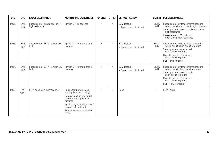| <b>DTC</b> | <b>SYS</b>               | <b>FAULT DESCRIPTION</b>                            | <b>MONITORING CONDITIONS</b>                                                                                                                                                                                                         | <b>CK ENG</b>  | <b>OTHER</b> | <b>DEFAULT ACTION</b>                            | <b>CM PIN</b>         | <b>POSSIBLE CAUSES</b>                                                                                                                                                                                                               |
|------------|--------------------------|-----------------------------------------------------|--------------------------------------------------------------------------------------------------------------------------------------------------------------------------------------------------------------------------------------|----------------|--------------|--------------------------------------------------|-----------------------|--------------------------------------------------------------------------------------------------------------------------------------------------------------------------------------------------------------------------------------|
| P0568      | <b>EMS</b><br>JAG        | Speed control input signal low /<br>high resistance | Ignition ON 45 seconds                                                                                                                                                                                                               | N              | A            | <b>ECM Default:</b><br>- Speed control inhibited | <b>EM80</b><br>$-047$ | Speed control switches internal steering<br>wheel circuit: open circuit; high resistance<br>Steering wheel cassette reel open circuit,<br>high resistance<br>Cassette reel to ECM circuit:<br>open circuit, high resistance          |
| P0569      | <b>EMS</b><br><b>JAG</b> | Speed control SET / - switch ON<br>fault            | Ignition ON for more than 5<br>minutes                                                                                                                                                                                               | N              | A            | <b>ECM Default:</b><br>- Speed control inhibited | <b>EM80</b><br>$-047$ | Speed control switches internal steering<br>wheel circuit: short circuit to ground<br>Steering wheel cassette reel:<br>short circuit to ground<br>Cassette reel to ECM circuit:<br>short circuit to ground<br>SET / - switch failure |
| P0570      | <b>EMS</b><br><b>JAG</b> | Speed control SET / + switch ON<br>fault            | lanition ON for more than 5<br>minutes                                                                                                                                                                                               | N              | A            | <b>ECM Default:</b><br>- Speed control inhibited | <b>EM80</b><br>$-047$ | Speed control switches internal steering<br>wheel circuit: short circuit to ground<br>Steering wheel cassette reel:<br>short circuit to ground<br>Cassette reel to ECM circuit:<br>short circuit to ground<br>SET / + switch failure |
| P0603      | <b>EMS</b><br>OBD II     | ECM Keep alive memory error                         | Engine temperature cool<br>(cooling fans not running)<br>Remove ignition key for 20<br>seconds (cooling fans not<br>running)<br>Ignition key in, position II for 5<br>seconds (do not start)<br>Repeat cycle two additional<br>times | $\overline{2}$ | N            | None                                             |                       | <b>ECM Failure</b>                                                                                                                                                                                                                   |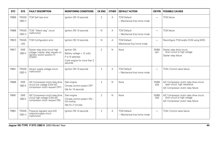| <b>DTC</b> | <b>SYS</b>             | <b>FAULT DESCRIPTION</b>                                                                                          | <b>MONITORING CONDITIONS</b>                                                                            | <b>CK ENG</b>  | <b>OTHER</b> | <b>DEFAULT ACTION</b>                              | <b>CM PIN</b>            | <b>POSSIBLE CAUSES</b>                                                                                             |
|------------|------------------------|-------------------------------------------------------------------------------------------------------------------|---------------------------------------------------------------------------------------------------------|----------------|--------------|----------------------------------------------------|--------------------------|--------------------------------------------------------------------------------------------------------------------|
| P0605      | <b>TRANS</b><br>OBD II | <b>TCM Self test error</b>                                                                                        | Ignition ON 10 seconds                                                                                  | $\overline{2}$ | Α            | <b>TCM Default:</b><br>- Mechanical limp home mode | $\overline{\phantom{0}}$ | <b>TCM</b> failure                                                                                                 |
| P0606      | <b>TRANS</b><br>OBD II | TCM "Watch dog" circuit<br>malfunction                                                                            | Ignition ON 10 seconds                                                                                  | N              | Α            | <b>TCM Default:</b><br>- Mechanical limp home mode | $\overline{\phantom{0}}$ | <b>TCM</b> failure                                                                                                 |
| P0610      | <b>TRANS</b><br>JAG    | <b>TCM Configuration error</b>                                                                                    | lanition ON 10 seconds                                                                                  | N              | А            | <b>TCM Default:</b><br>Mechanical limp home mode   | $\overline{\phantom{0}}$ | Reconfigure TCM and/or ECM using WDS                                                                               |
| P0617      | <b>EMS</b><br>OBD II   | Starter relay drive circuit high<br>voltage / starter relay request on<br>(ignition switch position III<br>START) | Ignition ON<br>Battery voltage > 12 volts<br>P or N selected<br>Crank engine for more than 2<br>seconds | $\overline{2}$ | N            | None                                               | <b>EM80</b><br>$-041$    | Starter relay drive circuit:<br>short circuit to high voltage<br>Starter relay failure                             |
| P0641      | <b>TRANS</b><br>OBD II | Sensor supply voltage circuit<br>malfunction                                                                      | lanition ON 10 seconds                                                                                  | $\overline{2}$ | Α            | <b>TCM Default:</b><br>- Mechanical limp home mode | —                        | TCM / Control valve failure                                                                                        |
| P0646      | <b>EMS</b><br>OBD II   | A/C Compressor clutch relay drive<br>circuit low voltage (CAN A/C<br>compressor clutch request OFF)               | Start engine<br>Climate control system OFF<br>Idle for 10 seconds                                       | $\overline{2}$ | $\mathsf{N}$ | None                                               | <b>EM80</b><br>$-034$    | A/C Compressor clutch relay drive circuit:<br>open circuit, high resistance<br>A/C Compressor clutch relay failure |
| P0647      | <b>EMS</b><br>OBD II   | A/C Compressor clutch relay drive<br>circuit high voltage (CAN A/C<br>compressor clutch request ON)               | Start engine<br>Climate control system ON -<br>full cooling<br>Idle for 2 minutes                       | $\mathcal{P}$  | $\mathsf{N}$ | None                                               | <b>EM80</b><br>$-0.34$   | A/C Compressor clutch relay drive circuit:<br>short circuit to high voltage<br>A/C Compressor clutch relay failure |
| P0651      | <b>TRANS</b><br>OBD II | Pressure regulator and shift<br>solenoid supply circuit<br>malfunction                                            | Ignition ON 10 seconds                                                                                  | $\overline{2}$ | Α            | <b>TCM Default:</b><br>- Mechanical limp home mode | -                        | TCM / Control valve failure                                                                                        |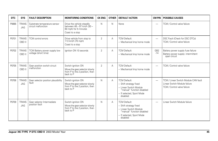| <b>DTC</b> | <b>SYS</b>                 | <b>FAULT DESCRIPTION</b>                             | <b>MONITORING CONDITIONS</b>                                                                         | <b>CK ENG</b>  | <b>OTHER</b> | <b>DEFAULT ACTION</b>                                                                                                                          | <b>CM PIN</b>            | <b>POSSIBLE CAUSES</b>                                                                              |
|------------|----------------------------|------------------------------------------------------|------------------------------------------------------------------------------------------------------|----------------|--------------|------------------------------------------------------------------------------------------------------------------------------------------------|--------------------------|-----------------------------------------------------------------------------------------------------|
| P0666      | <b>TRANS</b><br><b>JAG</b> | Substrate temperature sensor<br>circuit malfunction  | Drive the vehicle steadily<br>between 48 - 97 km/h (30 -<br>60 mph) for 5 minutes<br>Coast to a stop | N              | N            | None                                                                                                                                           | -                        | TCM / Control valve failure                                                                         |
| P0701      | <b>TRANS</b><br>OBD II     | TCM control errors                                   | Drive vehicle from stop to<br>113 km/h (70 mph)<br>Coast to a stop                                   | $\overline{2}$ | A            | <b>TCM Default:</b><br>- Mechanical limp home mode                                                                                             | $\overline{\phantom{0}}$ | DSC Fault (Check for DSC DTCs)<br>TCM / Control valve failure                                       |
| P0702      | <b>TRANS</b><br>OBD II     | TCM Battery power supply low<br>voltage (short time) | Ignition ON 10 seconds                                                                               | 2              | A            | <b>TCM Default:</b><br>- Mechanical limp home mode                                                                                             | GB <sub>2</sub><br>$-14$ | Battery power supply fuse failure<br>Battery power supply: intermittent<br>open circuit             |
| P0705      | <b>TRANS</b><br>OBD II     | Gear position switch circuit<br>malfunction          | Switch ignition ON<br>Move the gear selector slowly<br>from P to the 2 position, then<br>back to P   | $\overline{2}$ | А            | <b>TCM Default:</b><br>- Mechanical limp home mode                                                                                             | $\overline{\phantom{0}}$ | TCM / Control valve failure                                                                         |
| P0706      | <b>TRANS</b><br>JAG        | Gear selector position plausibility<br>fault         | Switch ignition ON<br>Move the gear selector slowly<br>from P to the 2 position, then<br>back to P   | N              | A            | <b>TCM Default:</b><br>- Shift strategy fixed<br>- Linear Switch Module<br>'manual" function disabled<br>- If selected, Sport Mode<br>disabled | $\overline{\phantom{0}}$ | TCM / Linear Switch Module CAN fault<br>Linear Switch Module failure<br>TCM / Control valve failure |
| P0709      | <b>TRANS</b><br><b>JAG</b> | Gear selector Intermediate<br>position fault         | Switch ignition ON<br>Move the gear selector slowly<br>from P to the 2 position, then<br>back to P   | N              | Α            | <b>TCM Default:</b><br>- Shift strategy fixed<br>- Linear Switch Module<br>"manual" function disabled<br>- If selected, Sport Mode<br>disabled | $\overline{\phantom{0}}$ | Linear Switch Module failure                                                                        |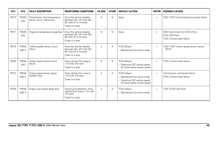| DTC   | <b>SYS</b>                 | <b>FAULT DESCRIPTION</b>                                     | <b>MONITORING CONDITIONS</b>                                                                         | <b>CK ENG</b>  | <b>OTHER</b> | <b>DEFAULT ACTION</b>                                                                                                 | <b>CM PIN</b>            | <b>POSSIBLE CAUSES</b>                                                                |
|-------|----------------------------|--------------------------------------------------------------|------------------------------------------------------------------------------------------------------|----------------|--------------|-----------------------------------------------------------------------------------------------------------------------|--------------------------|---------------------------------------------------------------------------------------|
| P0710 | <b>TRANS</b><br><b>JAG</b> | Transmission fluid temperature<br>sensor circuit malfunction | Drive the vehicle steadily<br>between 48 - 97 km/h (30 -<br>60 mph) for 5 minutes<br>Coast to a stop | N              | N            | None                                                                                                                  | $\overline{\phantom{0}}$ | TCM / TCM Fluid temperature sensor failure                                            |
| P0711 | <b>TRANS</b><br>JAG        | Engine oil temperature range fault                           | Drive the vehicle steadily<br>between 48 - 97 km/h (30 -<br>60 mph) for 5 minutes<br>Coast to a stop | N              | N            | None                                                                                                                  | $\overline{\phantom{0}}$ | EMS Fault (Check for ECM DTCs)<br><b>ECM CAN Fault</b><br>TCM / Control valve failure |
| P0715 | <b>TRANS</b><br>OBD II     | Turbine speed sensor circuit<br>failure                      | Drive the vehicle steadily<br>between 48 - 97 km/h (30 -<br>60 mph) for 5 minutes<br>Coast to a stop | $\overline{2}$ | А            | <b>TCM Default:</b><br>- Mechanical limp home mode                                                                    | $\overline{\phantom{0}}$ | TCM / TCM Turbine speed sensor sensor<br>failure                                      |
| P0720 | <b>TRANS</b><br><b>JAG</b> | Output speed sensor circuit<br>failure                       | Drive vehicle from stop to<br>113 km/h (70 mph)<br>Coast to a stop                                   | N              | $\mathsf{N}$ | <b>TCM Default:</b><br>- Substitute DSC vehicle speed<br>for transmission output speed                                | $\overline{\phantom{0}}$ | TCM / Control valve failure                                                           |
| P0721 | <b>TRANS</b><br>OBD II     | Output speed sensor signal<br>gradient fault                 | Drive vehicle from stop to<br>113 km/h (70 mph)<br>Coast to a stop                                   | 2              | A            | <b>TCM Default:</b><br>- Mechanical limp home mode<br>- Substitute DSC vehicle speed<br>for transmission output speed | $\overline{\phantom{0}}$ | Transmission mechanical failure<br>TCM / Control valve failure                        |
| P0725 | <b>TRANS</b><br>OBD II     | Engine over-speed range fault                                | Using full acceleration, drive<br>vehicle from stop to 113 km/h<br>$(70$ mph)<br>Coast to a stop     | 2              | А            | <b>TCM Default:</b><br>- Mechanical limp home mode                                                                    | $\overline{\phantom{0}}$ | TCM / ECM CAN Fault                                                                   |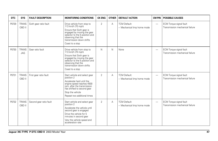| DTC   | <b>SYS</b>             | <b>FAULT DESCRIPTION</b> | <b>MONITORING CONDITIONS</b>                                                                                                                                                                                          | <b>CK ENG</b>  | <b>OTHER</b> | <b>DEFAULT ACTION</b>                              | <b>CM PIN</b>            | <b>POSSIBLE CAUSES</b>                                     |
|-------|------------------------|--------------------------|-----------------------------------------------------------------------------------------------------------------------------------------------------------------------------------------------------------------------|----------------|--------------|----------------------------------------------------|--------------------------|------------------------------------------------------------|
| P0729 | <b>TRANS</b><br>OBD II | Sixth gear ratio fault   | Drive vehicle from stop to<br>113 km/h (70 mph)<br>Ensure that Sixth gear is<br>engaged by moving the gear<br>selector to the 5 position and<br>observing that the<br>transmission down shifts<br>Coast to a stop     | $\overline{2}$ | Α            | <b>TCM Default:</b><br>- Mechanical limp home mode | $\overline{\phantom{0}}$ | ECM Torque signal fault<br>Transmission mechanical failure |
| P0730 | <b>TRANS</b><br>JAG    | Gear ratio fault         | Drive vehicle from stop to<br>113 km/h (70 mph)<br>Ensure that Sixth gear is<br>engaged by moving the gear<br>selector to the 5 position and<br>observing that the<br>transmission down shifts<br>Coast to a stop     | N              | N            | None                                               | $\overline{\phantom{0}}$ | ECM Torque signal fault<br>Transmission mechanical failure |
| P0731 | <b>TRANS</b><br>OBD II | First gear ratio fault   | Start vehicle and select gear<br>position 2<br>Accelerate hard until the<br>engine speed reaches 4500<br>rpm, after the transmission<br>has shifted to second gear<br>Stop the vehicle<br>Repeat two additional times | $\overline{2}$ | Α            | <b>TCM Default:</b><br>- Mechanical limp home mode | $\overline{\phantom{0}}$ | ECM Torque signal fault<br>Transmission mechanical failure |
| P0732 | <b>TRANS</b><br>OBD II | Second gear ratio fault  | Start vehicle and select gear<br>position 2<br>Accelerate the vehicle until<br>second gear is engaged<br>Drive the vehicle for 5<br>minutes in second gear<br>Vary the vehicle speed and<br>acceleration rate         | 2              | A            | <b>TCM Default:</b><br>- Mechanical limp home mode |                          | ECM Torque signal fault<br>Transmission mechanical failure |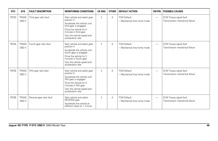| DTC   | <b>SYS</b>             | <b>FAULT DESCRIPTION</b> | <b>MONITORING CONDITIONS</b>                                                                                                                                                                                  | <b>CK ENG</b>  | <b>OTHER</b> | <b>DEFAULT ACTION</b>                              | <b>CM PIN</b>            | <b>POSSIBLE CAUSES</b>                                            |
|-------|------------------------|--------------------------|---------------------------------------------------------------------------------------------------------------------------------------------------------------------------------------------------------------|----------------|--------------|----------------------------------------------------|--------------------------|-------------------------------------------------------------------|
| P0733 | <b>TRANS</b><br>OBD II | Third gear ratio fault   | Start vehicle and select gear<br>position 3<br>Accelerate the vehicle until<br>third gear is engaged<br>Drive the vehicle for 5<br>minutes in third gear<br>Vary the vehicle speed and<br>acceleration rate   | $\overline{2}$ | A            | <b>TCM Default:</b><br>- Mechanical limp home mode | $\overline{\phantom{0}}$ | ECM Torque signal fault<br>Transmission mechanical failure        |
| P0734 | <b>TRANS</b><br>OBD II | Fourth gear ratio fault  | Start vehicle and select gear<br>position 4<br>Accelerate the vehicle until<br>fourth gear is engaged<br>Drive the vehicle for 5<br>minutes in fourth gear<br>Vary the vehicle speed and<br>acceleration rate | $\overline{2}$ | A            | <b>TCM Default:</b><br>- Mechanical limp home mode | $\overline{\phantom{0}}$ | <b>ECM Torque signal fault</b><br>Transmission mechanical failure |
| P0735 | <b>TRANS</b><br>OBD II | Fifth gear ratio fault   | Start vehicle and select gear<br>position 5<br>Accelerate the vehicle until<br>fifth gear is engaged<br>Drive the vehicle for 5<br>minutes in fifth gear<br>Vary the vehicle speed and<br>acceleration rate   | $\overline{2}$ | A            | <b>TCM Default:</b><br>- Mechanical limp home mode | $\overline{\phantom{0}}$ | <b>ECM Torque signal fault</b><br>Transmission mechanical failure |
| P0736 | <b>TRANS</b><br>OBD II | Reverse gear ratio fault | Start vehicle and select<br>REVERSE gear<br>Accelerate the vehicle at<br>different rates for 1 minute                                                                                                         | $\overline{2}$ | A            | <b>TCM Default:</b><br>- Mechanical limp home mode | -                        | <b>ECM Torque signal fault</b><br>Transmission mechanical failure |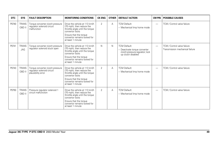| DTC   | <b>SYS</b>                 | <b>FAULT DESCRIPTION</b>                                                             | <b>MONITORING CONDITIONS</b>                                                                                                                                                                    | <b>CK ENG</b>  | <b>OTHER</b> | <b>DEFAULT ACTION</b>                                                                                         | CM PIN                   | <b>POSSIBLE CAUSES</b>                                         |
|-------|----------------------------|--------------------------------------------------------------------------------------|-------------------------------------------------------------------------------------------------------------------------------------------------------------------------------------------------|----------------|--------------|---------------------------------------------------------------------------------------------------------------|--------------------------|----------------------------------------------------------------|
| P0740 | <b>TRANS</b><br>OBD II     | Torque converter clutch pressure<br>regulator solenoid circuit<br>malfunction        | Drive the vehicle at 113 km/h<br>(70 mph), then reduce the<br>throttle angle until the torque<br>convertor locks<br>Ensure that the torque<br>convertor remains locked for<br>at least 1 minute | $\overline{2}$ | Α            | <b>TCM Default:</b><br>- Mechanical limp home mode                                                            | $\overline{\phantom{0}}$ | TCM / Control valve failure                                    |
| P0741 | <b>TRANS</b><br><b>JAG</b> | Torque converter clutch pressure<br>requlator solenoid stuck open                    | Drive the vehicle at 113 km/h<br>(70 mph), then reduce the<br>throttle angle until the torque<br>convertor locks<br>Ensure that the torque<br>convertor remains locked for<br>at least 1 minute | N              | N            | <b>TCM Default:</b><br>- Deactivate torque converter<br>clutch pressure regulator; lock<br>up clutch disabled | $\overline{\phantom{0}}$ | TCM / Control valve failure<br>Transmission mechanical failure |
| P0743 | <b>TRANS</b><br>OBD II     | Torque converter clutch pressure<br>requlator solenoid circuit<br>plausibility error | Drive the vehicle at 113 km/h<br>(70 mph), then reduce the<br>throttle angle until the torque<br>convertor locks<br>Ensure that the torque<br>convertor remains locked for<br>at least 1 minute | 2              | A            | <b>TCM Default:</b><br>- Mechanical limp home mode                                                            | $\overline{\phantom{0}}$ | TCM / Control valve failure                                    |
| P0750 | <b>TRANS</b><br>OBD II     | Pressure regulator solenoid 1<br>circuit malfunction                                 | Drive the vehicle at 113 km/h<br>(70 mph), then reduce the<br>throttle angle until the torque<br>convertor locks<br>Ensure that the torque<br>convertor remains locked for<br>at least 1 minute | $\overline{2}$ | А            | <b>TCM Default:</b><br>- Mechanical limp home mode                                                            |                          | TCM / Control valve failure                                    |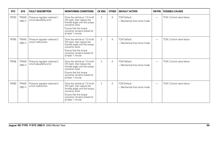| <b>DTC</b> | <b>SYS</b>             | <b>FAULT DESCRIPTION</b>                                    | <b>MONITORING CONDITIONS</b>                                                                                                                                                                    | <b>CK ENG</b>  | <b>OTHER</b> | <b>DEFAULT ACTION</b>                              | CM PIN                   | <b>POSSIBLE CAUSES</b>      |
|------------|------------------------|-------------------------------------------------------------|-------------------------------------------------------------------------------------------------------------------------------------------------------------------------------------------------|----------------|--------------|----------------------------------------------------|--------------------------|-----------------------------|
| P0753      | <b>TRANS</b><br>OBD II | Pressure regulator solenoid 1<br>circuit plausibility error | Drive the vehicle at 113 km/h<br>(70 mph), then reduce the<br>throttle angle until the torque<br>convertor locks<br>Ensure that the torque<br>convertor remains locked for<br>at least 1 minute | $\overline{2}$ | A            | <b>TCM Default:</b><br>- Mechanical limp home mode | $\overline{\phantom{m}}$ | TCM / Control valve failure |
| P0755      | <b>TRANS</b><br>OBD II | Pressure regulator solenoid 2<br>circuit malfunction        | Drive the vehicle at 113 km/h<br>(70 mph), then reduce the<br>throttle angle until the torque<br>convertor locks<br>Ensure that the torque<br>convertor remains locked for<br>at least 1 minute | $\overline{2}$ | A            | <b>TCM Default:</b><br>- Mechanical limp home mode |                          | TCM / Control valve failure |
| P0758      | <b>TRANS</b><br>OBD II | Pressure regulator solenoid 2<br>circuit plausibility error | Drive the vehicle at 113 km/h<br>(70 mph), then reduce the<br>throttle angle until the torque<br>convertor locks<br>Ensure that the torque<br>convertor remains locked for<br>at least 1 minute | $\overline{2}$ | A            | <b>TCM Default:</b><br>- Mechanical limp home mode | $\overline{\phantom{m}}$ | TCM / Control valve failure |
| P0760      | <b>TRANS</b><br>OBD II | Pressure regulator solenoid 3<br>circuit malfunction        | Drive the vehicle at 113 km/h<br>(70 mph), then reduce the<br>throttle angle until the torque<br>convertor locks<br>Ensure that the torque<br>convertor remains locked for<br>at least 1 minute | $\overline{2}$ | A            | <b>TCM Default:</b><br>- Mechanical limp home mode | $\overline{\phantom{0}}$ | TCM / Control valve failure |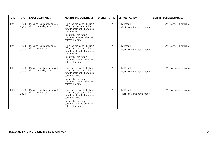| DTC   | <b>SYS</b>             | <b>FAULT DESCRIPTION</b>                                    | <b>MONITORING CONDITIONS</b>                                                                                                                                                                    | <b>CK ENG</b>  | <b>OTHER</b> | <b>DEFAULT ACTION</b>                              | <b>CM PIN</b>            | <b>POSSIBLE CAUSES</b>      |
|-------|------------------------|-------------------------------------------------------------|-------------------------------------------------------------------------------------------------------------------------------------------------------------------------------------------------|----------------|--------------|----------------------------------------------------|--------------------------|-----------------------------|
| P0763 | <b>TRANS</b><br>OBD II | Pressure regulator solenoid 3<br>circuit plausibility error | Drive the vehicle at 113 km/h<br>(70 mph), then reduce the<br>throttle angle until the torque<br>convertor locks<br>Ensure that the torque<br>convertor remains locked for<br>at least 1 minute | $\overline{2}$ | Α            | <b>TCM Default:</b><br>- Mechanical limp home mode | $\overline{\phantom{0}}$ | TCM / Control valve failure |
| P0765 | <b>TRANS</b><br>OBD II | Pressure regulator solenoid 4<br>circuit malfunction        | Drive the vehicle at 113 km/h<br>(70 mph), then reduce the<br>throttle angle until the torque<br>convertor locks<br>Ensure that the torque<br>convertor remains locked for<br>at least 1 minute | 2              | Α            | <b>TCM Default:</b><br>- Mechanical limp home mode | -                        | TCM / Control valve failure |
| P0768 | <b>TRANS</b><br>OBD II | Pressure regulator solenoid 4<br>circuit plausibility error | Drive the vehicle at 113 km/h<br>(70 mph), then reduce the<br>throttle angle until the torque<br>convertor locks<br>Ensure that the torque<br>convertor remains locked for<br>at least 1 minute | 2              | A            | <b>TCM Default:</b><br>- Mechanical limp home mode | $\overline{\phantom{0}}$ | TCM / Control valve failure |
| P0770 | <b>TRANS</b><br>OBD II | Pressure regulator solenoid 5<br>circuit malfunction        | Drive the vehicle at 113 km/h<br>(70 mph), then reduce the<br>throttle angle until the torque<br>convertor locks<br>Ensure that the torque<br>convertor remains locked for<br>at least 1 minute | $\overline{2}$ | А            | <b>TCM Default:</b><br>- Mechanical limp home mode | -                        | TCM / Control valve failure |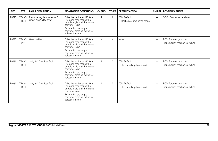| <b>DTC</b> | <b>SYS</b>                 | <b>FAULT DESCRIPTION</b>                                    | <b>MONITORING CONDITIONS</b>                                                                                                                                                                    | <b>CK ENG</b>  | <b>OTHER</b> | <b>DEFAULT ACTION</b>                              | <b>CM PIN</b>            | <b>POSSIBLE CAUSES</b>                                            |
|------------|----------------------------|-------------------------------------------------------------|-------------------------------------------------------------------------------------------------------------------------------------------------------------------------------------------------|----------------|--------------|----------------------------------------------------|--------------------------|-------------------------------------------------------------------|
| P0773      | <b>TRANS</b><br>OBD II     | Pressure regulator solenoid 5<br>circuit plausibility error | Drive the vehicle at 113 km/h<br>(70 mph), then reduce the<br>throttle angle until the torque<br>convertor locks<br>Ensure that the torque<br>convertor remains locked for<br>at least 1 minute | $\overline{2}$ | Α            | <b>TCM Default:</b><br>- Mechanical limp home mode | $\overline{\phantom{0}}$ | TCM / Control valve failure                                       |
| P0780      | <b>TRANS</b><br><b>JAG</b> | Gear load fault                                             | Drive the vehicle at 113 km/h<br>(70 mph), then reduce the<br>throttle angle until the torque<br>convertor locks<br>Ensure that the torque<br>convertor remains locked for<br>at least 1 minute | N              | $\mathsf{N}$ | None                                               | $\overline{\phantom{0}}$ | ECM Torque signal fault<br>Transmission mechanical failure        |
| P0781      | <b>TRANS</b><br>OBD II     | 1-2 / 2-1 Gear load fault                                   | Drive the vehicle at 113 km/h<br>(70 mph), then reduce the<br>throttle angle until the torque<br>convertor locks<br>Ensure that the torque<br>convertor remains locked for<br>at least 1 minute | $\overline{2}$ | Α            | <b>TCM Default:</b><br>- Electronic limp home mode | -                        | <b>ECM Torque signal fault</b><br>Transmission mechanical failure |
| P0782      | <b>TRANS</b><br>OBD II     | 2-3 / 3-2 Gear load fault                                   | Drive the vehicle at 113 km/h<br>(70 mph), then reduce the<br>throttle angle until the torque<br>convertor locks<br>Ensure that the torque<br>convertor remains locked for<br>at least 1 minute | $\overline{2}$ | А            | <b>TCM Default:</b><br>- Electronic limp home mode | $\overline{\phantom{0}}$ | ECM Torque signal fault<br>Transmission mechanical failure        |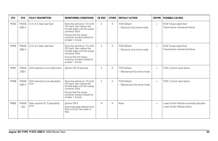| <b>DTC</b> | <b>SYS</b>             | <b>FAULT DESCRIPTION</b>                     | <b>MONITORING CONDITIONS</b>                                                                                                                                                                    | <b>CK ENG</b>  | <b>OTHER</b> | <b>DEFAULT ACTION</b>                              | <b>CM PIN</b>            | <b>POSSIBLE CAUSES</b>                                                    |
|------------|------------------------|----------------------------------------------|-------------------------------------------------------------------------------------------------------------------------------------------------------------------------------------------------|----------------|--------------|----------------------------------------------------|--------------------------|---------------------------------------------------------------------------|
| P0783      | <b>TRANS</b><br>OBD II | 3-4 / 4-3 Gear load fault                    | Drive the vehicle at 113 km/h<br>(70 mph), then reduce the<br>throttle angle until the torque<br>convertor locks<br>Ensure that the torque<br>convertor remains locked for<br>at least 1 minute | $\overline{2}$ | A            | <b>TCM Default:</b><br>- Electronic limp home mode | $\overline{\phantom{0}}$ | ECM Torque signal fault<br>Transmission mechanical failure                |
| P0784      | <b>TRANS</b><br>OBD II | 4-5 / 5-4 Gear load fault                    | Drive the vehicle at 113 km/h<br>(70 mph), then reduce the<br>throttle angle until the torque<br>convertor locks<br>Ensure that the torque<br>convertor remains locked for<br>at least 1 minute | 2              | Α            | <b>TCM Default:</b><br>- Electronic limp home mode | —                        | ECM Torque signal fault<br>Transmission mechanical failure                |
| P0787      | <b>TRANS</b><br>OBD I  | Shift solenoid circuit malfunction           | lanition ON 10 seconds                                                                                                                                                                          | 2              | A            | <b>TCM Default:</b><br>- Mechanical limp home mode | $\overline{\phantom{0}}$ | TCM / Control valve failure                                               |
| P0788      | <b>TRANS</b><br>OBD II | Shift solenoid circuit plausibility<br>error | Drive the vehicle at 113 km/h<br>(70 mph), then reduce the<br>throttle angle until the torque<br>convertor locks<br>Ensure that the torque<br>convertor remains locked for<br>at least 1 minute | 2              | A            | <b>TCM Default:</b><br>- Mechanical limp home mode | $\overline{\phantom{0}}$ | TCM / Control valve failure                                               |
| P0825      | <b>TRANS</b><br>JAG    | Gear positions R, D plausibility<br>error    | Ignition ON S<br>lowly move gear selector from<br>Park to Drive, then back to<br>Park                                                                                                           | N              | А            | None                                               | $\overline{\phantom{0}}$ | Linear Switch Module incorrectly adjusted<br>Linear Switch Module failure |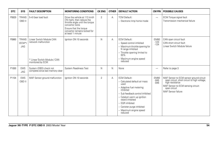| <b>DTC</b> | <b>SYS</b>                             | <b>FAULT DESCRIPTION</b>                                                                            | <b>MONITORING CONDITIONS</b>                                                                                                                                                                    | <b>CK ENG</b>  | <b>OTHER</b> | <b>DEFAULT ACTION</b>                                                                                                                                                                                                                                                              | <b>CM PIN</b>                   | <b>POSSIBLE CAUSES</b>                                                                                                                                                                 |
|------------|----------------------------------------|-----------------------------------------------------------------------------------------------------|-------------------------------------------------------------------------------------------------------------------------------------------------------------------------------------------------|----------------|--------------|------------------------------------------------------------------------------------------------------------------------------------------------------------------------------------------------------------------------------------------------------------------------------------|---------------------------------|----------------------------------------------------------------------------------------------------------------------------------------------------------------------------------------|
| P0829      | <b>TRANS</b><br>OBD II                 | 5-6 Gear load fault                                                                                 | Drive the vehicle at 113 km/h<br>(70 mph), then reduce the<br>throttle angle until the torque<br>convertor locks<br>Ensure that the torque<br>convertor remains locked for<br>at least 1 minute | $\overline{2}$ | Α            | <b>TCM Default:</b><br>- Electronic limp home mode                                                                                                                                                                                                                                 |                                 | <b>ECM Torque signal fault</b><br>Transmission mechanical failure                                                                                                                      |
| P0860      | <b>TRANS</b><br>$(ECM*)$<br><b>JAG</b> | Linear Switch Module CAN<br>network malfunction<br>* Linear Switch Module / CAN<br>monitored by ECM | Ignition ON 10 seconds                                                                                                                                                                          | N              | A            | <b>ECM Default:</b><br>- Speed control inhibited<br>- Maximum throttle opening for<br>N range inhibited<br>- Throttle opening limited to<br>30%<br>- Maximum engine speed<br>reduced                                                                                               | <b>EM80</b><br>$-123$<br>$-124$ | CAN open circuit fault<br>CAN short circuit fault<br>Linear Switch Module failure                                                                                                      |
| P1000      | <b>EMS</b><br><b>JAG</b>               | System (OBD) check not<br>complete since last memory clear                                          | System Readiness Test                                                                                                                                                                           | N              | N            | None                                                                                                                                                                                                                                                                               |                                 | Refer to page 3                                                                                                                                                                        |
| P1104      | <b>EMS</b><br>OBD II                   | MAF Sensor ground malfunction                                                                       | lanition ON 10 seconds                                                                                                                                                                          | $\overline{2}$ | Α            | <b>ECM Default:</b><br>- Calculated default air mass<br>used<br>- Adaptive fuel metering<br>inhibited<br>- Sub feedback control inhibited<br>- Catalyst warm up ignition<br>retard inhibited<br>- EGR inhibited<br>- Canister purge inhibited<br>- Maximum engine speed<br>reduced | <b>EM80</b><br>$-045$<br>$-046$ | MAF Sensor to ECM sensor ground circuit<br>open circuit, short circuit to high voltage,<br>high resistance<br>MAF Sensor to ECM sensing circuit:<br>open circuit<br>MAF Sensor failure |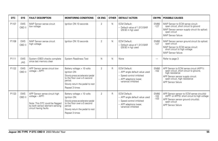| DTC   | <b>SYS</b>               | <b>FAULT DESCRIPTION</b>                                                                                                                       | <b>MONITORING CONDITIONS</b>                                                                                                                                                | <b>CK ENG</b>  | <b>OTHER</b> | <b>DEFAULT ACTION</b>                                                                                                               | <b>CM PIN</b>                   | <b>POSSIBLE CAUSES</b>                                                                                                                                                                           |
|-------|--------------------------|------------------------------------------------------------------------------------------------------------------------------------------------|-----------------------------------------------------------------------------------------------------------------------------------------------------------------------------|----------------|--------------|-------------------------------------------------------------------------------------------------------------------------------------|---------------------------------|--------------------------------------------------------------------------------------------------------------------------------------------------------------------------------------------------|
| P1107 | <b>EMS</b><br>OBD II     | MAP Sensor sense circuit<br>low voltage                                                                                                        | lanition ON 10 seconds                                                                                                                                                      | 2              | N            | <b>ECM Default:</b><br>- Default value of 1.013 BAR<br>$(29.92$ in hg) used                                                         | <b>EM80</b><br>$-127$           | MAP Sensor to ECM sense circuit:<br>open circuit, short circuit to ground<br>MAP Sensor sensor supply circuit (to splice):<br>open circuit<br>MAP Sensor failure                                 |
| P1108 | <b>EMS</b><br>OBD II     | MAP Sensor sense circuit<br>high voltage                                                                                                       | lanition ON 10 seconds                                                                                                                                                      | 2              | N            | <b>ECM Default:</b><br>- Default value of 1.013 BAR<br>(29.92 in hg) used                                                           | <b>EM80</b><br>$-127$           | MAP Sensor sensor ground circuit (to splice):<br>open circuit<br>MAP Sensor to ECM sense circuit:<br>short circuit to high voltage<br>MAP Sensor failure                                         |
| P1111 | <b>EMS</b><br><b>JAG</b> | System (OBD) checks complete<br>since last memory clear                                                                                        | System Readiness Test                                                                                                                                                       | N              | N            | None                                                                                                                                | $\overline{\phantom{0}}$        | Refer to page 3                                                                                                                                                                                  |
| P1122 | <b>EMS</b><br>OBD II     | APP Sensor sense circuit low<br>voltage - APP1                                                                                                 | Battery voltage > 10 volts<br>Ignition ON<br>Slowly press accelerator pedal<br>to the floor over a 5 second<br>period.<br>Slowly return the pedal to rest<br>Repeat 3 times | 2              | R            | <b>ECM Default:</b><br>- APP angle default value used<br>- Speed control inhibited<br>- APP adaptions (wear,<br>variance) inhibited | <b>EM80</b><br>$-102$           | APP Sensor to ECM sense circuit (APP1):<br>open circuit, short circuit to ground,<br>high resistance<br>APP Sensor sensor supply circuit:<br>open circuit, high resistance<br>APP Sensor failure |
| P1123 | <b>EMS</b><br>OBD II     | APP Sensor sense circuit high<br>voltage - APP1<br>Note: This DTC could be flagged<br>by both sensor element sensing<br>circuit having faults. | Battery voltage > 10 volts<br>Ignition ON<br>Slowly press accelerator pedal<br>to the floor over a 5 second<br>period<br>Slowly return the pedal to rest<br>Repeat 3 times  | $\overline{2}$ | $\mathsf{R}$ | <b>ECM Default:</b><br>- APP angle default value used<br>- Speed control inhibited<br>- APP adaptions (wear,<br>variance) inhibited | <b>EM80</b><br>$-102$<br>$-103$ | APP Sensor sensor to ECM sense circuit(s)<br>(APP1 or APP2): short circuit to high voltage<br>APP Sensor sensor ground circuit(s):<br>open circuit<br>APP Sensor failure                         |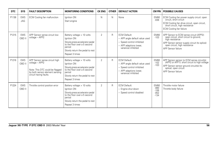| <b>DTC</b> | <b>SYS</b>               | <b>FAULT DESCRIPTION</b>                                                                                                                       | <b>MONITORING CONDITIONS</b>                                                                                                                                               | <b>CK ENG</b>  | <b>OTHER</b> | <b>DEFAULT ACTION</b>                                                                                                               | <b>CM PIN</b>                                       | <b>POSSIBLE CAUSES</b>                                                                                                                                                                                       |
|------------|--------------------------|------------------------------------------------------------------------------------------------------------------------------------------------|----------------------------------------------------------------------------------------------------------------------------------------------------------------------------|----------------|--------------|-------------------------------------------------------------------------------------------------------------------------------------|-----------------------------------------------------|--------------------------------------------------------------------------------------------------------------------------------------------------------------------------------------------------------------|
| P1136      | <b>EMS</b><br><b>JAG</b> | <b>ECM</b> Cooling fan malfunction                                                                                                             | Ianition ON<br>Start engine                                                                                                                                                | N              | N            | None                                                                                                                                | <b>EM80</b><br>$-0.38$                              | ECM Cooling fan power supply circuit: open<br>circuit, short circuit<br>ECM Cooling fan drive circuit, open circuit,<br>short circuit, high resistance<br><b>ECM Cooling fan failure</b>                     |
| P1215      | <b>EMS</b><br>OBD II     | APP Sensor sense circuit low<br>voltage - APP2                                                                                                 | Battery voltage > 10 volts<br>Ignition ON<br>Slowly press accelerator pedal<br>to the floor over a 5 second<br>period<br>Slowly return the pedal to rest<br>Repeat 3 times | $\overline{2}$ | R            | <b>ECM Default:</b><br>- APP angle default value used<br>- Speed control inhibited<br>- APP adaptions (wear,<br>variance) inhibited | <b>EM80</b><br>$-103$                               | APP Sensor to ECM sense circuit (APP2):<br>open circuit, short circuit to ground,<br>high resistance<br>APP Sensor sensor supply circuit (to splice):<br>open circuit, high resistance<br>APP Sensor failure |
| P1216      | <b>EMS</b><br>OBD II     | APP Sensor sense circuit high<br>voltage - APP2<br>Note: This DTC could be flagged<br>by both sensor element sensing<br>circuit having faults. | Battery voltage > 10 volts<br>Ianition ON<br>Slowly press accelerator pedal<br>to the floor over a 5 second<br>period<br>Slowly return the pedal to rest<br>Repeat 3 times | $\overline{2}$ | R            | <b>ECM Default:</b><br>- APP angle default value used<br>- Speed control inhibited<br>- APP adaptions (wear,<br>variance) inhibited | <b>EM80</b><br>$-102$<br>$-103$                     | APP Sensor sensor to ECM sense circuit(s)<br>(APP2 or APP1): short circuit to high voltage<br>APP Sensor sensor ground circuit(s) (to<br>splice): open circuit<br>APP Sensor failure                         |
| P1224      | <b>EMS</b><br>OBD II     | Throttle control position error                                                                                                                | Battery voltage > 10 volts<br>Ianition ON<br>Slowly press accelerator pedal<br>to the floor over a 5 second<br>period<br>Slowly return the pedal to rest<br>Repeat 3 times | $\overline{2}$ | R            | <b>ECM Default:</b><br>- Engine shut down<br>- Speed control disabled                                                               | <b>EM80</b><br>$-080$<br>$-106$<br>$-052$<br>$-134$ | Throttle motor failure<br>Throttle body failure                                                                                                                                                              |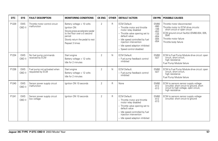| <b>DTC</b> | <b>SYS</b>           | <b>FAULT DESCRIPTION</b>                         | <b>MONITORING CONDITIONS</b>                                                                                                                                               | <b>CK ENG</b> | <b>OTHER</b> | <b>DEFAULT ACTION</b>                                                                                                                                                                                                                                        | <b>CM PIN</b>                                                                     | <b>POSSIBLE CAUSES</b>                                                                                                                                                                                          |
|------------|----------------------|--------------------------------------------------|----------------------------------------------------------------------------------------------------------------------------------------------------------------------------|---------------|--------------|--------------------------------------------------------------------------------------------------------------------------------------------------------------------------------------------------------------------------------------------------------------|-----------------------------------------------------------------------------------|-----------------------------------------------------------------------------------------------------------------------------------------------------------------------------------------------------------------|
| P1229      | <b>EMS</b><br>OBD II | Throttle motor control circuit<br>malfunction    | Battery voltage > 10 volts<br>Ignition ON<br>Slowly press accelerator pedal<br>to the floor over a 5 second<br>period<br>Slowly return the pedal to rest<br>Repeat 3 times | 2             | R            | <b>ECM Default:</b><br>- Throttle motor and throttle<br>motor relay disabled<br>- Throttle valve opening set to<br>default value<br>- Idle speed controlled by fuel<br>injection intervention<br>- Idle speed adaption inhibited<br>- Speed control disabled | <b>EM80</b><br>$-080$<br>$-106$<br>$-052$<br>$-134$<br>$-004$<br>$-005$<br>$-054$ | Throttle motor disconnected<br>Throttle motor to ECM drive circuits:<br>short circuit or open circuit<br>ECM ground circuit fault(s) (EM80-004, 005,<br>054)<br>Throttle motor failure<br>Throttle body failure |
| P1234      | <b>EMS</b><br>OBD II | No fuel pump commands<br>received by ECM         | Start engine<br>Battery voltage $> 12$ volts<br>Idle for 2 minutes                                                                                                         | 2             | N            | <b>ECM Default:</b><br>- Fuel pump feedback control<br>inhibited                                                                                                                                                                                             | <b>EM80</b><br>$-027$                                                             | ECM to Fuel Pump Module drive circuit: open<br>circuit, short circuit,<br>high resistance<br>Fuel Pump Module failure                                                                                           |
| P1236      | <b>EMS</b><br>OBD II | Fuel pump not activated when<br>requested by ECM | Start engine<br>Battery voltage > 12 volts<br>Idle for 2 minutes                                                                                                           | 2             | N            | <b>ECM Default:</b><br>- Fuel pump feedback control<br>inhibited                                                                                                                                                                                             | <b>EM80</b><br>$-027$                                                             | ECM to Fuel Pump Module drive circuit: open<br>circuit, short circuit,<br>high resistance<br>Fuel Pump Module failure                                                                                           |
| P1240      | <b>EMS</b><br>OBD II | Sensor power supply circuit<br>malfunction       | lanition ON 10 seconds                                                                                                                                                     | 2             | $\mathsf{R}$ | None                                                                                                                                                                                                                                                         | <b>EM80</b><br>$-012$<br>$-013$                                                   | ECM to sensors sensor supply voltage<br>circuit(s): short circuit to ground, short<br>circuit to high voltage, open circuit,<br>high resistance                                                                 |
| P1241      | <b>EMS</b><br>OBD II | Sensor power supply circuit<br>low voltage       | lanition ON 10 seconds                                                                                                                                                     | 2             | R            | <b>ECM Default:</b><br>- Throttle motor and throttle<br>motor relay disabled<br>- Throttle valve opening set to<br>default value<br>- Idle speed controlled by fuel<br>injection intervention<br>- Idle speed adaption inhibited                             | <b>EM80</b><br>$-012$<br>$-013$                                                   | ECM to sensors sensor supply voltage<br>circuit(s): short circuit to ground                                                                                                                                     |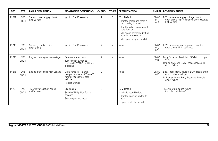| DTC   | <b>SYS</b>           | <b>FAULT DESCRIPTION</b>                    | <b>MONITORING CONDITIONS</b>                                                                                    | <b>CK ENG</b>  | <b>OTHER</b> | <b>DEFAULT ACTION</b>                                                                                                                                                                                                            | CM PIN                          | <b>POSSIBLE CAUSES</b>                                                                                                                |
|-------|----------------------|---------------------------------------------|-----------------------------------------------------------------------------------------------------------------|----------------|--------------|----------------------------------------------------------------------------------------------------------------------------------------------------------------------------------------------------------------------------------|---------------------------------|---------------------------------------------------------------------------------------------------------------------------------------|
| P1242 | <b>EMS</b><br>OBD II | Sensor power supply circuit<br>high voltage | lanition ON 10 seconds                                                                                          | $\overline{2}$ | R            | <b>ECM Default:</b><br>- Throttle motor and throttle<br>motor relay disabled<br>- Throttle valve opening set to<br>default value<br>- Idle speed controlled by fuel<br>injection intervention<br>- Idle speed adaption inhibited | <b>EM80</b><br>$-012$<br>$-013$ | ECM to sensors supply voltage circuit(s):<br>open circuit, high resistance, short circuit to<br>high voltage                          |
| P1243 | <b>EMS</b><br>OBD II | Sensor ground circuits<br>open circuit      | lanition ON 10 seconds                                                                                          | $\overline{2}$ | N            | None                                                                                                                                                                                                                             | <b>EM80</b><br>$-019$<br>$-020$ | ECM to sensors sensor ground circuit(s):<br>open circuit, high resistance                                                             |
| P1245 | <b>EMS</b><br>OBD II | Engine crank signal low voltage             | Remove starter relay<br>Turn ignition switch to<br>position III (START): hold for ><br>second                   | $\overline{2}$ | N            | None                                                                                                                                                                                                                             | <b>EM80</b><br>$-006$           | Body Processor Module to ECM circuit:: open<br>circuit<br>Ignition switch to Body Processor Module<br>circuit failure                 |
| P1246 | <b>EMS</b><br>OBD II | Engine crank signal high voltage            | Drive vehicle > 15 km/h<br>(9 mph) between 1500 - 4000<br>rpm for 10 seconds; stop<br>vehicle<br>Repeat 5 times | $\overline{2}$ | N            | None                                                                                                                                                                                                                             | <b>EM80</b><br>$-006$           | Body Processor Module to ECM circuit: short<br>circuit to high voltage<br>Ignition switch to Body Processor Module<br>circuit failure |
| P1250 | <b>EMS</b><br>OBD II | Throttle valve return spring<br>malfunction | Idle engine<br>Switch OFF ignition for 10<br>seconds<br>Start engine and repeat                                 | $\overline{2}$ | R            | <b>ECM Default:</b><br>- Vehicle speed limited<br>- Throttle opening limited to<br>30%<br>- Speed control inhibited                                                                                                              | -                               | Throttle return spring failure<br>(throttle body failure)                                                                             |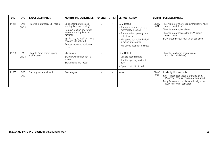| <b>DTC</b> | <b>SYS</b>           | <b>FAULT DESCRIPTION</b>                   | <b>MONITORING CONDITIONS</b>                                                                                                                                                                                                         | <b>CK ENG</b>  | <b>OTHER</b> | <b>DEFAULT ACTION</b>                                                                                                                                                                                                            |                          | <b>CM PIN   POSSIBLE CAUSES</b>                                                                                                                                                                                    |
|------------|----------------------|--------------------------------------------|--------------------------------------------------------------------------------------------------------------------------------------------------------------------------------------------------------------------------------------|----------------|--------------|----------------------------------------------------------------------------------------------------------------------------------------------------------------------------------------------------------------------------------|--------------------------|--------------------------------------------------------------------------------------------------------------------------------------------------------------------------------------------------------------------|
| P1251      | <b>EMS</b><br>OBD II | Throttle motor relay OFF failure           | Engine temperature cool<br>(cooling fans not running)<br>Remove ignition key for 20<br>seconds (cooling fans not<br>running)<br>Ignition key in, position II for 5<br>seconds (do not start)<br>Repeat cycle two additional<br>times | $\overline{2}$ | R            | <b>ECM Default:</b><br>- Throttle motor and throttle<br>motor relay disabled<br>- Throttle valve opening set to<br>default value<br>- Idle speed controlled by fuel<br>injection intervention<br>- Idle speed adaption inhibited | EM80<br>$-052$           | Throttle motor relay coil power supply circuit:<br>open circuit (fuse)<br>Throttle motor relay failure<br>Throttle motor relay coil to ECM circuit:<br>open circuit<br>ECM ground circuit fault (relay coil drive) |
| P1254      | <b>EMS</b><br>OBD II | Throttle "limp home" spring<br>malfunction | Idle engine<br>Switch OFF ignition for 10<br>seconds<br>Start engine and repeat                                                                                                                                                      | 2              | R            | <b>ECM Default:</b><br>- Vehicle speed limited<br>- Throttle opening limited to<br>30%<br>- Speed control inhibited                                                                                                              | $\overline{\phantom{0}}$ | Throttle limp home spring failure<br>(throttle body failure)                                                                                                                                                       |
| P1260      | <b>EMS</b><br>JAG    | Security input malfunction                 | Start engine                                                                                                                                                                                                                         | N              | $\mathsf{N}$ | None                                                                                                                                                                                                                             | EM80<br>$-006$           | Invalid ignition key code<br>Key Transponder Module signal to Body<br>Processor Module missing or corrupted<br>Body Processor Module security signal to<br>ECM missing or corrupted                                |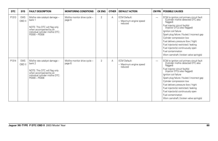| <b>DTC</b> | <b>SYS</b>           | <b>FAULT DESCRIPTION</b>                                                                                                                                   | <b>MONITORING CONDITIONS</b>            | <b>CK ENG</b>  | <b>OTHER</b> | <b>DEFAULT ACTION</b>                                    | <b>CM PIN</b>            | <b>POSSIBLE CAUSES</b>                                                                                                                                                                                                                                                                                                                                                                                                                                    |
|------------|----------------------|------------------------------------------------------------------------------------------------------------------------------------------------------------|-----------------------------------------|----------------|--------------|----------------------------------------------------------|--------------------------|-----------------------------------------------------------------------------------------------------------------------------------------------------------------------------------------------------------------------------------------------------------------------------------------------------------------------------------------------------------------------------------------------------------------------------------------------------------|
| P1313      | <b>EMS</b><br>OBD II | Misfire rate catalyst damage -<br>bank 1<br>NOTE: This DTC will flag only<br>when accompanied by an<br>individual cylinder misfire DTC:<br>$P0300 - P0308$ | Misfire monitor drive cycle -<br>page 6 | $\overline{2}$ | Α            | <b>ECM Default:</b><br>- Maximum engine speed<br>reduced | -                        | ECM to ignition coil primary circuit fault<br>(Cylinder misfire detected DTC also<br>flagged)<br>Fuel injector circuit fault(s)<br>(Injector DTCs also flagged)<br>lanition coil failure<br>Spark plug failure / fouled / incorrect gap<br>Cylinder compression low<br>Fuel delivery pressure (low / high)<br>Fuel injector(s) restricted / leaking<br>Fuel injector(s) continuously open<br>Fuel contamination<br>Worn camshaft / broken valve spring(s) |
| P1314      | <b>EMS</b><br>OBD II | Misfire rate catalyst damage -<br>bank 2<br>NOTE: This DTC will flag only<br>when accompanied by an<br>individual cylinder misfire DTC:<br>P0300 - P0308   | Misfire monitor drive cycle -<br>page 6 | $\overline{2}$ | A            | <b>ECM Default:</b><br>- Maximum engine speed<br>reduced | $\overline{\phantom{0}}$ | ECM to ignition coil primary circuit fault<br>(Cylinder misfire detected DTC also<br>flagged)<br>Fuel injector circuit fault(s)<br>(Injector DTCs also flagged)<br>lanition coil failure<br>Spark plug failure / fouled / incorrect gap<br>Cylinder compression low<br>Fuel delivery pressure (low / high)<br>Fuel injector(s) restricted / leaking<br>Fuel injector(s) continuously open<br>Fuel contamination<br>Worn camshaft / broken valve spring(s) |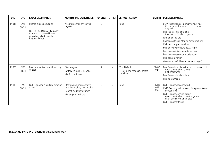| <b>DTC</b> | <b>SYS</b>           | <b>FAULT DESCRIPTION</b>                                                                                                             | <b>MONITORING CONDITIONS</b>                                                                                   | <b>CK ENG</b>  | <b>OTHER</b> | <b>DEFAULT ACTION</b>                                            | <b>CM PIN</b>                   | <b>POSSIBLE CAUSES</b>                                                                                                                                                                                                                                                                                                                                                                                                                                    |
|------------|----------------------|--------------------------------------------------------------------------------------------------------------------------------------|----------------------------------------------------------------------------------------------------------------|----------------|--------------|------------------------------------------------------------------|---------------------------------|-----------------------------------------------------------------------------------------------------------------------------------------------------------------------------------------------------------------------------------------------------------------------------------------------------------------------------------------------------------------------------------------------------------------------------------------------------------|
| P1316      | <b>EMS</b><br>OBD II | Misfire excess emission<br>NOTE: This DTC will flag only<br>when accompanied by an individual cylinder misfire DTC:<br>P0300 - P0308 | Misfire monitor drive cycle -<br>page 6                                                                        | $\overline{2}$ | N            | None                                                             | $\overline{\phantom{0}}$        | ECM to ignition coil primary circuit fault<br>(Cylinder misfire detected DTC also<br>flagged)<br>Fuel injector circuit fault(s)<br>(Injector DTCs also flagged)<br>Ignition coil failure<br>Spark plug failure / fouled / incorrect gap<br>Cylinder compression low<br>Fuel delivery pressure (low / high)<br>Fuel injector(s) restricted / leaking<br>Fuel injector(s) continuously open<br>Fuel contamination<br>Worn camshaft / broken valve spring(s) |
| P1338      | <b>EMS</b><br>OBD II | Fuel pump drive circuit low / high<br>voltage                                                                                        | Start engine<br>Battery voltage $> 12$ volts<br>Idle for 2 minutes                                             | $\overline{2}$ | N            | <b>ECM Default:</b><br>- Fuel pump feedback control<br>inhibited | <b>EM80</b><br>$-027$           | Fuel Pump Module to fuel pump drive circuit:<br>open circuit, short circuit,<br>high resistance<br>Fuel Pump Module failure<br>Fuel pump failure                                                                                                                                                                                                                                                                                                          |
| P1340      | <b>EMS</b><br>OBD II | CMP Sensor 2 circuit malfunction<br>$-$ bank $2$                                                                                     | Start engine; momentarily<br>race the engine; stop engine<br>Repeat 2 additional times<br>Idle engine 1 minute | $\overline{2}$ | N            | None                                                             | <b>EM80</b><br>$-068$<br>$-069$ | CMP Sensor disconnected<br>CMP Sensor gap incorrect / foreign matter on<br>sensor face<br>CMP Sensor sensing circuit:<br>open circuit, short circuit to ground,<br>short circuit to high voltage<br>CMP Sensor 2 failure                                                                                                                                                                                                                                  |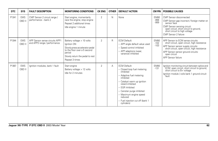| <b>DTC</b> | <b>SYS</b>           | <b>FAULT DESCRIPTION</b>                                       | <b>MONITORING CONDITIONS</b>                                                                                                                                               | <b>CK ENG</b>  | <b>OTHER</b> | <b>DEFAULT ACTION</b>                                                                                                                                                                                                                                                                               | CM PIN                          | <b>POSSIBLE CAUSES</b>                                                                                                                                                                                                                              |
|------------|----------------------|----------------------------------------------------------------|----------------------------------------------------------------------------------------------------------------------------------------------------------------------------|----------------|--------------|-----------------------------------------------------------------------------------------------------------------------------------------------------------------------------------------------------------------------------------------------------------------------------------------------------|---------------------------------|-----------------------------------------------------------------------------------------------------------------------------------------------------------------------------------------------------------------------------------------------------|
| P1341      | <b>EMS</b><br>OBD II | CMP Sensor 2 circuit range /<br>performance - bank 2           | Start engine; momentarily<br>race the engine; stop engine<br>Repeat 2 additional times<br>Idle engine 1 minute                                                             | $\mathfrak{D}$ | N            | None                                                                                                                                                                                                                                                                                                | <b>EM80</b><br>$-068$<br>$-069$ | CMP Sensor disconnected<br>CMP Sensor gap incorrect / foreign matter on<br>sensor face<br>CMP Sensor sensing circuit:<br>open circuit, short circuit to ground,<br>short circuit to high voltage<br>CMP Sensor 2 failure                            |
| P1344      | <b>EMS</b><br>OBD II | APP Sensor sense circuits APP1<br>and APP2 range / performance | Battery voltage > 10 volts<br>Ignition ON<br>Slowly press accelerator pedal<br>to the floor over a 5 second<br>period<br>Slowly return the pedal to rest<br>Repeat 3 times | $\overline{2}$ | $\mathsf{R}$ | <b>ECM Default:</b><br>- APP angle default value used<br>- Speed control inhibited<br>- APP adaptions (wear,<br>variance) inhibited                                                                                                                                                                 | EM80<br>$-102$<br>$-103$        | APP Sensor to ECM sense circuits:<br>short circuit, open circuit, high resistance<br>APP Sensor sensor supply circuits:<br>short circuit, open circuit, high resistance<br>APP Sensor sensor ground circuits:<br>open circuit<br>APP Sensor failure |
| P1367      | <b>EMS</b><br>OBD II | Ignition modules, bank 1 fault                                 | Start engine<br>Battery voltage > 12 volts<br>Idle for 2 minutes                                                                                                           | $\overline{2}$ | Α            | <b>ECM Default:</b><br>- Closed loop fuel metering<br>inhibited<br>- Adaptive fuel metering<br>inhibited<br>- Catalyst warm up ignition<br>retard inhibited<br>- EGR Inhibited<br>- Canister purge inhibited<br>- Maximum engine speed<br>reduced<br>- Fuel injection cut off (bank 1<br>cvlinders) | <b>EM80</b><br>$-131$           | Ignition monitoring circuit between splice and<br>ECM: open circuit, short circuit to ground,<br>short circuit to B+ voltage<br>Ignition module / coils bank 1 ground circuit<br>É fault                                                            |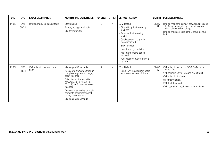| <b>DTC</b> | <b>SYS</b>           | <b>FAULT DESCRIPTION</b>            | <b>MONITORING CONDITIONS</b>                                                                                                                                                                                                                                                                                                       | <b>CK ENG</b>  | <b>OTHER</b> | <b>DEFAULT ACTION</b>                                                                                                                                                                                                                                                                               | CM PIN                | <b>POSSIBLE CAUSES</b>                                                                                                                                                                                                         |
|------------|----------------------|-------------------------------------|------------------------------------------------------------------------------------------------------------------------------------------------------------------------------------------------------------------------------------------------------------------------------------------------------------------------------------|----------------|--------------|-----------------------------------------------------------------------------------------------------------------------------------------------------------------------------------------------------------------------------------------------------------------------------------------------------|-----------------------|--------------------------------------------------------------------------------------------------------------------------------------------------------------------------------------------------------------------------------|
| P1368      | <b>EMS</b><br>OBD II | Ignition modules, bank 2 fault      | Start engine<br>Battery voltage $> 12$ volts<br>Idle for 2 minutes                                                                                                                                                                                                                                                                 | $\overline{2}$ | Α            | <b>ECM Default:</b><br>- Closed loop fuel metering<br>inhibited<br>- Adaptive fuel metering<br>inhibited<br>- Catalyst warm up ignition<br>retard inhibited<br>- EGR Inhibited<br>- Canister purge inhibited<br>- Maximum engine speed<br>reduced<br>- Fuel injection cut off (bank 2<br>cylinders) | <b>EM80</b><br>$-132$ | Ignition monitoring circuit between splice and<br>ECM: open circuit, short circuit to ground,<br>short circuit to B+ voltage<br>Ignition module / coils bank 2 ground circuit<br>fault                                         |
| P1384      | <b>EMS</b><br>OBD II | WT solenoid malfunction -<br>bank 1 | Idle engine 30 seconds<br>Accelerate from stop through<br>complete engine rpm range;<br>coast to a stop<br>Drive the vehicle steadily<br>between 48 - 97 km/h (30 -<br>60 mph) for 5 minutes; coast<br>to a stop<br>Accelerate smoothly through<br>complete accelerator pedal<br>travel; coast to a stop<br>Idle engine 30 seconds | 2              | N            | <b>ECM Default:</b><br>- Bank 1 VVT hold current set at<br>a constant valve of 450 mA                                                                                                                                                                                                               | <b>EM80</b><br>$-109$ | VVT solenoid valve 1 to ECM PWM drive<br>circuit fault<br>VVT solenoid valve 1 ground circuit fault<br><b>VVT</b> solenoid 1 failure<br>Oil contamination<br>WT 1 oil flow fault<br>VVT / camshaft mechanical failure - bank 1 |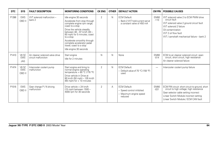| DTC   | <b>SYS</b>                        | <b>FAULT DESCRIPTION</b>                                | <b>MONITORING CONDITIONS</b>                                                                                                                                                                                                                                                                                                       | <b>CK ENG</b>  | <b>OTHER</b> | <b>DEFAULT ACTION</b>                                                                 | <b>CM PIN</b>            | <b>POSSIBLE CAUSES</b>                                                                                                                                                                                                  |
|-------|-----------------------------------|---------------------------------------------------------|------------------------------------------------------------------------------------------------------------------------------------------------------------------------------------------------------------------------------------------------------------------------------------------------------------------------------------|----------------|--------------|---------------------------------------------------------------------------------------|--------------------------|-------------------------------------------------------------------------------------------------------------------------------------------------------------------------------------------------------------------------|
| P1396 | <b>EMS</b><br>OBD II              | WT solenoid malfunction -<br>bank 2                     | Idle engine 30 seconds<br>Accelerate from stop through<br>complete engine rpm range;<br>coast to a stop<br>Drive the vehicle steadily<br>between 48 - 97 km/h (30 -<br>60 mph) for 5 minutes; coast<br>to a stop<br>Accelerate smoothly through<br>complete accelerator pedal<br>travel; coast to a stop<br>Idle engine 30 seconds | $\overline{2}$ | N            | <b>ECM Default:</b><br>- Bank 2 VVT hold current set at<br>a constant valve of 450 mA | <b>EM80</b><br>$-110$    | VVT solenoid valve 2 to ECM PWM drive<br>circuit fault<br>VVT solenoid valve 2 ground circuit fault<br>VVT solenoid 2 failure<br>Oil contamination<br>WT 2 oil flow fault<br>VVT / camshaft mechanical failure - bank 2 |
| P1410 | V8 SC<br><b>EMS</b><br><b>JAG</b> | Air cleaner solenoid valve drive<br>circuit malfunction | Start engine<br>Idle for 2 minutes                                                                                                                                                                                                                                                                                                 | N              | N            | None                                                                                  | <b>EM80</b><br>$-014$    | ECM to air cleaner solenoid circuit: open<br>circuit, short circuit, high resistance<br>Air cleaner solenoid failure                                                                                                    |
| P1474 | V8 SC<br><b>EMS</b><br>OBD II     | Intercooler coolant pump<br>malfunction                 | Start engine and bring to<br>normal engine operating<br>temperature > $80 °C$ (176 °F)<br>Drive vehicle in Drive at<br>80 km/h (50 mph) - 105 km/h<br>$(65$ mph) for $> 10$ minutes                                                                                                                                                | 2              | N            | <b>ECM Default:</b><br>- Default value of 70 °C (158 °F)<br>used                      | $\overline{\phantom{0}}$ | Intercooler coolant pump failure                                                                                                                                                                                        |
| P1516 | <b>EMS</b><br>OBD II              | Gear change P / N driving<br>malfunction                | Drive vehicle > 24 km/h<br>(15 mph) between 1500 -<br>4000 rpm for 30 seconds                                                                                                                                                                                                                                                      | 2              | Α            | <b>ECM Default:</b><br>- Speed control inhibited<br>- Maximum engine speed<br>reduced | <b>EM80</b><br>$-031$    | ECM P/N circuit: short circuit to ground, short<br>circuit to high voltage; high resistance<br>Gear selector cable setting incorrect<br>Linear Switch Module incorrect setting<br>Linear Switch Module / ECM CAN fault  |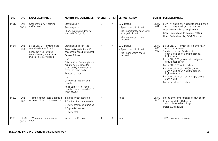| <b>DTC</b> | <b>SYS</b>               | <b>FAULT DESCRIPTION</b>                                                                                                                          | <b>MONITORING CONDITIONS</b>                                                                                                                                                                                                                                                                                                                                                                          | <b>CK ENG</b> | <b>OTHER</b> | <b>DEFAULT ACTION</b>                                                                                                                        | <b>CM PIN</b>                   | <b>POSSIBLE CAUSES</b>                                                                                                                                                                                                                                                                                                                                                                                                                                                 |
|------------|--------------------------|---------------------------------------------------------------------------------------------------------------------------------------------------|-------------------------------------------------------------------------------------------------------------------------------------------------------------------------------------------------------------------------------------------------------------------------------------------------------------------------------------------------------------------------------------------------------|---------------|--------------|----------------------------------------------------------------------------------------------------------------------------------------------|---------------------------------|------------------------------------------------------------------------------------------------------------------------------------------------------------------------------------------------------------------------------------------------------------------------------------------------------------------------------------------------------------------------------------------------------------------------------------------------------------------------|
| P1517      | <b>EMS</b><br>OBD II     | Gear change P / N starting<br>malfunction                                                                                                         | Start engine in P<br>Start engine in N<br>Check that engine does not<br>start in R, D, 5, 4, 3, 2                                                                                                                                                                                                                                                                                                     | 2             | Α            | <b>ECM Default:</b><br>- Speed control inhibited<br>- Maximum throttle opening for<br>N range inhibited<br>- Maximum engine speed<br>reduced | EM80<br>$-031$                  | ECM P/N circuit: short circuit to ground, short<br>circuit to high voltage; high resistance<br>Gear selector cable setting incorrect<br>Linear Switch Module incorrect setting<br>Linear Switch Module / ECM CAN fault                                                                                                                                                                                                                                                 |
| P1571      | <b>EMS</b><br><b>JAG</b> | Brake ON / OFF switch; brake<br>cancel switch malfunction<br>(Brake ON / OFF switch -<br>normally open; brake cancel<br>switch - normally closed) | Start engine; idle in P, N<br>Press brake pedal for $> 10$<br>seconds; release brake pedal<br>Repeat 5 times<br>$-$ or-<br>Drive $> 80$ km/h (50 mph) $> 1$<br>minute (do not press the<br>brake pedal); momentarily<br>press the brake pedal<br>Repeat 10 times<br>$-0r-$<br>Using WDS, monitor both<br>circuits<br>Pedal at rest = $"0"$ (both<br>circuits); pedal pressed = "1"<br>(both circuits) | N             | Α            | <b>ECM Default:</b><br>- Speed control inhibited<br>- Maximum engine speed<br>reduced                                                        | <b>EM80</b><br>$-008$<br>$-009$ | Brake ON / OFF switch to stop lamp relay<br>circuit: open circuit<br>Stop lamp relay to ECM circuit:<br>open circuit, short circuit to ground,<br>high resistance<br>Brake ON / OFF ignition switched ground<br>circuit: open circuit<br>Brake ON / OFF switch failure<br>Brake cancel switch to ECM circuit:<br>open circuit, short circuit to ground,<br>high resistance<br>Brake cancel switch power supply circuit:<br>open circuit<br>Brake cancel switch failure |
| P1582      | <b>EMS</b><br><b>JAG</b> | "Flight recorder" data is stored if<br>any one of five conditions occur:                                                                          | 1 Inertia switch activated<br>2 Throttle Limp Home mode<br>3 Engine starts and stumbles<br>4 Engine fail to start<br>5 Engine stall                                                                                                                                                                                                                                                                   | N             | N            | None                                                                                                                                         | <b>EM80</b><br>$-010$           | If none of the five conditions occur, check:<br>Inertia switch to ECM circuit:<br>short circuit to B+ voltage<br>Inertia switch failure                                                                                                                                                                                                                                                                                                                                |
| P1603      | <b>TRANS</b><br>OBD II   | <b>TCM</b> Internal communications<br>error                                                                                                       | lanition ON 10 seconds                                                                                                                                                                                                                                                                                                                                                                                | $\mathbf{1}$  | Α            | None                                                                                                                                         |                                 | TCM / Control valve failure                                                                                                                                                                                                                                                                                                                                                                                                                                            |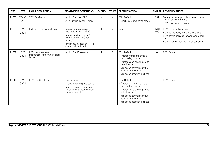| DTC   | <b>SYS</b>                 | <b>FAULT DESCRIPTION</b>                                         | <b>MONITORING CONDITIONS</b>                                                                                                                                                               | <b>CK ENG</b>  | <b>OTHER</b> | <b>DEFAULT ACTION</b>                                                                                                                                                                                                            | <b>CM PIN</b>            | <b>POSSIBLE CAUSES</b>                                                                                                                                                    |
|-------|----------------------------|------------------------------------------------------------------|--------------------------------------------------------------------------------------------------------------------------------------------------------------------------------------------|----------------|--------------|----------------------------------------------------------------------------------------------------------------------------------------------------------------------------------------------------------------------------------|--------------------------|---------------------------------------------------------------------------------------------------------------------------------------------------------------------------|
| P1605 | <b>TRANS</b><br><b>JAG</b> | <b>TCM RAM error</b>                                             | Ignition ON, then OFF<br>Cycle ignition switch 6 times                                                                                                                                     | N              | N            | <b>TCM Default:</b><br>- Mechanical limp home mode                                                                                                                                                                               | GB <sub>2</sub><br>$-14$ | Battery power supply circuit: open circuit,<br>short circuit to ground<br>TCM / Control valve failure                                                                     |
| P1606 | <b>EMS</b><br>OBD II       | EMS control relay malfunction                                    | Engine temperature cool<br>(cooling fans not running)<br>Remove ignition key for 1<br>minute (cooling fans not<br>running)<br>Ignition key in, position II for 5<br>seconds (do not start) | 1              | N            | None                                                                                                                                                                                                                             | <b>EM80</b><br>$-040$    | ECM control relay failure<br>ECM control relay to ECM circuit fault<br>ECM control relay coil power supply open<br>circuit<br>ECM ground circuit fault (relay coil drive) |
| P1609 | <b>EMS</b><br>OBD II       | ECM microprocessor to<br>microprocessor communication<br>failure | Ignition ON 10 seconds                                                                                                                                                                     | $\overline{2}$ | R            | <b>ECM Default:</b><br>- Throttle motor and throttle<br>motor relay disabled<br>- Throttle valve opening set to<br>default value<br>- Idle speed controlled by fuel<br>injection intervention<br>- Idle speed adaption inhibited | —                        | <b>ECM Failure</b>                                                                                                                                                        |
| P1611 | <b>EMS</b><br>OBD II       | ECM sub CPU failure                                              | Drive vehicle<br>If fitted, engage speed control<br>Refer to Owner's Handbook<br>and ensure that speed control<br>engages normally                                                         | 2              | R            | <b>ECM Default:</b><br>- Throttle motor and throttle<br>motor relay disabled<br>- Throttle valve opening set to<br>default value<br>- Idle speed controlled by fuel<br>injection intervention<br>- Idle speed adaption inhibited |                          | <b>ECM Failure</b>                                                                                                                                                        |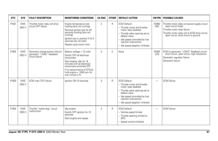| <b>DTC</b> | <b>SYS</b>           | <b>FAULT DESCRIPTION</b>                                                          | <b>MONITORING CONDITIONS</b>                                                                                                                                                                                                                   | <b>CK ENG</b>  | <b>OTHER</b> | <b>DEFAULT ACTION</b>                                                                                                                                                                                                            | CM PIN                   | <b>POSSIBLE CAUSES</b>                                                                                                                                                                             |
|------------|----------------------|-----------------------------------------------------------------------------------|------------------------------------------------------------------------------------------------------------------------------------------------------------------------------------------------------------------------------------------------|----------------|--------------|----------------------------------------------------------------------------------------------------------------------------------------------------------------------------------------------------------------------------------|--------------------------|----------------------------------------------------------------------------------------------------------------------------------------------------------------------------------------------------|
| P1631      | <b>EMS</b><br>OBD II | Throttle motor relay coil drive<br>circuit OFF failure                            | Engine temperature cool<br>(cooling fans not running)<br>Remove janition key for 20<br>seconds (cooling fans not<br>running)<br>Ignition key in, position II for 5<br>seconds (do not start)<br>Repeat cycle twice more                        | $\overline{2}$ | R            | <b>ECM Default:</b><br>- Throttle motor and throttle<br>motor relay disabled<br>- Throttle valve opening set to<br>default value<br>- Idle speed controlled by fuel<br>injection intervention<br>- Idle speed adaption inhibited | <b>EM80</b><br>$-052$    | Throttle motor relay coil power supply circuit:<br>open circuit (fuse)<br>Throttle motor relay failure<br>Throttle motor relay coil to ECM drive circuit:<br>open circuit, short circuit to ground |
| P1632      | <b>EMS</b><br>OBD II | Generator charge system failure /<br>generator "LOAD" feedback<br>circuit failure | Battery voltage > 12 volts<br>Switch OFF all electrical<br>consumers<br>Start engine; idle for 16<br>minutes with all electrical<br>consumers switched OFF<br>If no reoccurrence of DTC(s):<br>hold engine $> 1500$ rpm for<br>one minute in N | $\overline{2}$ | C            | None                                                                                                                                                                                                                             | <b>EM80</b><br>$-079$    | ECM to generator "LOAD" feedback circuit:<br>short circuit, open circuit, high resistance<br>Generator regulator failure<br>Generator failure                                                      |
| P1633      | <b>EMS</b><br>OBD II | ECM main CPU failure                                                              | Ignition ON 10 seconds                                                                                                                                                                                                                         | $\overline{2}$ | R            | <b>ECM Default:</b><br>- Throttle motor and throttle<br>motor relay disabled<br>- Throttle valve opening set to<br>default value<br>- Idle speed controlled by fuel<br>injection intervention<br>- Idle speed adaption inhibited | $\overline{\phantom{0}}$ | <b>ECM Failure</b>                                                                                                                                                                                 |
| P1634      | <b>EMS</b><br>OBD II | Throttle "watch dog" circuit<br>malfunction                                       | Idle engine<br>Switch OFF ignition for 10<br>seconds<br>Start engine and repeat                                                                                                                                                                | $\overline{2}$ | R            | <b>ECM Default:</b><br>- Vehicle speed limited<br>- Throttle opening limited to<br>30%<br>- Speed control inhibited                                                                                                              | $\overline{\phantom{0}}$ | <b>ECM Failure</b>                                                                                                                                                                                 |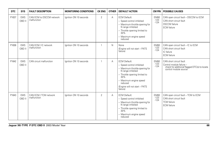| <b>DTC</b> | <b>SYS</b>           | <b>FAULT DESCRIPTION</b>                | <b>MONITORING CONDITIONS</b> | <b>CK ENG</b>  | <b>OTHER</b> | <b>DEFAULT ACTION</b>                                                                                                                                                                                                             | <b>CM PIN</b>                   | <b>POSSIBLE CAUSES</b>                                                                                                        |
|------------|----------------------|-----------------------------------------|------------------------------|----------------|--------------|-----------------------------------------------------------------------------------------------------------------------------------------------------------------------------------------------------------------------------------|---------------------------------|-------------------------------------------------------------------------------------------------------------------------------|
| P1637      | <b>EMS</b><br>OBD II | CAN ECM to DSCCM network<br>malfunction | lanition ON 10 seconds       | $\overline{2}$ | A            | <b>ECM Default:</b><br>- Speed control inhibited<br>- Maximum throttle opening for<br>N range inhibited<br>- Throttle opening limited to<br>30%<br>- Maximum engine speed<br>reduced                                              | <b>EM80</b><br>$-123$<br>$-124$ | CAN open circuit fault - DSCCM to ECM<br>CAN short circuit fault<br><b>DSCCM</b> failure<br><b>ECM</b> failure                |
| P1638      | <b>EMS</b><br>OBD II | CAN ECM / IC network<br>malfunction     | Ignition ON 10 seconds       | $\mathbf{1}$   | N            | None<br>(Engine will not start - PATS<br>failure)                                                                                                                                                                                 | <b>EM80</b><br>$-123$<br>$-124$ | CAN open circuit fault - IC to ECM<br>CAN short circuit fault<br>IC failure<br><b>ECM</b> failure                             |
| P1642      | <b>EMS</b><br>OBD II | CAN circuit malfunction                 | lanition ON 10 seconds       | $\mathbf{1}$   | Α            | <b>ECM Default:</b><br>- Speed control inhibited<br>- Maximum throttle opening for<br>N range inhibited<br>- Throttle opening limited to<br>30%<br>- Maximum engine speed<br>reduced<br>(Engine will not start - PATS<br>failure) | <b>EM80</b><br>$-123$<br>$-124$ | CAN short circuit fault<br>Control module failure -<br>check for additional flagged DTC(s) to locate<br>control module source |
| P1643      | <b>EMS</b><br>OBD II | CAN ECM / TCM network<br>malfunction    | lanition ON 10 seconds       | $\overline{2}$ | A            | <b>ECM Default:</b><br>- Speed control inhibited<br>- Maximum throttle opening for<br>N range inhibited<br>- Throttle opening limited to<br>30%<br>- Maximum engine speed<br>reduced                                              | <b>EM80</b><br>$-123$<br>$-124$ | CAN open circuit fault - TCM to ECM<br>CAN short circuit fault<br><b>TCM</b> failure<br><b>ECM</b> failure                    |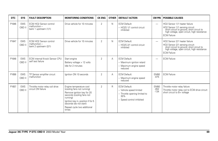| DTC   | <b>SYS</b>           | <b>FAULT DESCRIPTION</b>                                                  | <b>MONITORING CONDITIONS</b>                                                                                                                                                                                                         | <b>CK ENG</b>  | <b>OTHER</b> | <b>DEFAULT ACTION</b>                                                                                               | <b>CM PIN</b>                   | <b>POSSIBLE CAUSES</b>                                                                                                                                                                         |
|-------|----------------------|---------------------------------------------------------------------------|--------------------------------------------------------------------------------------------------------------------------------------------------------------------------------------------------------------------------------------|----------------|--------------|---------------------------------------------------------------------------------------------------------------------|---------------------------------|------------------------------------------------------------------------------------------------------------------------------------------------------------------------------------------------|
| P1646 | <b>EMS</b><br>OBD II | ECM HO2 Sensor control<br>$malfunction -$<br>bank 1 upstream (1/1)        | Drive vehicle for 10 minutes                                                                                                                                                                                                         | $\overline{2}$ | N            | <b>ECM Default:</b><br>- HO2S 1/1 control circuit<br>inhibited                                                      | $\overline{\phantom{0}}$        | HO <sub>2</sub> Sensor 1/1 heater failure<br>HO2 Sensor 1/1 sensing circuit:<br>short circuit to ground, short circuit to<br>high voltage, open circuit, high resistance<br><b>ECM Failure</b> |
| P1647 | <b>EMS</b><br>OBD II | <b>ECM HO2 Sensor control</b><br>$malfunction -$<br>bank 2 upstream (2/1) | Drive vehicle for 10 minutes                                                                                                                                                                                                         | 2              | N            | <b>ECM Default:</b><br>- HO2S 2/1 control circuit<br>inhibited                                                      | $\overline{\phantom{0}}$        | HO2 Sensor 2/1 heater failure<br>HO2 Sensor 2/1 sensing circuit:<br>short circuit to ground, short circuit to<br>high voltage, open circuit, high resistance<br><b>ECM Failure</b>             |
| P1648 | <b>EMS</b><br>OBD II | ECM internal Knock Sensor CPU<br>self test failure                        | Start engine<br>Battery voltage > 12 volts<br>Idle for 2 minutes                                                                                                                                                                     | 2              | A            | <b>ECM Default:</b><br>- Maximum ignition retard<br>- Maximum engine speed<br>reduced                               | $\overline{\phantom{0}}$        | <b>ECM Failure</b>                                                                                                                                                                             |
| P1656 | <b>EMS</b><br>OBD II | TP Sensor amplifier circuit<br>malfunction                                | lanition ON 10 seconds                                                                                                                                                                                                               | 2              | А            | <b>ECM Default:</b><br>- Maximum engine speed<br>reduced                                                            | <b>EM80</b><br>$-075$           | <b>ECM Failure</b>                                                                                                                                                                             |
| P1657 | <b>EMS</b><br>OBD II | Throttle motor relay coil drive<br>circuit ON failure                     | Engine temperature cool<br>(cooling fans not running)<br>Remove ignition key for 20<br>seconds (cooling fans not<br>running)<br>Ignition key in, position II for 5<br>seconds (do not start)<br>Repeat cycle two additional<br>times | $\overline{2}$ | $\mathsf{R}$ | <b>ECM Default:</b><br>- Vehicle speed limited<br>- Throttle opening limited to<br>30%<br>- Speed control inhibited | <b>EM80</b><br>$-052$<br>$-134$ | Throttle motor relay failure<br>Throttle motor relay coil to ECM drive circuit:<br>short circuit to B+ voltage                                                                                 |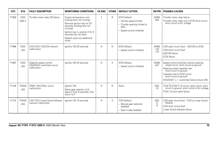| <b>DTC</b> | <b>SYS</b>                 | <b>FAULT DESCRIPTION</b>                                            | <b>MONITORING CONDITIONS</b>                                                                                                                                                                                                         | <b>CK ENG</b>  | <b>OTHER</b> | <b>DEFAULT ACTION</b>                                                                                               | <b>CM PIN</b>                   | <b>POSSIBLE CAUSES</b>                                                                                                                                                                                                                                    |
|------------|----------------------------|---------------------------------------------------------------------|--------------------------------------------------------------------------------------------------------------------------------------------------------------------------------------------------------------------------------------|----------------|--------------|---------------------------------------------------------------------------------------------------------------------|---------------------------------|-----------------------------------------------------------------------------------------------------------------------------------------------------------------------------------------------------------------------------------------------------------|
| P1658      | <b>EMS</b><br>OBD II       | Throttle motor relay ON failure                                     | Engine temperature cool<br>(cooling fans not running)<br>Remove ignition key for 20<br>seconds (cooling fans not<br>runnina)<br>Ignition key in, position II for 5<br>seconds (do not start)<br>Repeat cycle two additional<br>times | $\overline{2}$ | R            | <b>ECM Default:</b><br>- Vehicle speed limited<br>- Throttle opening limited to<br>30%<br>- Speed control inhibited | <b>EM80</b><br>$-052$           | Throttle motor relay failure<br>Throttle motor relay coil to ECM drive circuit:<br>short circuit to B+ voltage                                                                                                                                            |
| P1696      | <b>EMS</b><br><b>JAG</b>   | CAN ECM / ASCCM network<br>malfunction                              | lanition ON 30 seconds                                                                                                                                                                                                               | N              | N            | <b>ECM Default:</b><br>- Speed control inhibited                                                                    | <b>EM80</b><br>$-123$<br>$-124$ | CAN open circuit fault - ASCCM to ECM<br>CAN short circuit fault<br><b>ASCCM</b> failure<br><b>ECM</b> failure                                                                                                                                            |
| P1697      | <b>EMS</b><br>JAG          | Adaptive speed control<br>HEADWAY switch(es) circuit<br>malfunction | lanition ON 45 seconds                                                                                                                                                                                                               | N              | А            | <b>ECM Default:</b><br>- Speed control inhibited                                                                    | <b>EM80</b><br>$-047$           | Speed control switches internal steering<br>wheel circuit: short circuit to ground<br>Steering wheel cassette reel:<br>short circuit to ground<br>Cassette reel to ECM circuit:<br>short circuit to ground<br>HEADWAY + / - switch(es) failure (stuck ON) |
| P1749      | <b>TRANS</b><br><b>JAG</b> | PARK / NEUTRAL circuit<br>malfunction                               | Ignition ON<br>Move gear selector to N;<br>leave in N for 5 seconds, then<br>return to P                                                                                                                                             | N              | N            | None                                                                                                                | GB <sub>2</sub><br>$-10$        | TCM TO ECM P / N circuit: open circuit, short<br>circuit to ground, short circuit to B+ voltage<br>TCM / Control valve failure                                                                                                                            |
| P1774      | <b>TRANS</b><br><b>JAG</b> | CAN TCM / Linear Switch Module<br>network malfunction               | lanition ON 10 seconds                                                                                                                                                                                                               | N              | А            | <b>TCM Default:</b><br>- Manual gear selection<br>disabled<br>- Sport mode disabled                                 | GB <sub>2</sub><br>$-2$<br>$-6$ | CAN open circuit fault - TCM to Linear Switch<br>Module<br>CAN short circuit fault<br>Linear Switch Module failure                                                                                                                                        |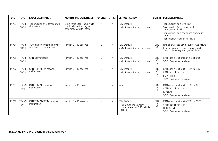| <b>DTC</b> | <b>SYS</b>                 | <b>FAULT DESCRIPTION</b>                                  | <b>MONITORING CONDITIONS</b>                                                                 | <b>CK ENG</b>  | <b>OTHER</b> | <b>DEFAULT ACTION</b>                                                                     | <b>CM PIN</b>                   | <b>POSSIBLE CAUSES</b>                                                                                                                                                              |
|------------|----------------------------|-----------------------------------------------------------|----------------------------------------------------------------------------------------------|----------------|--------------|-------------------------------------------------------------------------------------------|---------------------------------|-------------------------------------------------------------------------------------------------------------------------------------------------------------------------------------|
| P1783      | <b>TRANS</b><br>OBD II     | Transmission over-temperature<br>shut-down                | Drive vehicle for 1 hour while<br>continually performing hard<br>acceleration starts / stops | $\mathsf{N}$   | A            | <b>TCM Default:</b><br>- Mechanical limp home mode                                        | $\overline{\phantom{0}}$        | Transmission fluid level low<br>Transmission fluid cooler circuit:<br>obstructed, leaking<br>Transmission fluid cooler fins blocked by<br>debris<br>Transmission mechanical failure |
| P1794      | <b>TRANS</b><br>OBD II     | TCM ignition switched power<br>supply circuit malfunction | lanition ON 10 seconds                                                                       | 2              | A            | <b>TCM Default:</b><br>- Mechanical limp home mode                                        | GB <sub>2</sub><br>-9           | Ignition switched power supply fuse failure<br>Ignition switched power supply circuit:<br>short circuit to ground, open circuit                                                     |
| P1796      | <b>TRANS</b><br>OBD II     | CAN network fault                                         | lanition ON 10 seconds                                                                       | 2              | A            | <b>TCM Default:</b><br>- Mechanical limp home mode                                        | GB <sub>2</sub><br>-2<br>$-6$   | CAN open circuit or short circuit fault<br>TCM / Control valve failure                                                                                                              |
| P1797      | <b>TRANS</b><br>OBD II     | CAN TCM / ECM network<br>malfunction                      | lanition ON 10 seconds                                                                       | $\overline{2}$ | A            | <b>TCM Default:</b><br>- Mechanical limp home mode                                        | GB <sub>2</sub><br>$-2$<br>$-6$ | CAN open circuit fault - TCM to ECM<br>CAN short circuit fault<br><b>ECM</b> failure<br>TCM / Control valve failure                                                                 |
| P1798      | <b>TRANS</b><br><b>JAG</b> | CAN TCM / IC network<br>malfunction                       | lanition ON 10 seconds                                                                       | N              | N            | None                                                                                      | GB <sub>2</sub><br>-2           | CAN open circuit fault - TCM to IC<br>CAN short circuit fault<br>IC failure<br>TCM / Control valve failure                                                                          |
| P1799      | <b>TRANS</b><br><b>JAG</b> | CAN TCM / DSCCM network<br>malfunction                    | Ignition ON 10 seconds                                                                       | N              | N            | <b>TCM Default:</b><br>- Substitute transmission<br>output speed for DSC vehicle<br>speed | GB <sub>2</sub><br>-2<br>$-6$   | CAN open circuit fault - TCM to DSCCM<br>CAN short circuit fault<br><b>DSCCM</b> failure<br>TCM / Control valve failure                                                             |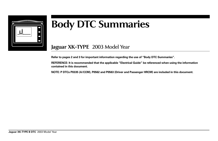

# **Body DTC Summaries**

### **Jaguar XK-TYPE** 2003 Model Year

**Refer to pages 2 and 3 for important information regarding the use of "Body DTC Summaries".**

**REFERENCE: It is recommended that the applicable "Electrical Guide" be referenced when using the information contained in this document.**

**NOTE: P DTCs P0335 (A/CCM), P0562 and P0563 (Driver and Passenger HRCM) are included in this document.**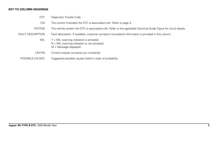### **KEY TO COLUMN HEADINGS**

- DTC Diagnostic Trouble Code.
- CM The control module(s) the DTC is associated with. Refer to page 3.
- SYSTEM The vehicle system the DTC is associated with. Refer to the applicable Electrical Guide Figure for circuit details.
- FAULT DESCRIPTION Fault description. If available, customer symptom (complaint) information is provided in this column.
	- MIL  $Y = MIL$  (warning indicator) is activated.  $N = MIL$  (warning indicator) is not activated.  $M =$ Message displayed.
	- CM PIN Control module connector pin number(s)
	- POSSIBLE CAUSES Suggested possible causes listed in order of probability.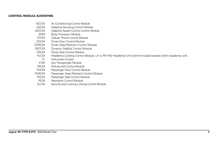#### **CONTROL MODULE ACRONYMS**

- A/CCM Air Conditioning Control Module
- ADCM Adaptive Damping Control Module
- ASCCM Adaptive Speed Control Control Module<br>BPM Body Processor Module
- Body Processor Module
- CPCM Cellular Phone Control Module<br>DDCM Driver Door Control Module
- DDCM Driver Door Control Module<br>
DHRCM Driver Head Restraint Control
- Driver Head Restraint Control Module
- DSCCM Dynamic Stability Control Module<br>DSCM Driver Seat Control Module
- DSCM Driver Seat Control Module<br>HI CM Headlamp Leveling Control
- Headlamp Leveling Control Module, LH or RH HID Headlamp Unit (control module located within headlamp unit)
- IC Instrument Cluster<br>KTM Key Transponder M
- KTM Key Transponder Module<br>PACM Parking Aid Control Modu
- Parking Aid Control Module
- PDCM Passenger Door Control Module<br>PHRCM Passenger Head Restraint Control
- **HRCM** Passenger Head Restraint Control Module<br>PSCM Passenger Seat Control Module
- Passenger Seat Control Module
- RCM Restraints Control Module<br>SLCM Security and Locking Locki
- Security and Locking Locking Control Module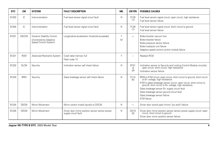| <b>DTC</b> | <b>CM</b>    | <b>SYSTEM</b>                                                                | <b>FAULT DESCRIPTION</b>                                                | <b>MIL</b> | <b>CM PIN</b>              | <b>POSSIBLE CAUSES</b>                                                                                                                                                                                                                                                                                                                                                              |
|------------|--------------|------------------------------------------------------------------------------|-------------------------------------------------------------------------|------------|----------------------------|-------------------------------------------------------------------------------------------------------------------------------------------------------------------------------------------------------------------------------------------------------------------------------------------------------------------------------------------------------------------------------------|
| B1202      | IC           | Instrumentation                                                              | Fuel level sensor signal circuit fault                                  | N          | FC26<br>$-13$              | Fuel level sensor signal circuit: open circuit, high resistance<br>Fuel level sensor failure                                                                                                                                                                                                                                                                                        |
| B1204      | IC           | Instrumentation                                                              | Fuel level sensor signal circuit fault                                  | N          | FC <sub>26</sub><br>$-13$  | Fuel level sensor signal circuit: short circuit to ground<br>Fuel level sensor failure                                                                                                                                                                                                                                                                                              |
| B1231      | <b>DSCCM</b> | Dynamic Stability Control<br>(monitored by Adaptive<br>Speed Control System) | Longitudinal acceleration threshold exceeded                            | Υ<br>M     | $\overline{\phantom{0}}$   | Brake booster vacuum low<br>Brake booster failure<br>Brake pressure sensor failure<br>Brake hydraulic unit failure<br>Adaptive speed control control module failure                                                                                                                                                                                                                 |
| B1231      | <b>RCM</b>   | <b>Advanced Restraints System</b>                                            | Crash data memory full<br>Flash code 13                                 | Υ          | ۳                          | Replace RCM                                                                                                                                                                                                                                                                                                                                                                         |
| B1232      | <b>SLCM</b>  | Security                                                                     | Inclination sensor self check failure                                   | N          | <b>BT41</b><br>-8<br>$-26$ | Inclination sensor to Security and Locking Control Module circuit(s):<br>open circuit, short circuit, high resistance<br>Inclination sensor failure                                                                                                                                                                                                                                 |
| B1233      | <b>BPM</b>   | Security                                                                     | Glass breakage sensor self check failure                                | N          | <b>FC14</b><br>$-92$       | BPM to KTM circuit: open circuit, short circuit to ground, short circuit to B+ voltage, high resistance<br>KTM to glass breakage sensor circuit: open circuit, short circuit to ground, short circuit to B+ voltage, high resistance<br>Glass breakage sensor B+ supply circuit fault<br>Glass breakage sensor ground circuit fault<br>Glass breakage sensor failure<br>KTM failure |
| B1234      | <b>DDCM</b>  | Mirror Movement                                                              | Mirror switch invalid input(s) to DDCM                                  | N          | $\overline{\phantom{0}}$   | Driver door switch pack (mirror "joy stick") failure                                                                                                                                                                                                                                                                                                                                |
| B1235      | <b>DDCM</b>  | Mirror Movement                                                              | Driver door mirror position sensor sensor power<br>supply circuit fault | N          | <b>DD10</b><br>$-20$       | Driver door mirror position sensor sensor power supply circuit: open<br>circuit, short circuit to ground<br>Driver door mirror position sensor failure                                                                                                                                                                                                                              |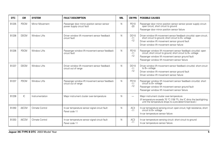| <b>DTC</b> | <b>CM</b>    | <b>SYSTEM</b>   | <b>FAULT DESCRIPTION</b>                                                   | MIL | <b>CM PIN</b>            | <b>POSSIBLE CAUSES</b>                                                                                                                                                                                                                  |
|------------|--------------|-----------------|----------------------------------------------------------------------------|-----|--------------------------|-----------------------------------------------------------------------------------------------------------------------------------------------------------------------------------------------------------------------------------------|
| B1235      | <b>PDCM</b>  | Mirror Movement | Passenger door mirror position sensor sensor<br>power supply circuit fault | N   | PD10<br>$-20$            | Passenger door mirror position sensor sensor power supply circuit:<br>open circuit, short circuit to ground<br>Passenger door mirror position sensor failure                                                                            |
| B1236      | <b>DDCM</b>  | Window Lifts    | Driver window lift movement sensor feedback<br>circuit fault               | N   | DD10<br>$-11$<br>$-12$   | Driver window lift movement sensor feedback circuit(s): open circuit;<br>short circuit to ground; short circuit to B+ voltage<br>Driver window lift movement sensor ground fault<br>Driver window lift movement sensor failure          |
| B1236      | <b>PDCM</b>  | Window Lifts    | Passenger window lift movement sensor feedback<br>circuit fault            | N   | PD10<br>$-11$<br>$-12$   | Passenger window lift movement sensor feedback circuit(s): open<br>circuit; short circuit to ground; short circuit to B+ voltage<br>Passenger window lift movement sensor ground fault<br>Passenger window lift movement sensor failure |
| B1237      | <b>DDCM</b>  | Window Lifts    | Driver window lift movement sensor feedback<br>circuit out of range        | N   | DD10<br>$-11$<br>$-12$   | Driver window lift movement sensor feedback circuit(s): short circuit<br>to B+ voltage<br>Driver window lift movement sensor ground fault<br>Driver window lift movement sensor failure                                                 |
| B1237      | <b>PDCM</b>  | Window Lifts    | Passenger window lift movement sensor feedback<br>circuit out of range     | N   | PD10<br>$-11$<br>$-12$   | Passenger window lift movement sensor feedback circuit(s): short<br>circuit to B+ voltage<br>Passenger window lift movement sensor ground fault<br>Passenger window lift movement sensor failure                                        |
| B1238      | IC.          | Instrumentation | Major instrument cluster over-temperature                                  | N   | -                        | Major instrument cluster over-temperature<br>(If temperature exceeds 70 °C (158 °F), the IC dims the backlighting<br>until the temperature drops to a pre-determined level.)                                                            |
| B1250      | <b>A/CCM</b> | Climate Control | In-car temperature sensor signal circuit fault<br>Panel code 11            | N   | AC <sub>3</sub><br>$-11$ | In-car temperature sensing circuit: open circuit, high resistance, short<br>circuit to B+ voltage<br>In-car temperature sensor failure                                                                                                  |
| B1253      | <b>A/CCM</b> | Climate Control | In-car temperature sensor signal circuit fault<br>Panel code 11            | N   | AC <sub>3</sub><br>$-11$ | In-car temperature sensing circuit: short circuit to ground<br>In-car temperature sensor failure                                                                                                                                        |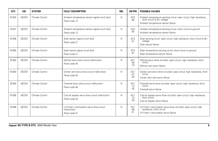| DTC   | <b>CM</b>    | <b>SYSTEM</b>   | <b>FAULT DESCRIPTION</b>                                                     | MIL | <b>CM PIN</b>            | <b>POSSIBLE CAUSES</b>                                                                                                                     |
|-------|--------------|-----------------|------------------------------------------------------------------------------|-----|--------------------------|--------------------------------------------------------------------------------------------------------------------------------------------|
| B1254 | <b>A/CCM</b> | Climate Control | Ambient temperature sensor signal circuit fault<br>Panel code 12             | N   | AC <sub>3</sub><br>$-05$ | Ambient temperature sensing circuit: open circuit, high resistance,<br>short circuit to B+ voltage<br>Ambient temperature sensor failure   |
| B1257 | <b>A/CCM</b> | Climate Control | Ambient temperature sensor signal circuit fault<br>Panel code 12             | N   | AC <sub>3</sub><br>$-05$ | Ambient temperature sensing circuit: short circuit to ground<br>Ambient temperature sensor failure                                         |
| B1258 | <b>A/CCM</b> | Climate Control | Solar sensor signal circuit fault<br>Panel code 21                           | N   | AC <sub>2</sub><br>$-01$ | Solar sensing circuit: open circuit, high resistance, short circuit to B+<br>voltage<br>Solar sensor failure                               |
| B1260 | <b>A/CCM</b> | Climate Control | Solar sensor signal circuit fault<br>Panel code 21                           | N   | AC <sub>2</sub><br>$-01$ | Solar temperature sensing circuit: short circuit to ground<br>Solar temperature sensor failure                                             |
| B1262 | <b>A/CCM</b> | Climate Control | Defrost servo drive circuit malfunction<br>Panel code 44                     | N   | AC1<br>$-06$<br>$-19$    | Defrost servo drive circuit(s): open circuit, high resistance, short<br>circuit<br>Defrost vent servo failure                              |
| B1263 | <b>A/CCM</b> | Climate Control | Center vent servo drive circuit malfunction<br>Panel code 45                 | N   | AC1<br>$-07$<br>$-20$    | Center vent servo drive circuit(s): open circuit, high resistance, short<br>circuit<br>Center vent vent servo failure                      |
| B1264 | <b>A/CCM</b> | Climate Control | Footwell servo drive circuit malfunction<br>Panel code 46                    | N   | AC1<br>$-12$<br>$-25$    | Footwell servo drive circuit(s): open circuit, high resistance, short<br>circuit<br>Footwell servo failure                                 |
| B1265 | <b>A/CCM</b> | Climate Control | Cool air bypass servo drive circuit malfunction<br>Panel code 43             | N   | AC1<br>$-13$<br>$-26$    | Cool air bypass servo drive circuit(s): open circuit, high resistance,<br>short circuit<br>Cool air bypass servo failure                   |
| B1266 | <b>A/CCM</b> | Climate Control | LH Fresh / recirculation servo drive circuit<br>malfunction<br>Panel code 41 | N   | AC1<br>$-08$<br>$-21$    | LH Fresh / recirculation servo drive circuit(s): open circuit, high<br>resistance, short circuit<br>LH Fresh / recirculation servo failure |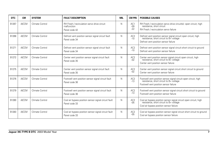| DTC   | <b>CM</b>    | <b>SYSTEM</b>   | <b>FAULT DESCRIPTION</b>                                                     | <b>MIL</b> | <b>CM PIN</b>            | <b>POSSIBLE CAUSES</b>                                                                                                                                   |
|-------|--------------|-----------------|------------------------------------------------------------------------------|------------|--------------------------|----------------------------------------------------------------------------------------------------------------------------------------------------------|
| B1267 | <b>A/CCM</b> | Climate Control | RH Fresh / recirculation servo drive circuit<br>malfunction<br>Panel code 42 | N          | AC1<br>$-09$<br>$-22$    | RH Fresh / recirculation servo drive circuit(s): open circuit, high<br>resistance, short circuit<br>RH Fresh / recirculation servo failure               |
| B1268 | <b>A/CCM</b> | Climate Control | Defrost vent position sensor signal circuit fault<br>Panel code 34           | N          | AC <sub>2</sub><br>$-10$ | Defrost vent position sensor signal circuit: open circuit, high<br>resistance, short circuit to B+ voltage<br>Defrost vent position sensor failure       |
| B1271 | <b>A/CCM</b> | Climate Control | Defrost vent position sensor signal circuit fault<br>Panel code 34           | N          | AC <sub>2</sub><br>$-10$ | Defrost vent position sensor signal circuit: short circuit to ground<br>Defrost vent position sensor failure                                             |
| B1272 | <b>A/CCM</b> | Climate Control | Center vent position sensor signal circuit fault<br>Panel code 35            | N          | AC <sub>2</sub><br>$-02$ | Center vent position sensor signal circuit: open circuit, high<br>resistance, short circuit to B+ voltage<br>Center vent position sensor failure         |
| B1275 | <b>A/CCM</b> | Climate Control | Center vent position sensor signal circuit fault<br>Panel code 35            | N          | AC <sub>2</sub><br>$-02$ | Center vent position sensor signal circuit: short circuit to ground<br>Center vent position sensor failure                                               |
| B1276 | <b>A/CCM</b> | Climate Control | Footwell vent position sensor signal circuit fault<br>Panel code 36          | N          | AC <sub>2</sub><br>$-13$ | Footwell vent position sensor signal circuit: open circuit, high<br>resistance, short circuit to B+ voltage<br>Footwell vent position sensor failure     |
| B1279 | <b>A/CCM</b> | Climate Control | Footwell vent position sensor signal circuit fault<br>Panel code 36          | N          | AC <sub>2</sub><br>$-13$ | Footwell vent position sensor signal circuit: short circuit to ground<br>Footwell vent position sensor failure                                           |
| B1280 | <b>A/CCM</b> | Climate Control | Cool air bypass position sensor signal circuit fault<br>Panel code 33        | N          | AC <sub>2</sub><br>$-05$ | Cool air bypass position sensor signal circuit: open circuit, high<br>resistance, short circuit to B+ voltage<br>Cool air bypass position sensor failure |
| B1283 | <b>A/CCM</b> | Climate Control | Cool air bypass position sensor signal circuit fault<br>Panel code 33        | N          | AC <sub>2</sub><br>$-05$ | Cool air bypass position sensor signal circuit: short circuit to ground<br>Cool air bypass position sensor failure                                       |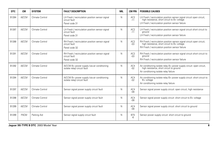| DTC   | <b>CM</b>    | <b>SYSTEM</b>   | <b>FAULT DESCRIPTION</b>                                                          | MIL | <b>CM PIN</b>            | <b>POSSIBLE CAUSES</b>                                                                                                                                                     |
|-------|--------------|-----------------|-----------------------------------------------------------------------------------|-----|--------------------------|----------------------------------------------------------------------------------------------------------------------------------------------------------------------------|
| B1284 | <b>A/CCM</b> | Climate Control | LH Fresh / recirculation position sensor signal<br>circuit fault<br>Panel code 31 | N   | AC <sub>2</sub><br>$-11$ | LH Fresh / recirculation position sensor signal circuit: open circuit, high resistance, short circuit to B+ voltage<br>LH Fresh / recirculation position sensor failure    |
| B1287 | <b>A/CCM</b> | Climate Control | LH Fresh / recirculation position sensor signal<br>circuit fault<br>Panel code 31 | N   | AC <sub>2</sub><br>$-11$ | LH Fresh / recirculation position sensor signal circuit: short circuit to<br>around<br>LH Fresh / recirculation position sensor failure                                    |
| B1288 | <b>A/CCM</b> | Climate Control | RH Fresh / recirculation position sensor signal<br>circuit fault<br>Panel code 32 | N   | AC <sub>2</sub><br>$-03$ | RH Fresh / recirculation position sensor signal circuit: open circuit,<br>high resistance, short circuit to B+ voltage<br>RH Fresh / recirculation position sensor failure |
| B1291 | <b>A/CCM</b> | Climate Control | RH Fresh / recirculation position sensor signal<br>circuit fault<br>Panel code 32 | N   | AC <sub>2</sub><br>$-03$ | RH Fresh / recirculation position sensor signal circuit: short circuit to<br>ground<br>RH Fresh / recirculation position sensor failure                                    |
| B1292 | <b>A/CCM</b> | Climate Control | A/CCM B+ power supply (via air conditioning<br>isolate relav) circuit fault       | Ν   | AC4<br>$-02$             | Air conditioning isolate relay B+ power supply circuit: open circuit, high resistance, short circuit to ground<br>Air conditioning isolate relay failure                   |
| B1294 | <b>A/CCM</b> | Climate Control | A/CCM B+ power supply (via air conditioning<br>isolate relay) circuit fault       | N   | AC4<br>$-02$             | Air conditioning isolate relay B+ power supply circuit: short circuit to<br>B+ voltage<br>Air conditioning isolate relay failure                                           |
| B1297 | <b>A/CCM</b> | Climate Control | Sensor signal power supply circuit fault                                          | N   | AC4<br>$-08$             | Sensor signal power supply circuit: open circuit, high resistance                                                                                                          |
| B1298 | <b>A/CCM</b> | Climate Control | Sensor signal power supply circuit fault                                          | N   | AC4<br>$-08$             | Sensor signal power supply circuit: short circuit to B+ voltage                                                                                                            |
| B1299 | <b>A/CCM</b> | Climate Control | Sensor signal power supply circuit fault                                          | N   | AC4<br>$-08$             | Sensor signal power supply circuit: short circuit to ground                                                                                                                |
| B1299 | <b>PACM</b>  | Parking Aid     | Sensor signal supply circuit fault                                                | N   | BT <sub>5</sub><br>-ჩ    | Sensor power supply circuit: short circuit to ground                                                                                                                       |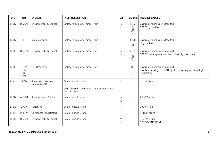| DTC   | <b>CM</b>                      | <b>SYSTEM</b>                         | <b>FAULT DESCRIPTION</b>                                                              | <b>MIL</b> | <b>CM PIN</b>                                  | <b>POSSIBLE CAUSES</b>                                                                                              |
|-------|--------------------------------|---------------------------------------|---------------------------------------------------------------------------------------|------------|------------------------------------------------|---------------------------------------------------------------------------------------------------------------------|
| B1317 | <b>DSCCM</b>                   | Dynamic Stability Control             | Battery voltage out of range - high                                                   | Y<br>M     | <b>LF37</b><br>$-1$<br>$-16$<br>$-32$<br>$-47$ | Charging system high voltage fault<br>DSCCM ground fault                                                            |
| B1317 | IC                             | Instrumentation                       | Battery voltage out of range - high                                                   | N          | FC25<br>$-1$<br>$-15$                          | Charging system high voltage fault<br>IC ground fault                                                               |
| B1318 | <b>DSCCM</b>                   | Dynamic Stability Control             | Battery voltage out of range - low                                                    | Y<br>M     | <b>LF37</b><br>$-1$<br>$-16$<br>$-32$<br>$-47$ | Charging system low voltage fault<br>DSCCM battery power supply circuit(s): high resistance                         |
| B1318 | <b>HLCM</b><br>(LH<br>or<br>RH | <b>HID Headlamps</b>                  | Battery voltage out of range - low                                                    | N          | H11<br>$-7$<br>HJ1<br>$-7$                     | Charging system low voltage fault<br>Headlamp leveling (LH or RH) ignition power supply circuit: high<br>resistance |
| B1342 | <b>ADCM</b>                    | Suspension Adaptive<br>Damping (CATS) | Control module failure<br>CUSTOMER SYMPTOM: Dampers default to firm;<br>fault message | M          |                                                | <b>ADCM</b> failure                                                                                                 |
| B1342 | <b>ASCCM</b>                   | Adaptive Speed Control                | Control module failure                                                                | Y<br>M     | $\overline{\phantom{0}}$                       | <b>ASCCM</b> failure                                                                                                |
| B1342 | <b>CPCM</b>                    | Telephone                             | Control module failure                                                                | N          | -                                              | <b>CPCM</b> failure                                                                                                 |
| B1342 | <b>DHRCM</b>                   | Driver Seat Head Restraint            | Control module failure                                                                | N          | $\overline{\phantom{0}}$                       | <b>DHRCM</b> failure                                                                                                |
| B1342 | <b>DSCCM</b>                   | Dynamic Stability Control             | Control module failure                                                                | $Y^*$<br>M | $\overline{\phantom{0}}$                       | <b>DSCCM</b> failure<br>* CHECK ENGINE MIL                                                                          |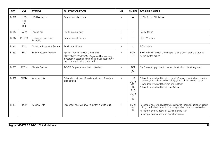| <b>DTC</b> | <b>CM</b>                       | <b>SYSTEM</b>                    | <b>FAULT DESCRIPTION</b>                                                                                                                                                        | <b>MIL</b>   | <b>CM PIN</b>                                                        | <b>POSSIBLE CAUSES</b>                                                                                                                                                                                                                         |
|------------|---------------------------------|----------------------------------|---------------------------------------------------------------------------------------------------------------------------------------------------------------------------------|--------------|----------------------------------------------------------------------|------------------------------------------------------------------------------------------------------------------------------------------------------------------------------------------------------------------------------------------------|
| B1342      | <b>HLCM</b><br>(LH<br>or<br>RH) | <b>HID Headlamps</b>             | Control module failure                                                                                                                                                          | N            | $\overline{\phantom{0}}$                                             | HLCM (LH or RH) failure                                                                                                                                                                                                                        |
| B1342      | <b>PACM</b>                     | Parking Aid                      | PACM internal fault                                                                                                                                                             | N            | -                                                                    | PACM failure                                                                                                                                                                                                                                   |
| B1342      | PHRCM                           | Passenger Seat Head<br>Restraint | Control module failure                                                                                                                                                          | N            | $\overline{\phantom{0}}$                                             | PHRCM failure                                                                                                                                                                                                                                  |
| B1342      | <b>RCM</b>                      | Advanced Restraints System       | RCM internal fault                                                                                                                                                              | $\mathsf{N}$ | -                                                                    | <b>RCM</b> failure                                                                                                                                                                                                                             |
| B1352      | <b>BPM</b>                      | Body Processor Module            | Ignition "key-in" switch circuit fault<br>CUSTOMER SYMPTOM: Key-in audible warning<br>inoperative; steering column and driver seat entry /<br>exit memory functions inoperative | N            | FC14<br>$-67$                                                        | BPM to key-in switch circuit: open circuit, short circuit to ground<br>Key-in switch failure                                                                                                                                                   |
| B1355      | <b>A/CCM</b>                    | Climate Control                  | A/CCM B+ power supply circuit(s) fault                                                                                                                                          | $\mathsf{N}$ | AC4<br>$-01$<br>$-05$                                                | B+ Power supply circuit(s): open circuit, short circuit to ground                                                                                                                                                                              |
| B1402      | <b>DDCM</b>                     | Window Lifts                     | Driver door window lift switch window lift switch<br>circuits fault                                                                                                             | $\mathsf{N}$ | LHD<br>DD10<br>$-10$<br>$-18$<br>RHD<br><b>DD10</b><br>$-7$<br>$-19$ | Driver door window lift switch circuit(s): open circuit; short circuit to ground; short circuit to B+ voltage; short circuit to each other<br>Driver door window lift switch ground fault<br>Driver door window lift switches failure          |
| B1402      | <b>PDCM</b>                     | Window Lifts                     | Passenger door window lift switch circuits fault                                                                                                                                | $\mathsf{N}$ | PD10<br>$-10$<br>$-18$                                               | Passenger door window lift switch circuit(s): open circuit; short circuit to ground; short circuit to B+ voltage; short circuit to each other<br>Passenger door window lift switch ground fault<br>Passenger door window lift switches failure |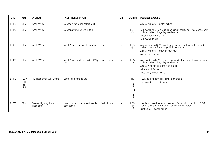| <b>DTC</b> | <b>CM</b>                      | <b>SYSTEM</b>                           | <b>FAULT DESCRIPTION</b>                                      | MIL | <b>CM PIN</b>                                          | <b>POSSIBLE CAUSES</b>                                                                                                                                                                                        |
|------------|--------------------------------|-----------------------------------------|---------------------------------------------------------------|-----|--------------------------------------------------------|---------------------------------------------------------------------------------------------------------------------------------------------------------------------------------------------------------------|
| B1438      | <b>BPM</b>                     | Wash / Wipe                             | Wiper switch mode select fault                                | N   | $\overline{\phantom{0}}$                               | Wash / Wipe stalk switch failure                                                                                                                                                                              |
| B1446      | <b>BPM</b>                     | Wash / Wipe                             | Wiper park switch circuit fault                               | N   | FC14<br>$-60$                                          | Park switch to BPM circuit: open circuit, short circuit to ground, short circuit to B+ voltage, high resistance<br>Wiper motor ground fault<br>Park switch failure                                            |
| B1450      | <b>BPM</b>                     | Wash / Wipe                             | Wash / wipe stalk wash switch circuit fault                   | N   | FC <sub>14</sub><br>$-37$                              | Wash switch to BPM circuit: open circuit, short circuit to ground,<br>short circuit to B+ voltage, high resistance<br>Wash / Wipe stalk ground circuit fault<br>Wash switch failure                           |
| B1453      | <b>BPM</b>                     | Wash / Wipe                             | Wash / wipe stalk Intermittent Wipe switch circuit<br>fault   | N   | FC14<br>-9                                             | Wipe switch to BPM circuit: open circuit, short circuit to ground, short circuit to B+ voltage, high resistance<br>Wash / wipe stalk ground circuit fault<br>Wipe switch failure<br>Wipe delay switch failure |
| B1470      | <b>HLCM</b><br>(LH<br>or<br>RH | HID Headlamps (DIP Beam)                | Lamp (dip beam) failure                                       | N   | H12<br>$-1$<br>$-2$<br>-4<br>HJ2<br>$-1$<br>$-2$<br>-4 | HLCM to dip beam (HID lamp) circuit fault<br>Dip beam (HID lamp) failure                                                                                                                                      |
| B1507      | <b>BPM</b>                     | Exterior Lighting: Front<br>(Headlamps) | Headlamp main beam and headlamp flash circuits<br>both active | N   | FC <sub>14</sub><br>$-14$<br>$-30$                     | Headlamp main beam and headlamp flash switch circuits to BPM:<br>short circuit to ground, short circuit to each other<br>Lighting stalk switch failure                                                        |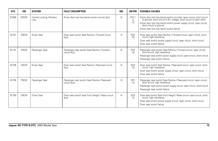| <b>DTC</b> | <b>CM</b>   | <b>SYSTEM</b>                    | <b>FAULT DESCRIPTION</b>                                       | <b>MIL</b> | <b>CM PIN</b>                | <b>POSSIBLE CAUSES</b>                                                                                                                                                                                                                                                                            |
|------------|-------------|----------------------------------|----------------------------------------------------------------|------------|------------------------------|---------------------------------------------------------------------------------------------------------------------------------------------------------------------------------------------------------------------------------------------------------------------------------------------------|
| B1599      | <b>DDCM</b> | Central Locking, Window<br>Lifts | Driver door lock key barrel switch circuits fault              | N          | <b>DD11</b><br>$-4$<br>$-12$ | Driver door lock key barrel switch circuit(s): open circuit; short circuit to ground; short circuit to B+ voltage; short circuit to each other<br>Driver door lock key barrel switch power supply circuit: open circuit,<br>short circuit to ground<br>Driver door lock key barrel switch failure |
| B1701      | <b>DSCM</b> | <b>Driver Seat</b>               | Diver seat switch Seat Recline / Forward circuit<br>fault      | N          | SD <sub>3</sub><br>$-16$     | Diver seat switch Seat Recline / Forward circuit: open circuit, short<br>circuit, high resistance<br>Diver seat switch power supply circuit: open circuit, short circuit<br>Diver seat switch failure                                                                                             |
| B1701      | <b>PSCM</b> | Passenger Seat                   | Passenger seat switch Seat Recline / Forward<br>circuit fault  | N          | SP3<br>$-16$                 | Passenger seat switch Seat Recline / Forward circuit: open circuit, short circuit, high resistance<br>Passenger seat switch power supply circuit: open circuit, short circuit<br>Passenger seat switch failure                                                                                    |
| B1705      | <b>DSCM</b> | <b>Driver Seat</b>               | Diver seat switch Seat Recline / Rearward circuit<br>fault     | N          | SD <sub>3</sub><br>$-15$     | Diver seat switch Seat Recline / Rearward circuit: open circuit, short<br>circuit, high resistance<br>Diver seat switch power supply circuit: open circuit, short circuit<br>Diver seat switch failure                                                                                            |
| B1705      | <b>PSCM</b> | Passenger Seat                   | Passenger seat switch Seat Recline / Rearward<br>circuit fault | N          | SP3<br>$-15$                 | Passenger seat switch Seat Recline / Rearward circuit: open circuit, short circuit, high resistance<br>Passenger seat switch power supply circuit: open circuit, short circuit<br>Passenger seat switch failure                                                                                   |
| B1709      | <b>DSCM</b> | <b>Driver Seat</b>               | Diver seat switch Seat Front Height / Raise circuit<br>fault   | N          | SD <sub>3</sub><br>$-12$     | Diver seat switch Seat Front Height / Raise circuit: open circuit, short<br>circuit, high resistance<br>Diver seat switch power supply circuit: open circuit, short circuit<br>Diver seat switch failure                                                                                          |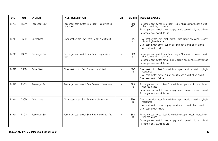| <b>DTC</b> | <b>CM</b>   | <b>SYSTEM</b>      | <b>FAULT DESCRIPTION</b>                                         | MIL | <b>CM PIN</b>            | <b>POSSIBLE CAUSES</b>                                                                                                                                                                                               |
|------------|-------------|--------------------|------------------------------------------------------------------|-----|--------------------------|----------------------------------------------------------------------------------------------------------------------------------------------------------------------------------------------------------------------|
| B1709      | <b>PSCM</b> | Passenger Seat     | Passenger seat switch Seat Front Height / Raise<br>circuit fault | N   | SP <sub>3</sub><br>$-12$ | Passenger seat switch Seat Front Height / Raise circuit: open circuit,<br>short circuit, high resistance<br>Passenger seat switch power supply circuit: open circuit, short circuit<br>Passenger seat switch failure |
| B1713      | <b>DSCM</b> | <b>Driver Seat</b> | Diver seat switch Seat Front Height circuit fault                | N   | SD <sub>3</sub><br>$-11$ | Diver seat switch Seat Front Height / Raise circuit: open circuit, short<br>circuit, high resistance<br>Diver seat switch power supply circuit: open circuit, short circuit<br>Diver seat switch failure             |
| B1713      | <b>PSCM</b> | Passenger Seat     | Passenger seat switch Seat Front Height circuit<br>fault         | N   | SP <sub>3</sub><br>$-11$ | Passenger seat switch Seat Front Height / Raise circuit: open circuit,<br>short circuit, high resistance<br>Passenger seat switch power supply circuit: open circuit, short circuit<br>Passenger seat switch failure |
| B1717      | <b>DSCM</b> | <b>Driver Seat</b> | Diver seat switch Seat Forward circuit fault                     | N   | SD <sub>3</sub><br>-9    | Diver seat switch Seat Forward circuit: open circuit, short circuit, high<br>resistance<br>Diver seat switch power supply circuit: open circuit, short circuit<br>Diver seat switch failure                          |
| B1717      | <b>PSCM</b> | Passenger Seat     | Passenger seat switch Seat Forward circuit fault                 | N   | SP <sub>3</sub><br>-9    | Passenger seat switch Seat Forward circuit: open circuit, short circuit,<br>high resistance<br>Passenger seat switch power supply circuit: open circuit, short circuit<br>Passenger seat switch failure              |
| B1721      | <b>DSCM</b> | <b>Driver Seat</b> | Diver seat switch Seat Rearward circuit fault                    | N   | SD <sub>3</sub><br>$-10$ | Diver seat switch Seat Forward circuit: open circuit, short circuit, high<br>resistance<br>Diver seat switch power supply circuit: open circuit, short circuit<br>Diver seat switch failure                          |
| B1721      | <b>PSCM</b> | Passenger Seat     | Passenger seat switch Seat Rearward circuit fault                | N   | SP <sub>3</sub><br>$-10$ | Passenger seat switch Seat Forward circuit: open circuit, short circuit,<br>high resistance<br>Passenger seat switch power supply circuit: open circuit, short circuit<br>Passenger seat switch failure              |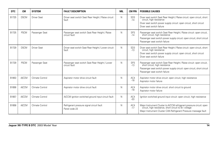| <b>DTC</b> | <b>CM</b>    | <b>SYSTEM</b>      | <b>FAULT DESCRIPTION</b>                                        | MIL | <b>CM PIN</b>            | <b>POSSIBLE CAUSES</b>                                                                                                                                                                                              |
|------------|--------------|--------------------|-----------------------------------------------------------------|-----|--------------------------|---------------------------------------------------------------------------------------------------------------------------------------------------------------------------------------------------------------------|
| B1725      | <b>DSCM</b>  | <b>Driver Seat</b> | Driver seat switch Seat Rear Height / Raise circuit<br>fault    | N   | SD <sub>3</sub><br>$-14$ | Diver seat switch Seat Rear Height / Raise circuit: open circuit, short<br>circuit, high resistance<br>Diver seat switch power supply circuit: open circuit, short circuit<br>Diver seat switch failure             |
| B1725      | <b>PSCM</b>  | Passenger Seat     | Passenger seat switch Seat Rear Height / Raise<br>circuit fault | N   | SP <sub>3</sub><br>$-14$ | Passenger seat switch Seat Rear Height / Raise circuit: open circuit,<br>short circuit, high resistance<br>Passenger seat switch power supply circuit: open circuit, short circuit<br>Passenger seat switch failure |
| B1729      | <b>DSCM</b>  | <b>Driver Seat</b> | Driver seat switch Seat Rear Height / Lower circuit<br>fault    | N   | SD <sub>3</sub><br>$-13$ | Diver seat switch Seat Rear Height / Raise circuit: open circuit, short<br>circuit, high resistance<br>Diver seat switch power supply circuit: open circuit, short circuit<br>Diver seat switch failure             |
| B1729      | <b>PSCM</b>  | Passenger Seat     | Passenger seat switch Seat Rear Height / Lower<br>circuit fault | N   | SP <sub>3</sub><br>$-13$ | Passenger seat switch Seat Rear Height / Raise circuit: open circuit,<br>short circuit, high resistance<br>Passenger seat switch power supply circuit: open circuit, short circuit<br>Passenger seat switch failure |
| B1853      | <b>A/CCM</b> | Climate Control    | Aspirator motor drive circuit fault                             | N   | AC4<br>$-18$             | Aspirator motor drive circuit: open circuit, high resistance<br>Aspirator motor failure                                                                                                                             |
| B1856      | <b>A/CCM</b> | Climate Control    | Aspirator motor drive circuit fault                             | N   | AC4<br>$-18$             | Aspirator motor drive circuit: short circuit to ground<br>Aspirator motor failure                                                                                                                                   |
| B1857      | <b>A/CCM</b> | Climate Control    | A/CCM ignition switched ground input circuit fault              | N   | AC4<br>$-03$             | Ignition switched ground input circuit: open circuit, high resistance                                                                                                                                               |
| B1858      | <b>A/CCM</b> | Climate Control    | Refrigerant pressure signal circuit fault<br>Panel code 23      | Ν   | AC4<br>$-17$             | Major Instrument Cluster to A/CCM refrigerant pressure circuit: open<br>circuit, high resistance, short circuit to B+ voltage<br>Major Instrument Cluster CAN Refrigerant Pressure message fault                    |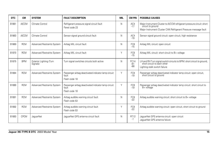| DTC   | <b>CM</b>    | <b>SYSTEM</b>                       | <b>FAULT DESCRIPTION</b>                                                      | <b>MIL</b> | <b>CM PIN</b>            | <b>POSSIBLE CAUSES</b>                                                                                                                                        |
|-------|--------------|-------------------------------------|-------------------------------------------------------------------------------|------------|--------------------------|---------------------------------------------------------------------------------------------------------------------------------------------------------------|
| B1861 | <b>A/CCM</b> | Climate Control                     | Refrigerant pressure signal circuit fault<br>Panel code 23                    | N          | AC4<br>$-17$             | Major Instrument Cluster to A/CCM refrigerant pressure circuit: short<br>circuit to ground<br>Major Instrument Cluster CAN Refrigerant Pressure message fault |
| B1863 | <b>A/CCM</b> | Climate Control                     | Sensor signal ground circuit fault                                            | N          | AC4<br>$-19$             | Sensor signal ground circuit: open circuit, high resistance                                                                                                   |
| B1869 | <b>RCM</b>   | Advanced Restraints System          | Airbag MIL circuit fault                                                      | N          | FC8<br>$-15$             | Airbag MIL circuit: open circuit                                                                                                                              |
| B1870 | <b>RCM</b>   | Advanced Restraints System          | Airbag MIL circuit fault                                                      | V          | FC <sub>8</sub><br>$-15$ | Airbag MIL circuit: short circuit to B+ voltage                                                                                                               |
| B1875 | <b>BPM</b>   | Exterior Lighting (Turn<br>Signals) | Turn signal switches circuits both active                                     | N          | FC14<br>$-61$<br>$-88$   | LH and RH Turn signal switch circuits to BPM: short circuit to ground,<br>short circuit to each other<br>Lighting stalk switch failure                        |
| B1884 | <b>RCM</b>   | <b>Advanced Restraints System</b>   | Passenger airbag deactivated indicator lamp circuit<br>fault<br>Flash code 18 | Υ          | FC <sub>8</sub><br>$-19$ | Passenger airbag deactivated indicator lamp circuit: open circuit,<br>short circuit to ground                                                                 |
| B1890 | <b>RCM</b>   | Advanced Restraints System          | Passenger airbag deactivated indicator lamp circuit<br>fault<br>Flash code 18 | Υ          | FC <sub>8</sub><br>$-19$ | Passenger airbag deactivated indicator lamp circuit: short circuit to<br>$B+$ voltage                                                                         |
| B1891 | <b>RCM</b>   | <b>Advanced Restraints System</b>   | Airbag audible warning circuit fault<br>Flash code 53                         | N          | FC8<br>$-22$             | Airbag audible warning circuit: short circuit to B+ voltage                                                                                                   |
| B1892 | <b>RCM</b>   | Advanced Restraints System          | Airbag audible warning circuit fault<br>Flash code 53                         | V          | FC8<br>$-22$             | Airbag audible warning circuit: open circuit, short circuit to ground                                                                                         |
| B1893 | CPCM         | JaquarNet                           | JaquarNet GPS antenna circuit fault                                           | N          | RT12<br>$-1$             | JaquarNet GPS antenna circuit: open circuit<br>JaquarNet GPS antenna failure                                                                                  |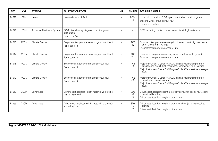| <b>DTC</b> | <b>CM</b>    | <b>SYSTEM</b>                     | <b>FAULT DESCRIPTION</b>                                                        | MIL | <b>CM PIN</b>                 | <b>POSSIBLE CAUSES</b>                                                                                                                                                                                          |
|------------|--------------|-----------------------------------|---------------------------------------------------------------------------------|-----|-------------------------------|-----------------------------------------------------------------------------------------------------------------------------------------------------------------------------------------------------------------|
| B1897      | <b>BPM</b>   | Horns                             | Horn switch circuit fault                                                       | N   | <b>FC14</b><br>$-4$           | Horn switch circuit to BPM: open circuit, short circuit to ground<br>Steering wheel ground circuit fault<br>Horn switch failure                                                                                 |
| B1921      | <b>RCM</b>   | <b>Advanced Restraints System</b> | RCM internal airbag diagnostic monitor ground<br>circuit fault<br>Flash code 14 | Y   | $\overline{\phantom{a}}$      | RCM mounting bracket contact: open circuit, high resistance                                                                                                                                                     |
| B1946      | <b>A/CCM</b> | Climate Control                   | Evaporator temperature sensor signal circuit fault<br>Panel code 13             | N   | AC <sub>3</sub><br>$-12$      | Evaporator temperature sensing circuit: open circuit, high resistance,<br>short circuit to B+ voltage<br>Evaporator temperature sensor failure                                                                  |
| B1947      | <b>A/CCM</b> | Climate Control                   | Evaporator temperature sensor signal circuit fault<br>Panel code 13             | N   | AC <sub>3</sub><br>$-12$      | Evaporator temperature sensing circuit: short circuit to ground<br>Evaporator temperature sensor failure                                                                                                        |
| B1948      | <b>A/CCM</b> | Climate Control                   | Engine coolant temperature signal circuit fault<br>Panel code 14                | N   | AC <sub>2</sub><br>$-06$      | Major Instrument Cluster to A/CCM engine coolant temperature<br>circuit: open circuit, high resistance, short circuit to B+ voltage<br>Major Instrument Cluster CAN Engine Coolant Temperature message<br>fault |
| B1949      | <b>A/CCM</b> | Climate Control                   | Engine coolant temperature signal circuit fault<br>Panel code 14                | N   | AC <sub>2</sub><br>$-06$      | Major Instrument Cluster to A/CCM engine coolant temperature<br>circuit: short circuit to ground<br>Major Instrument Cluster CAN Engine Coolant Temperature message<br>fault                                    |
| B1952      | <b>DSCM</b>  | <b>Driver Seat</b>                | Driver seat Seat Rear Height motor drive circuit(s)<br>high voltage fault       | N   | SD <sub>3</sub><br>-5<br>$-6$ | Driver seat Seat Rear Height motor drive circuit(s): open circuit, short<br>circuit to B+ voltage<br>Driver seat Seat Rear Height motor failure                                                                 |
| B1953      | <b>DSCM</b>  | <b>Driver Seat</b>                | Driver seat Seat Rear Height motor drive circuit(s)<br>low voltage fault        | N   | SD <sub>3</sub><br>-5<br>-6   | Driver seat Seat Rear Height motor drive circuit(s): short circuit to<br>ground<br>Driver seat Seat Rear Height motor failure                                                                                   |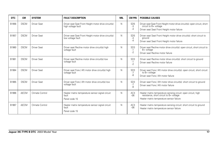| <b>DTC</b> | <b>CM</b>    | <b>SYSTEM</b>      | <b>FAULT DESCRIPTION</b>                                                   | MIL | <b>CM PIN</b>                   | <b>POSSIBLE CAUSES</b>                                                                                                                               |
|------------|--------------|--------------------|----------------------------------------------------------------------------|-----|---------------------------------|------------------------------------------------------------------------------------------------------------------------------------------------------|
| B1956      | <b>DSCM</b>  | <b>Driver Seat</b> | Driver seat Seat Front Height motor drive circuit(s)<br>high voltage fault | N   | SD <sub>5</sub><br>-3<br>$-4$   | Driver seat Seat Front Height motor drive circuit(s): open circuit, short<br>circuit to B+ voltage<br>Driver seat Seat Front Height motor failure    |
| B1957      | <b>DSCM</b>  | <b>Driver Seat</b> | Driver seat Seat Front Height motor drive circuit(s)<br>low voltage fault  | N   | SD <sub>5</sub><br>-3<br>-4     | Driver seat Seat Front Height motor drive circuit(s): short circuit to<br>ground<br>Driver seat Seat Front Height motor failure                      |
| B1960      | <b>DSCM</b>  | <b>Driver Seat</b> | Driver seat Recline motor drive circuit(s) high<br>voltage fault           | N   | SD <sub>3</sub><br>$-1$<br>$-2$ | Driver seat Recline motor drive circuit(s): open circuit, short circuit to<br>B+ voltage<br>Driver seat Recline motor failure                        |
| B1961      | <b>DSCM</b>  | <b>Driver Seat</b> | Driver seat Recline motor drive circuit(s) low<br>voltage fault            | N   | SD <sub>3</sub><br>$-1$<br>$-2$ | Driver seat Recline motor drive circuit(s): short circuit to ground<br>Driver seat Recline motor failure                                             |
| B1964      | <b>DSCM</b>  | <b>Driver Seat</b> | Driver seat Fore / Aft motor drive circuit(s) high<br>voltage fault        | N   | SD <sub>3</sub><br>$-7$<br>-8   | Driver seat Fore / Aft motor drive circuit(s): open circuit, short circuit<br>to $B+$ voltage<br>Driver seat Fore / Aft motor failure                |
| B1965      | <b>DSCM</b>  | <b>Driver Seat</b> | Driver seat Fore / Aft motor drive circuit(s) low<br>voltage fault         | N   | SD <sub>3</sub><br>$-7$<br>-8   | Driver seat Fore / Aft motor drive circuit(s): short circuit to ground<br>Driver seat Fore / Aft motor failure                                       |
| B1966      | <b>A/CCM</b> | Climate Control    | Heater matrix temperature sensor signal circuit<br>fault<br>Panel code 15  | N   | AC <sub>3</sub><br>$-06$        | Heater matrix temperature sensing circuit: open circuit, high<br>resistance, short circuit to B+ voltage<br>Heater matrix temperature sensor failure |
| B1967      | <b>A/CCM</b> | Climate Control    | Heater matrix temperature sensor signal circuit<br>fault<br>Panel code 15  | N   | AC <sub>3</sub><br>$-06$        | Heater matrix temperature sensing circuit: short circuit to ground<br>Heater matrix temperature sensor failure                                       |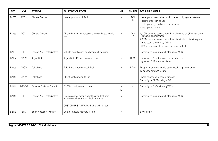| <b>DTC</b> | <b>CM</b>    | <b>SYSTEM</b>                | <b>FAULT DESCRIPTION</b>                                                                 | <b>MIL</b> | <b>CM PIN</b>            | <b>POSSIBLE CAUSES</b>                                                                                                                                                                                                                               |
|------------|--------------|------------------------------|------------------------------------------------------------------------------------------|------------|--------------------------|------------------------------------------------------------------------------------------------------------------------------------------------------------------------------------------------------------------------------------------------------|
| B1968      | <b>A/CCM</b> | Climate Control              | Heater pump circuit fault                                                                | N          | AC <sub>1</sub><br>$-17$ | Heater pump relay drive circuit: open circuit, high resistance<br>Heater pump relay failure<br>Heater pump ground circuit: open circuit<br>Heater pump failure                                                                                       |
| B1969      | <b>A/CCM</b> | Climate Control              | Air conditioning compressor clutch activated circuit<br>fault                            | N          | AC1<br>$-01$             | A/CCM to compressor clutch drive circuit splice (EMS26): open<br>circuit, high resistance<br>A/CCM to compressor clutch drive circuit: short circuit to ground<br>Compressor clutch relay failure<br>ECM compressor clutch relay drive circuit fault |
| B2003      | IC           | Passive Anti-Theft System    | Vehicle identification number matching error                                             | N          | $\overline{\phantom{0}}$ | Reconfigure instrument cluster using WDS                                                                                                                                                                                                             |
| B2102      | <b>CPCM</b>  | JaquarNet                    | JaquarNet GPS antenna circuit fault                                                      | N          | <b>RT12</b><br>$-1$      | JaquarNet GPS antenna circuit: short circuit<br>JaquarNet GPS antenna failure                                                                                                                                                                        |
| B2103      | CPCM         | Telephone                    | Telephone antenna circuit fault                                                          | N          | RT10<br>$-1$             | Telephone antenna circuit: open circuit, high resistance<br>Telephone antenna failure                                                                                                                                                                |
| B2141      | CPCM         | Telephone                    | CPCM configuration failure                                                               | N          | $\overline{\phantom{0}}$ | Invalid telephone numbers present<br>Reconfigure CPCM using WDS                                                                                                                                                                                      |
| B2141      | <b>DSCCM</b> | Dynamic Stability Control    | <b>DSCCM</b> configuration failure                                                       | Y<br>M     | $\sim$                   | Reconfigure DSCCM using WDS                                                                                                                                                                                                                          |
| B2141      | IC           | Passive Anti-Theft System    | Engine control module identification lost from<br>instrument cluster non-volatile memory | Y          | $\overline{\phantom{0}}$ | Reconfigure instrument cluster using WDS                                                                                                                                                                                                             |
|            |              |                              | CUSTOMER SYMPTOM: Engine will not start                                                  |            |                          |                                                                                                                                                                                                                                                      |
| B2143      | <b>BPM</b>   | <b>Body Processor Module</b> | Control module memory failure                                                            | N          | -                        | <b>BPM</b> failure                                                                                                                                                                                                                                   |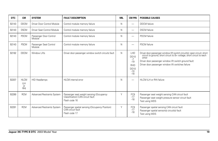| <b>DTC</b> | <b>CM</b>                             | <b>SYSTEM</b>                     | <b>FAULT DESCRIPTION</b>                                                                       | <b>MIL</b> | <b>CM PIN</b>                                                                      | <b>POSSIBLE CAUSES</b>                                                                                                                                                                                                                                                 |
|------------|---------------------------------------|-----------------------------------|------------------------------------------------------------------------------------------------|------------|------------------------------------------------------------------------------------|------------------------------------------------------------------------------------------------------------------------------------------------------------------------------------------------------------------------------------------------------------------------|
| B2143      | <b>DDCM</b>                           | Driver Door Control Module        | Control module memory failure                                                                  | N          | $\overline{\phantom{0}}$                                                           | <b>DDCM</b> failure                                                                                                                                                                                                                                                    |
| B2143      | <b>DSCM</b>                           | Driver Seat Control Module        | Control module memory failure                                                                  | N          | -                                                                                  | <b>DSCM</b> failure                                                                                                                                                                                                                                                    |
| B2143      | <b>PDCM</b>                           | Passenger Door Control<br>Module  | Control module memory failure                                                                  | N          | -                                                                                  | PDCM failure                                                                                                                                                                                                                                                           |
| B2143      | <b>PSCM</b>                           | Passenger Seat Control<br>Module  | Control module memory failure                                                                  | N          | $\overline{\phantom{0}}$                                                           | <b>PSCM</b> failure                                                                                                                                                                                                                                                    |
| B2182      | <b>DDCM</b>                           | Window Lifts                      | Driver door passenger window switch circuits fault                                             | N          | LHD<br><b>DD10</b><br>$-7$<br>$-19$<br><b>RHD</b><br><b>DD10</b><br>$-10$<br>$-18$ | Driver door passenger window lift switch circuit(s): open circuit; short circuit to ground; short circuit to B+ voltage; short circuit to each<br>other<br>Driver door passenger window lift switch ground fault<br>Driver door passenger window lift switches failure |
| B2207      | <b>HLCM</b><br>(LH<br><b>or</b><br>RH | <b>HID Headlamps</b>              | <b>HLCM</b> internal error                                                                     | N          | $\overline{\phantom{0}}$                                                           | HLCM (LH or RH) failure                                                                                                                                                                                                                                                |
| B2290      | <b>RCM</b>                            | <b>Advanced Restraints System</b> | Passenger seat weight sensing (Occupancy<br>Classification) CAN circuit fault<br>Flash code 16 | Y          | FC9<br>$-17$<br>$-18$                                                              | Passenger seat weight sensing CAN circuit fault<br>Passenger seat weight pressure sensor circuit fault<br>Test using WDS                                                                                                                                               |
| B2291      | <b>RCM</b>                            | Advanced Restraints System        | Passenger spatial sensing (Occupancy Position)<br>CAN circuit fault<br>Flash code 17           | Y          | FC9<br>$-17$<br>$-18$                                                              | Passenger spatial sensing CAN circuit fault<br>Passenger spatial sensor(s) circuit(s) fault<br>Test using WDS                                                                                                                                                          |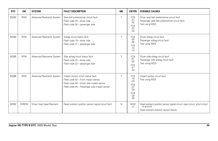| <b>DTC</b> | <b>CM</b>    | <b>SYSTEM</b>              | <b>FAULT DESCRIPTION</b>                                                                                                                                               | <b>MIL</b> | <b>CM PIN</b>                                                                                               | <b>POSSIBLE CAUSES</b>                                                                                                            |
|------------|--------------|----------------------------|------------------------------------------------------------------------------------------------------------------------------------------------------------------------|------------|-------------------------------------------------------------------------------------------------------------|-----------------------------------------------------------------------------------------------------------------------------------|
| B2292      | <b>RCM</b>   | Advanced Restraints System | Seat belt pretensioner circuit fault<br>Flash code 33 - driver side<br>Flash code 34 - passenger side                                                                  | Y          | FC <sub>9</sub><br>$-31$<br>$-32$<br>FC <sub>9</sub><br>$-33$<br>$-34$                                      | Driver seat belt pretensioner circuit fault<br>Passenger seat belt pretensioner circuit fault<br>Test using WDS                   |
| B2293      | <b>RCM</b>   | Advanced Restraints System | Airbag circuit status fault<br>Flash code 19 - driver side<br>Flash code 21 - passenger side                                                                           | Y          | FC8<br>$-05$<br>$-06$<br>FC <sub>8</sub><br>$-13$<br>$-14$                                                  | Driver airbag circuit fault<br>Passenger airbag circuit fault<br>Test using WDS                                                   |
| B2295      | <b>RCM</b>   | Advanced Restraints System | Side airbag circuit status fault<br>Flash code 22 - driver side<br>Flash code 23 - passenger side                                                                      | Y          | FC <sub>9</sub><br>$-01$<br>$-02$<br>FC <sub>9</sub><br>$-21$<br>$-22$                                      | Driver side airbag circuit fault<br>Passenger side airbag circuit fault<br>Test using WDS                                         |
| B2296      | <b>RCM</b>   | Advanced Restraints System | Impact sensor circuit status fault<br>Flash code 42 - Front impact sensor<br>Flash code 43 - Driver side impact sensor<br>Flash code 44 - Passenger side impact sensor | Y          | FC <sub>9</sub><br>$-19$<br>$-20$<br>FC <sub>9</sub><br>$-27$<br>$-28$<br>FC <sub>9</sub><br>$-29$<br>$-30$ | Impact sensor circuit fault<br>Test using WDS                                                                                     |
| B2302      | <b>DHRCM</b> | Driver Seat Head Restraint | Head restraint position sensor signal circuit fault                                                                                                                    | N.         | <b>SD22</b><br>$-11$                                                                                        | Head restraint position sensor signal circuit: open circuit, short circuit<br>to ground<br>Head restraint position sensor failure |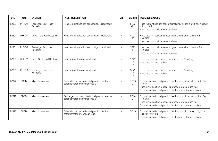| <b>DTC</b> | <b>CM</b>    | <b>SYSTEM</b>                     | <b>FAULT DESCRIPTION</b>                                                               | <b>MIL</b> | <b>CM PIN</b>             | <b>POSSIBLE CAUSES</b>                                                                                                                                                                                          |
|------------|--------------|-----------------------------------|----------------------------------------------------------------------------------------|------------|---------------------------|-----------------------------------------------------------------------------------------------------------------------------------------------------------------------------------------------------------------|
| B2302      | PHRCM        | Passenger Seat Head<br>Restraint  | Head restraint position sensor signal circuit fault                                    | N          | <b>SP22</b><br>$-11$      | Head restraint position sensor signal circuit: open circuit, short circuit<br>to ground<br>Head restraint position sensor failure                                                                               |
| B2304      | <b>DHRCM</b> | <b>Driver Seat Head Restraint</b> | Head restraint position sensor signal circuit fault                                    | N          | <b>SD22</b><br>$-11$      | Head restraint position sensor signal circuit: short circuit to B+<br>voltage<br>Head restraint position sensor failure                                                                                         |
| B2304      | PHRCM        | Passenger Seat Head<br>Restraint  | Head restraint position sensor signal circuit fault                                    | N          | <b>SP22</b><br>$-11$      | Head restraint position sensor signal circuit: short circuit to B+<br>voltage<br>Head restraint position sensor failure                                                                                         |
| B2306      | <b>DHRCM</b> | <b>Driver Seat Head Restraint</b> | Head restraint motor circuit fault                                                     | N          | <b>SD22</b><br>-4<br>$-5$ | Head restraint motor circuit: short circuit to B+ voltage<br>Head restraint motor failure                                                                                                                       |
| B2306      | PHRCM        | Passenger Seat Head<br>Restraint  | Head restraint motor circuit fault                                                     | N          | <b>SP22</b><br>-4<br>$-5$ | Head restraint motor circuit: short circuit to B+ voltage<br>Head restraint motor failure                                                                                                                       |
| B2322      | <b>DDCM</b>  | Mirror Movement                   | Driver door mirror horizontal position feedback<br>potentiometer high voltage fault    | N          | <b>DD10</b><br>$-21$      | Door mirror horizontal position feedback circuit: short circuit to B+<br>voltage<br>Door mirror position feedback potentiometers ground fault<br>Door mirror horizontal position feedback potentiometer failure |
| B2322      | <b>PDCM</b>  | Mirror Movement                   | Passenger door mirror horizontal position feedback<br>potentiometer high voltage fault | N          | PD10<br>$-21$             | Door mirror horizontal position feedback circuit: short circuit to B+<br>voltage<br>Door mirror position feedback potentiometers ground fault<br>Door mirror horizontal position feedback potentiometer failure |
| B2323      | <b>DDCM</b>  | Mirror Movement                   | Driver door mirror horizontal position feedback<br>potentiometer low voltage fault     | N          | <b>DD10</b><br>$-21$      | Door mirror horizontal position feedback circuit: open circuit, short<br>circuit to ground<br>Door mirror horizontal position feedback potentiometer failure                                                    |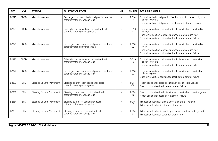| DTC   | CМ          | <b>SYSTEM</b>            | <b>FAULT DESCRIPTION</b>                                                              | <b>MIL</b> | <b>CM PIN</b>           | <b>POSSIBLE CAUSES</b>                                                                                                                                                                                      |
|-------|-------------|--------------------------|---------------------------------------------------------------------------------------|------------|-------------------------|-------------------------------------------------------------------------------------------------------------------------------------------------------------------------------------------------------------|
| B2323 | <b>PDCM</b> | Mirror Movement          | Passenger door mirror horizontal position feedback<br>potentiometer low voltage fault | N          | PD10<br>$-21$           | Door mirror horizontal position feedback circuit: open circuit, short<br>circuit to ground<br>Door mirror horizontal position feedback potentiometer failure                                                |
| B2326 | <b>DDCM</b> | Mirror Movement          | Driver door mirror vertical position feedback<br>potentiometer high voltage fault     | N          | DD10<br>$-22$           | Door mirror vertical position feedback circuit: short circuit to B+<br>voltage<br>Door mirror position feedback potentiometers ground fault<br>Door mirror vertical position feedback potentiometer failure |
| B2326 | <b>PDCM</b> | Mirror Movement          | Passenger door mirror vertical position feedback<br>potentiometer high voltage fault  | N          | PD10<br>$-22$           | Door mirror vertical position feedback circuit: short circuit to B+<br>voltage<br>Door mirror position feedback potentiometers ground fault<br>Door mirror vertical position feedback potentiometer failure |
| B2327 | <b>DDCM</b> | Mirror Movement          | Driver door mirror vertical position feedback<br>potentiometer low voltage fault      | N          | <b>DD10</b><br>$-22$    | Door mirror vertical position feedback circuit: open circuit, short<br>circuit to ground<br>Door mirror vertical position feedback potentiometer failure                                                    |
| B2327 | <b>PDCM</b> | Mirror Movement          | Passenger door mirror vertical position feedback<br>potentiometer low voltage fault   | N          | PD10<br>$-22$           | Door mirror vertical position feedback circuit: open circuit, short<br>circuit to ground<br>Door mirror vertical position feedback potentiometer failure                                                    |
| B2330 | <b>BPM</b>  | Steering Column Movement | Steering column reach position feedback<br>potentiometer high voltage fault           | N          | <b>FC14</b><br>$-66$    | Reach position feedback circuit: short circuit to B+ voltage<br>Reach position feedback potentiometer failure                                                                                               |
| B2331 | <b>BPM</b>  | Steering Column Movement | Steering column reach position feedback<br>potentiometer low voltage fault            | N          | <b>FC14</b><br>$-66$    | Reach position feedback circuit: open circuit, short circuit to ground<br>Reach position feedback potentiometer failure                                                                                     |
| B2334 | <b>BPM</b>  | Steering Column Movement | Steering column tilt position feedback<br>potentiometer high voltage fault            | N          | FC <sub>14</sub><br>-93 | Tilt position feedback circuit: short circuit to B+ voltage<br>Tilt position feedback potentiometer failure                                                                                                 |
| B2335 | <b>BPM</b>  | Steering Column Movement | Steering column tilt position feedback<br>potentiometer low voltage fault             | N          | <b>FC14</b><br>-93      | Tilt position feedback circuit: open circuit, short circuit to ground<br>Tilt position feedback potentiometer failure                                                                                       |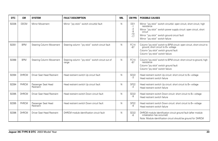| DTC   | CМ           | <b>SYSTEM</b>                     | <b>FAULT DESCRIPTION</b>                                   | <b>MIL</b> | <b>CM PIN</b>                                          | <b>POSSIBLE CAUSES</b>                                                                                                                                                                                                                                         |
|-------|--------------|-----------------------------------|------------------------------------------------------------|------------|--------------------------------------------------------|----------------------------------------------------------------------------------------------------------------------------------------------------------------------------------------------------------------------------------------------------------------|
| B2336 | <b>DDCM</b>  | Mirror Movement                   | Mirror "joy stick" switch circuit(s) fault                 | N          | D <sub>D</sub> 1<br>$-1$<br>-3<br>-9<br>$-10$<br>$-17$ | Mirror "joy stick" switch circuit(s): open circuit, short circuit, high<br>resistance<br>Mirror "joy stick" switch power supply circuit: open circuit, short<br>circuit<br>Mirror "joy stick" switch ground circuit fault<br>Mirror "joy stick" switch failure |
| B2351 | <b>BPM</b>   | Steering Column Movement          | Steering column "joy stick" switch circuit fault           | N          | <b>FC14</b><br>$-87$                                   | Column "joy stick" switch to BPM circuit: open circuit, short circuit to ground, short circuit to B+ voltage<br>Column "joy stick" switch ground fault<br>Column "joy stick" switch failure                                                                    |
| B2368 | <b>BPM</b>   | Steering Column Movement          | Steering column "joy stick" switch circuit out of<br>range | N.         | <b>FC14</b><br>-87                                     | Column "joy stick" switch to BPM circuit: short circuit to ground, high<br>resistance<br>Column "joy stick" switch ground fault<br>Column "joy stick" switch failure                                                                                           |
| B2394 | <b>DHRCM</b> | <b>Driver Seat Head Restraint</b> | Head restraint switch Up circuit fault                     | N          | <b>SD22</b><br>-3                                      | Head restraint switch Up circuit: short circuit to B+ voltage<br>Head restraint switch failure                                                                                                                                                                 |
| B2394 | PHRCM        | Passenger Seat Head<br>Restraint  | Head restraint switch Up circuit fault                     | N          | SP <sub>22</sub><br>-3                                 | Head restraint switch Up circuit: short circuit to B+ voltage<br>Head restraint switch failure                                                                                                                                                                 |
| B2395 | <b>DHRCM</b> | Driver Seat Head Restraint        | Head restraint switch Down circuit fault                   | N          | <b>SD22</b><br>$-9$                                    | Head restraint switch Down circuit: short circuit to B+ voltage<br>Head restraint switch failure                                                                                                                                                               |
| B2395 | PHRCM        | Passenger Seat Head<br>Restraint  | Head restraint switch Down circuit fault                   | N          | <b>SP22</b><br>-9                                      | Head restraint switch Down circuit: short circuit to B+ voltage<br>Head restraint switch failure                                                                                                                                                               |
| B2396 | <b>DHRCM</b> | Driver Seat Head Restraint        | DHRCM module identification circuit fault                  | N          | <b>SD22</b><br>-8                                      | DHRCM module identification circuit ground fault (after module initialization has occurred)<br>Note: Module identification circuit should be ground for DHRCM                                                                                                  |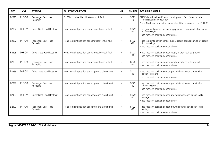| DTC          | <b>CM</b>    | <b>SYSTEM</b>                    | <b>FAULT DESCRIPTION</b>                            | <b>MIL</b> | <b>CM PIN</b>        | <b>POSSIBLE CAUSES</b>                                                                                                                                                 |
|--------------|--------------|----------------------------------|-----------------------------------------------------|------------|----------------------|------------------------------------------------------------------------------------------------------------------------------------------------------------------------|
| B2396        | PHRCM        | Passenger Seat Head<br>Restraint | PHRCM module identification circuit fault           | N          | <b>SP22</b><br>-8    | PHRCM module identification circuit ground fault (after module<br>initialization has occurred)<br>Note: Module identification circuit should be open circuit for PHRCM |
| B2397        | <b>DHRCM</b> | Driver Seat Head Restraint       | Head restraint position sensor supply circuit fault | N          | <b>SD22</b><br>$-10$ | Head restraint position sensor supply circuit: open circuit, short circuit<br>to B+ voltage<br>Head restraint position sensor failure                                  |
| B2397        | PHRCM        | Passenger Seat Head<br>Restraint | Head restraint position sensor supply circuit fault | N          | <b>SP22</b><br>$-10$ | Head restraint position sensor supply circuit: open circuit, short circuit<br>to B+ voltage<br>Head restraint position sensor failure                                  |
| <b>B2398</b> | <b>DHRCM</b> | Driver Seat Head Restraint       | Head restraint position sensor supply circuit fault | N          | <b>SD22</b><br>$-10$ | Head restraint position sensor supply short circuit to ground<br>Head restraint position sensor failure                                                                |
| <b>B2398</b> | PHRCM        | Passenger Seat Head<br>Restraint | Head restraint position sensor supply circuit fault | N          | <b>SP22</b><br>$-10$ | Head restraint position sensor supply short circuit to ground<br>Head restraint position sensor failure                                                                |
| B2399        | <b>DHRCM</b> | Driver Seat Head Restraint       | Head restraint position sensor ground circuit fault | N          | <b>SD22</b><br>$-12$ | Head restraint position sensor ground circuit: open circuit, short<br>circuit to ground<br>Head restraint position sensor failure                                      |
| B2399        | PHRCM        | Passenger Seat Head<br>Restraint | Head restraint position sensor ground circuit fault | N          | <b>SP22</b><br>$-12$ | Head restraint position sensor ground circuit: open circuit, short<br>circuit to ground<br>Head restraint position sensor failure                                      |
| B2400        | <b>DHRCM</b> | Driver Seat Head Restraint       | Head restraint position sensor ground circuit fault | N          | <b>SD22</b><br>$-12$ | Head restraint position sensor ground circuit: short circuit to B+<br>voltage<br>Head restraint position sensor failure                                                |
| B2400        | PHRCM        | Passenger Seat Head<br>Restraint | Head restraint position sensor ground circuit fault | N          | <b>SP22</b><br>$-12$ | Head restraint position sensor ground circuit: short circuit to B+<br>voltage<br>Head restraint position sensor failure                                                |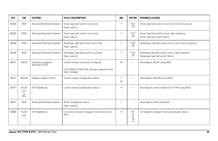| <b>DTC</b> | <b>CM</b>                              | <b>SYSTEM</b>                         | <b>FAULT DESCRIPTION</b>                                                                             | <b>MIL</b> | <b>CM PIN</b>                       | <b>POSSIBLE CAUSES</b>                                                                    |
|------------|----------------------------------------|---------------------------------------|------------------------------------------------------------------------------------------------------|------------|-------------------------------------|-------------------------------------------------------------------------------------------|
| B2434      | <b>RCM</b>                             | Advanced Restraints System            | Driver seat belt switch circuit fault<br>Flash code 51                                               | Y          | FC <sub>9</sub><br>$-25$            | Driver seat belt switch circuit: short circuit to ground                                  |
| B2435      | <b>RCM</b>                             | Advanced Restraints System            | Driver seat belt switch circuit fault<br>Flash code 51                                               | Y          | FC9<br>$-25$                        | Driver seat belt switch circuit: high resistance<br>Driver seat belt switch failure       |
| B2438      | <b>RCM</b>                             | Advanced Restraints System            | Passenger seat belt switch circuit fault<br>Flash code 52                                            | Υ          | FC9<br>$-26$                        | Passenger seat belt switch circuit: short circuit to ground                               |
| B2439      | <b>RCM</b>                             | Advanced Restraints System            | Passenger seat belt switch circuit fault<br>Flash code 52                                            | Y          | FC <sub>9</sub><br>$-26$            | Passenger seat belt switch circuit: high resistance<br>Passenger seat belt switch failure |
| B2477      | <b>ADCM</b>                            | Suspension adaptive<br>damping (CATS) | Control module incorrectly configured<br>CUSTOMER SYMPTOM: Dampers default to firm;<br>fault message | M          | $\overline{\phantom{0}}$            | Reconfigure ADCM using WDS                                                                |
| B2477      | <b>ASCCM</b>                           | Adaptive Speed Control                | Control module configuration failure                                                                 | Y<br>M     | $\overline{\phantom{0}}$            | Reconfigure ASCCM using WDS                                                               |
| B2477      | <b>HLCM</b><br>(LH<br><b>or</b><br>RH) | <b>HID Headlamps</b>                  | Control module configuration failure                                                                 | N          | $\overline{\phantom{0}}$            | Reconfigure control module (LH or RH) using WDS                                           |
| B2477      | <b>RCM</b>                             | Advanced Restraints System            | RCM configuration failure<br>Flash code 54                                                           | Y          | $\overline{\phantom{m}}$            | Reconfigure RCM using WDS                                                                 |
| B2609      | <b>HLCM</b><br>(LH)                    | <b>HID Headlamps</b>                  | LH control module to stepper motor drive circuit<br>fault                                            | N          | H11<br>$-6$<br>-9<br>$-10$<br>$-11$ | LH headlamp stepper motor and actuator failure                                            |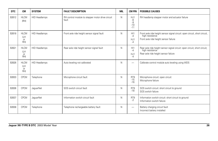| <b>DTC</b> | <b>CM</b>                              | <b>SYSTEM</b>        | <b>FAULT DESCRIPTION</b>                                  | <b>MIL</b>   | <b>CM PIN</b>                       | <b>POSSIBLE CAUSES</b>                                                                                                                 |
|------------|----------------------------------------|----------------------|-----------------------------------------------------------|--------------|-------------------------------------|----------------------------------------------------------------------------------------------------------------------------------------|
| B2612      | <b>HLCM</b><br>(HH)                    | <b>HID Headlamps</b> | RH control module to stepper motor drive circuit<br>fault | N            | HJ1<br>$-6$<br>-9<br>$-10$<br>$-11$ | RH headlamp stepper motor and actuator failure                                                                                         |
| B2618      | <b>HLCM</b><br>(LH<br>or<br>RH)        | <b>HID Headlamps</b> | Front axle ride height sensor signal fault                | $\mathsf{N}$ | H11<br>$-4$<br>HJ1<br>-4            | Front axle ride height sensor signal circuit: open circuit, short circuit,<br>high resistance<br>Front axle ride height sensor failure |
| B2621      | <b>HLCM</b><br>(LH<br>or<br>RH)        | <b>HID Headlamps</b> | Rear axle ride height sensor signal fault                 | $\mathsf{N}$ | H11<br>$-4$<br>HJ1<br>$-4$          | Rear axle ride height sensor signal circuit: open circuit, short circuit,<br>high resistance<br>Rear axle ride height sensor failure   |
| B2626      | <b>HLCM</b><br>(LH<br><b>or</b><br>RH) | <b>HID Headlamps</b> | Auto leveling not calibrated                              | $\mathsf{N}$ | $\overline{\phantom{0}}$            | Calibrate control module auto leveling using WDS                                                                                       |
| B2633      | <b>CPCM</b>                            | Telephone            | Microphone circuit fault                                  | $\mathsf{N}$ | RT9<br>$-15$<br>$-16$               | Microphone circuit: open circuit<br>Microphone failure                                                                                 |
| B2636      | <b>CPCM</b>                            | JaguarNet            | SOS switch circuit fault                                  | N            | RT9<br>$-18$                        | SOS switch circuit: short circuit to ground<br>SOS switch failure                                                                      |
| B2637      | <b>CPCM</b>                            | JaquarNet            | Information switch circuit fault                          | $\mathsf{N}$ | RT9<br>$-2$                         | Information switch circuit: short circuit to ground<br>Information switch failure                                                      |
| B2638      | <b>CPCM</b>                            | Telephone            | Telephone rechargeable battery fault                      | $\mathbb N$  | $\overbrace{\phantom{12333}}$       | Battery charging circuit fault<br>Incorrect battery installed                                                                          |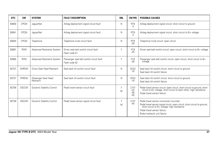| DTC   | <b>CM</b>    | <b>SYSTEM</b>                    | <b>FAULT DESCRIPTION</b>                                  | MIL         | <b>CM PIN</b>                          | <b>POSSIBLE CAUSES</b>                                                                                                                                                                                                            |
|-------|--------------|----------------------------------|-----------------------------------------------------------|-------------|----------------------------------------|-----------------------------------------------------------------------------------------------------------------------------------------------------------------------------------------------------------------------------------|
| B2640 | <b>CPCM</b>  | JaguarNet                        | Airbag deployment signal circuit fault                    | N           | RT <sub>9</sub><br>$-3$                | Airbag deployment signal circuit: short circuit to ground                                                                                                                                                                         |
| B2641 | <b>CPCM</b>  | JaquarNet                        | Airbag deployment signal circuit fault                    | N           | RT <sub>9</sub><br>$-3$                | Airbag deployment signal circuit: short circuit to B+ voltage                                                                                                                                                                     |
| B2644 | <b>CPCM</b>  | Telephone                        | Telephone mute circuit fault                              | N           | RT <sub>9</sub><br>$-29$               | Telephone mute circuit: open circuit                                                                                                                                                                                              |
| B2691 | <b>RCM</b>   | Advanced Restraints System       | Driver seat belt switch circuit fault<br>Flash code 51    | $\vee$      | FC <sub>9</sub><br>$-25$               | Driver seat belt switch circuit: open circuit, short circuit to B+ voltage                                                                                                                                                        |
| B2692 | <b>RCM</b>   | Advanced Restraints System       | Passenger seat belt switch circuit fault<br>Flash code 52 | $\vee$      | FC <sub>9</sub><br>$-26$               | Passenger seat belt switch circuit: open circuit, short circuit to B+<br>voltage                                                                                                                                                  |
| B2727 | <b>DHRCM</b> | Driver Seat Head Restraint       | Seat back tilt switch circuit fault                       | N           | <b>SD22</b><br>$-16$                   | Seat back tilt switch circuit: short circuit to ground<br>Seat back tilt switch failure                                                                                                                                           |
| B2727 | PHRCM        | Passenger Seat Head<br>Restraint | Seat back tilt switch circuit fault                       | N           | <b>SP22</b><br>$-16$                   | Seat back tilt switch circuit: short circuit to ground<br>Seat back tilt switch failure                                                                                                                                           |
| B2736 | <b>DSCCM</b> | Dynamic Stability Control        | Pedal travel sensor circuit fault                         | $\vee$<br>M | <b>LF37</b><br>$-24$<br>$-26$<br>$-40$ | Pedal travel sensor circuit: open circuit, short circuit to ground, short circuit to B+ voltage, short circuit to each other, high resistance<br>Pedal travel sensor failure                                                      |
| B2739 | <b>DSCCM</b> | Dynamic Stability Control        | Pedal travel sensor signal circuit fault                  | ٧<br>M      | <b>LF37</b><br>$-40$                   | Pedal travel sensor incorrectly mounted<br>Pedal travel sensor signal circuit: open circuit, short circuit to ground, short circuit to B+ voltage, high resistance<br>Pedal travel sensor failure<br>Brake hydraulic unit failure |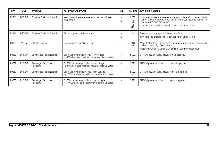| <b>DTC</b> | <b>CM</b>    | <b>SYSTEM</b>                    | <b>FAULT DESCRIPTION</b>                                                                      | <b>MIL</b>        | <b>CM PIN</b>                               | <b>POSSIBLE CAUSES</b>                                                                                                                                                                                                                         |
|------------|--------------|----------------------------------|-----------------------------------------------------------------------------------------------|-------------------|---------------------------------------------|------------------------------------------------------------------------------------------------------------------------------------------------------------------------------------------------------------------------------------------------|
| B2741      | <b>DSCCM</b> | Dynamic Stability Control        | Yaw rate and lateral acceleration sensors cluster<br>circuit fault                            | $\checkmark$<br>M | <b>LF37</b><br>-5<br>$-7$<br>$-25$<br>$-29$ | Yaw rate and lateral acceleration sensors cluster circuit: open circuit,<br>short circuit to ground, short circuit to B+ voltage, short circuit to<br>each other, high resistance<br>Yaw rate and lateral acceleration sensors cluster failure |
| B2912      | <b>DSCCM</b> | Dynamic Stability Control        | Reverse gear plausibility error                                                               | $\sqrt{}$<br>M    | $\overline{\phantom{0}}$                    | Reverse gear engaged CAN message fault<br>Yaw rate and lateral acceleration sensors cluster failure                                                                                                                                            |
| P0335      | <b>A/CCM</b> | Climate Control                  | Engine speed signal circuit fault                                                             | N                 | AC4<br>$-16$                                | Major Instrument Cluster to A/CCM engine speed circuit: open circuit,<br>short circuit, high resistance<br>Major Instrument Cluster CAN Engine Speed message fault                                                                             |
| P0562      | <b>DHRCM</b> | Driver Seat Head Restraint       | DHRCM power supply circuit low voltage<br>(<8 V when head restraint movement is activated)    | N                 | SD22<br>$-1$                                | DHRCM power supply circuit: low voltage fault                                                                                                                                                                                                  |
| P0562      | PHRCM        | Passenger Seat Head<br>Restraint | PHRCM power supply circuit low voltage<br>(< 8 V when head restraint movement is activated)   | N                 | <b>SP22</b><br>$-1$                         | PHRCM power supply circuit: low voltage fault                                                                                                                                                                                                  |
| P0563      | <b>DHRCM</b> | Driver Seat Head Restraint       | DHRCM power supply circuit high voltage<br>(> 17 V when head restraint movement is activated) | N                 | SD22<br>$-1$                                | DHRCM power supply circuit: high voltage fault                                                                                                                                                                                                 |
| P0563      | PHRCM        | Passenger Seat Head<br>Restraint | PHRCM power supply circuit high voltage<br>(> 17 V when head restraint movement is activated) | N                 | <b>SP22</b><br>$-1$                         | PHRCM power supply circuit: high voltage fault                                                                                                                                                                                                 |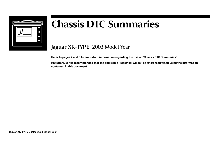

## **Chassis DTC Summaries**

## **Jaguar XK-TYPE** 2003 Model Year

**Refer to pages 2 and 3 for important information regarding the use of "Chassis DTC Summaries".**

**REFERENCE: It is recommended that the applicable "Electrical Guide" be referenced when using the information contained in this document.**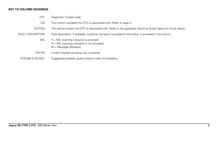### **KEY TO COLUMN HEADINGS**

- DTC Diagnostic Trouble Code.
- CM The control module(s) the DTC is associated with. Refer to page 3.
- SYSTEM The vehicle system the DTC is associated with. Refer to the applicable Electrical Guide Figure for circuit details.
- FAULT DESCRIPTION Fault description. If available, customer symptom (complaint) information is provided in this column.
	- MIL  $Y = MIL$  (warning indicator) is activated.  $N = MIL$  (warning indicator) is not activated.  $M =$ Message displayed.
	- CM PIN Control module connector pin number(s)
	- POSSIBLE CAUSES Suggested possible causes listed in order of probability.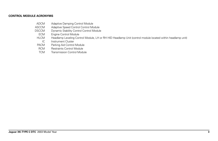### **CONTROL MODULE ACRONYMS**

- ADCM Adaptive Damping Control Module
- ASCCM Adaptive Speed Control Control Module<br>DSCCM Dynamic Stability Control Control Module
- SCCM Dynamic Stability Control Control Module<br>ECM Engine Control Module
- Engine Control Module
- HLCM Headlamp Leveling Control Module, LH or RH HID Headlamp Unit (control module located within headlamp unit)<br>IC Instrument Cluster
- IC Instrument Cluster<br>PACM Parking Aid Control
- Parking Aid Control Module
- RCM Restraints Control Module<br>TCM Transmission Control Modu
- Transmission Control Module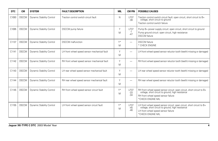| <b>DTC</b>        | <b>CM</b>    | <b>SYSTEM</b>                    | <b>FAULT DESCRIPTION</b>                     | MIL     | <b>CM PIN</b>                 | <b>POSSIBLE CAUSES</b>                                                                                                                                                                  |
|-------------------|--------------|----------------------------------|----------------------------------------------|---------|-------------------------------|-----------------------------------------------------------------------------------------------------------------------------------------------------------------------------------------|
| C1093             | <b>DSCCM</b> | <b>Dynamic Stability Control</b> | Traction control switch circuit fault        | N       | <b>LF37</b><br>$-38$          | Traction control switch circuit fault: open circuit, short circuit to B+<br>voltage, short circuit to ground<br>Traction control switch failure                                         |
| C1095             | <b>DSCCM</b> | <b>Dynamic Stability Control</b> | DSCCM pump failure                           | Υ<br>M  | <b>LF37</b><br>$-1$<br>$-47$  | Pump B+ power supply circuit: open circuit, short circuit to ground<br>Pump ground circuit: open circuit, high resistance<br><b>DSCCM</b> failure                                       |
| C1137             | <b>DSCCM</b> | <b>Dynamic Stability Control</b> | <b>DSCCM</b> malfunction                     | V*<br>M | —                             | <b>DSCCM</b> failure<br>* CHECK ENGINE                                                                                                                                                  |
| C1141             | <b>DSCCM</b> | <b>Dynamic Stability Control</b> | LH front wheel speed sensor mechanical fault | Y<br>M  | -                             | LH front wheel speed sensor reluctor tooth (teeth) missing or damaged                                                                                                                   |
| C1142             | <b>DSCCM</b> | <b>Dynamic Stability Control</b> | RH front wheel speed sensor mechanical fault | Y<br>M  | -                             | RH front wheel speed sensor reluctor tooth (teeth) missing or damaged                                                                                                                   |
| C <sub>1143</sub> | <b>DSCCM</b> | <b>Dynamic Stability Control</b> | LH rear wheel speed sensor mechanical fault  | Y<br>M  |                               | LH rear wheel speed sensor reluctor tooth (teeth) missing or damaged                                                                                                                    |
| C1144             | <b>DSCCM</b> | Dynamic Stability Control        | RH rear wheel speed sensor mechanical fault  | Y<br>M  |                               | RH rear wheel speed sensor reluctor tooth (teeth) missing or damaged                                                                                                                    |
| C1145             | <b>DSCCM</b> | <b>Dynamic Stability Control</b> | RH front wheel speed sensor circuit fault    | Y*<br>M | <b>LF37</b><br>$-33$<br>$-34$ | RH front wheel speed sensor circuit: open circuit, short circuit to B+<br>voltage, short circuit to ground, high resistance<br>RH front wheel speed sensor failure<br>*CHECK ENGINE MIL |
| C1155             | <b>DSCCM</b> | <b>Dynamic Stability Control</b> | LH front wheel speed sensor circuit fault    | V*<br>M | <b>LF37</b><br>$-45$<br>$-46$ | LH front wheel speed sensor circuit: open circuit, short circuit to B+<br>voltage, short circuit to ground, high resistance<br>LH front wheel speed sensor failure<br>*CHECK ENGINE MIL |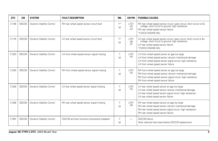| <b>DTC</b> | <b>CM</b>    | <b>SYSTEM</b>             | <b>FAULT DESCRIPTION</b>                       | <b>MIL</b> | <b>CM PIN</b>                 | <b>POSSIBLE CAUSES</b>                                                                                                                                                                                        |
|------------|--------------|---------------------------|------------------------------------------------|------------|-------------------------------|---------------------------------------------------------------------------------------------------------------------------------------------------------------------------------------------------------------|
| C1165      | <b>DSCCM</b> | Dynamic Stability Control | RH rear wheel speed sensor circuit fault       | Y*<br>M    | <b>LF37</b><br>$-42$<br>$-43$ | RH rear wheel speed sensor circuit: open circuit, short circuit to B+<br>voltage, short circuit to ground, high resistance<br>RH rear wheel speed sensor failure<br>*CHECK ENGINE MIL                         |
| C1175      | <b>DSCCM</b> | Dynamic Stability Control | LH rear wheel speed sensor circuit fault       | Y*<br>M    | <b>LF37</b><br>$-36$<br>$-37$ | LH rear wheel speed sensor circuit: open circuit, short circuit to B+<br>voltage, short circuit to ground, high resistance<br>LH rear wheel speed sensor failure<br>*CHECK ENGINE MIL                         |
| C1223      | <b>DSCCM</b> | Dynamic Stability Control | LH front wheel speed sensor signal missing     | Y<br>M     | LF37<br>$-45$                 | LH front wheel speed sensor air gap too large<br>LH front wheel speed sensor reluctor mechanical damage<br>LH front wheel speed sensor signal circuit: high resistance<br>LH front wheel speed sensor failure |
| C1234      | <b>DSCCM</b> | Dynamic Stability Control | RH front wheel speed sensor signal missing     | Y<br>M     | <b>LF37</b><br>$-34$          | RH front wheel speed sensor air gap too large<br>RH front wheel speed sensor reluctor mechanical damage<br>RH front wheel speed sensor signal circuit: high resistance<br>RH front wheel speed sensor failure |
| C1235      | <b>DSCCM</b> | Dynamic Stability Control | LH rear wheel speed sensor signal missing      | Υ<br>M     | LF37<br>$-43$                 | LH rear wheel speed sensor air gap too large<br>LH rear wheel speed sensor reluctor mechanical damage<br>LH rear wheel speed sensor signal circuit: high resistance<br>LH rear wheel speed sensor failure     |
| C1236      | <b>DSCCM</b> | Dynamic Stability Control | RH rear wheel speed sensor signal missing      | Y<br>M     | <b>LF37</b><br>$-36$          | RH rear wheel speed sensor air gap too large<br>RH rear wheel speed sensor reluctor mechanical damage<br>RH rear wheel speed sensor signal circuit: high resistance<br>RH rear wheel speed sensor failure     |
| C1267      | <b>DSCCM</b> | Dynamic Stability Control | DSCCM anti-lock functions temporarily disabled | Y<br>M     |                               | <b>DSCCM</b> failure<br>Note: attempt hard reset before DSCCM replacement                                                                                                                                     |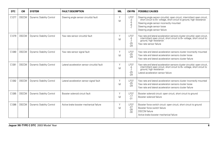| <b>DTC</b> | <b>CM</b>    | <b>SYSTEM</b>             | <b>FAULT DESCRIPTION</b>                     | <b>MIL</b> | <b>CM PIN</b>                               | <b>POSSIBLE CAUSES</b>                                                                                                                                                                                                                                        |
|------------|--------------|---------------------------|----------------------------------------------|------------|---------------------------------------------|---------------------------------------------------------------------------------------------------------------------------------------------------------------------------------------------------------------------------------------------------------------|
| C1277      | <b>DSCCM</b> | Dynamic Stability Control | Steering angle sensor circuit(s) fault       | Υ<br>M     | <b>LF37</b><br>-3<br>$-5$<br>-6<br>$-7$     | Steering angle sensor circuit(s): open circuit, intermittent open circuit, short circuit to B+ voltage, short circuit to ground, high resistance<br>Steering angle sensor incorrectly mounted<br>Steering angle sensor loose<br>Steering angle sensor failure |
| C1279      | <b>DSCCM</b> | Dynamic Stability Control | Yaw rate sensor circuit(s) fault             | Υ<br>M     | <b>LF37</b><br>-5<br>$-7$<br>$-25$<br>$-29$ | Yaw rate and lateral acceleration sensors cluster circuit(s): open circuit, intermittent open circuit, short circuit to B+ voltage, short circuit to<br>ground, high resistance<br>Yaw rate sensor failure                                                    |
| C1280      | <b>DSCCM</b> | Dynamic Stability Control | Yaw rate sensor signal fault                 | Y<br>M     | <b>LF37</b><br>$-25$<br>$-29$               | Yaw rate and lateral acceleration sensors cluster incorrectly mounted<br>Yaw rate and lateral acceleration sensors cluster loose<br>Yaw rate and lateral acceleration sensors cluster failure                                                                 |
| C1281      | <b>DSCCM</b> | Dynamic Stability Control | Lateral acceleration sensor circuit(s) fault | Y<br>M     | <b>LF37</b><br>-5<br>$-7$<br>$-25$<br>$-29$ | Yaw rate and lateral acceleration sensors cluster circuit(s): open circuit, intermittent open circuit, short circuit to $B+$ voltage, short circuit to ground, high resistance<br>Lateral acceleration sensor failure                                         |
| C1282      | <b>DSCCM</b> | Dynamic Stability Control | Lateral acceleration sensor signal fault     | Υ<br>M     | <b>LF37</b><br>$-25$<br>$-29$               | Yaw rate and lateral acceleration sensors cluster incorrectly mounted<br>Yaw rate and lateral acceleration sensors cluster loose<br>Yaw rate and lateral acceleration sensors cluster failure                                                                 |
| C1285      | <b>DSCCM</b> | Dynamic Stability Control | Booster solenoid circuit fault               | Y<br>M     | <b>LF37</b><br>$-17$<br>$-31$               | Booster solenoid circuit: open circuit, short circuit to ground<br>Booster solenoid failure                                                                                                                                                                   |
| C1286      | <b>DSCCM</b> | Dynamic Stability Control | Active brake booster mechanical failure      | Υ<br>M     | <b>LF37</b><br>$-27$<br>$-28$<br>$-30$      | Booster force switch circuit: open circuit, short circuit to ground<br>Booster force switch failure<br><b>DSCCM</b> failure<br>Active brake booster mechanical failure                                                                                        |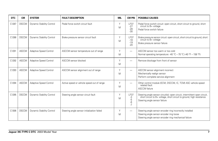| <b>DTC</b> | <b>CM</b>    | <b>SYSTEM</b>             | <b>FAULT DESCRIPTION</b>                    | <b>MIL</b> | <b>CM PIN</b>                          | <b>POSSIBLE CAUSES</b>                                                                                                                                                               |
|------------|--------------|---------------------------|---------------------------------------------|------------|----------------------------------------|--------------------------------------------------------------------------------------------------------------------------------------------------------------------------------------|
| C1287      | <b>DSCCM</b> | Dynamic Stability Control | Pedal force switch circuit fault            | Y<br>Μ     | <b>LF37</b><br>$-27$<br>$-28$<br>$-30$ | Pedal force switch circuit: open circuit, short circuit to ground, short<br>circuit to B+ voltage<br>Pedal force switch failure                                                      |
| C1288      | <b>DSCCM</b> | Dynamic Stability Control | Brake pressure sensor circuit fault         | Y<br>Μ     | <b>LF37</b><br>$-18$<br>$-19$<br>$-20$ | Brake pressure sensor circuit: open circuit, short circuit to ground, short<br>circuit to B+ voltage<br>Brake pressure sensor failure                                                |
| C1291      | <b>ASCCM</b> | Adaptive Speed Control    | ASCCM sensor temperature out of range       | Υ<br>M     | $\overline{\phantom{0}}$               | ASCCM sensor too warm or too cold<br>Normal operating temperature: -40 °C – 70 °C (-40 °F – 158 °F)                                                                                  |
| C1292      | <b>ASCCM</b> | Adaptive Speed Control    | ASCCM sensor blocked                        | Y<br>Μ     | -                                      | Remove blockage from front of sensor                                                                                                                                                 |
| C1293      | <b>ASCCM</b> | Adaptive Speed Control    | ASCCM sensor alignment out of range         | Y<br>Μ     |                                        | ASCCM sensor alignment incorrect<br>Mechanically realign sensor<br>Perform complete service alignment                                                                                |
| C1294      | <b>ASCCM</b> | Adaptive Speed Control    | Active speed or vehicle speed out of range  | Y<br>Μ     |                                        | Other control module (ECM, DSCCM, IC, TCM) ASC vehicle speed<br>related fault<br><b>ASCCM</b> failure                                                                                |
| C1295      | <b>DSCCM</b> | Dynamic Stability Control | Steering angle sensor circuit fault         | Y<br>Μ     | <b>LF37</b><br>-3<br>-5<br>-6<br>$-7$  | Steering angle sensor circuit(s): open circuit, intermittent open circuit,<br>short circuit to B+ voltage, short circuit to ground, high resistance<br>Steering angle sensor failure |
| C1306      | <b>DSCCM</b> | Dynamic Stability Control | Steering angle sensor initialization failed | Υ<br>Μ     | —                                      | Steering angle sensor encoder ring incorrectly installed<br>Steering angle sensor encoder ring loose<br>Steering angle sensor encoder ring mechanical failure                        |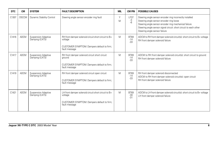| <b>DTC</b> | <b>CM</b>    | <b>SYSTEM</b>                                | <b>FAULT DESCRIPTION</b>                                                                                                       | <b>MIL</b> | <b>CM PIN</b>                 | <b>POSSIBLE CAUSES</b>                                                                                                                                                                                                                                              |
|------------|--------------|----------------------------------------------|--------------------------------------------------------------------------------------------------------------------------------|------------|-------------------------------|---------------------------------------------------------------------------------------------------------------------------------------------------------------------------------------------------------------------------------------------------------------------|
| C1307      | <b>DSCCM</b> | Dynamic Stability Control                    | Steering angle sensor encoder ring fault                                                                                       | Υ<br>M     | <b>LF37</b><br>$-3 - 6$       | Steering angle sensor encoder ring incorrectly installed<br>Steering angle sensor encoder ring loose<br>Steering angle sensor encoder ring mechanical failure<br>Steering angle sensor signal circuit: short circuit to each other<br>Steering angle sensor failure |
| C1416      | <b>ADCM</b>  | Suspension Adaptive<br>Damping (CATS)        | RH front damper solenoid circuit short circuit to B+<br>voltage<br>CUSTOMER SYMPTOM: Dampers default to firm;<br>fault message | M          | <b>BT69</b><br>$-14$<br>$-33$ | ADCM to RH front damper solenoid circuit(s): short circuit to B+ voltage<br>RH front damper solenoid failure                                                                                                                                                        |
| C1417      | <b>ADCM</b>  | <b>Suspension Adaptive</b><br>Damping (CATS) | RH front damper solenoid circuit short circuit<br>ground<br>CUSTOMER SYMPTOM: Dampers default to firm;<br>fault message        | M          | <b>BT69</b><br>$-14$<br>$-33$ | ADCM to RH front damper solenoid circuit(s): short circuit to ground<br>RH front damper solenoid failure                                                                                                                                                            |
| C1419      | <b>ADCM</b>  | Suspension Adaptive<br>Damping (CATS)        | RH front damper solenoid circuit open circuit<br>CUSTOMER SYMPTOM: Dampers default to firm;<br>fault message                   | M          | <b>BT69</b><br>$-14$<br>$-33$ | RH front damper solenoid disconnected<br>ADCM to RH front damper solenoid circuit(s): open circuit<br>RH front damper solenoid failure                                                                                                                              |
| C1421      | <b>ADCM</b>  | <b>Suspension Adaptive</b><br>Damping (CATS) | LH front damper solenoid circuit short circuit to B+<br>voltage<br>CUSTOMER SYMPTOM: Dampers default to firm;<br>fault message | M          | <b>BT69</b><br>$-30$<br>$-31$ | ADCM to LH front damper solenoid circuit(s): short circuit to B+ voltage<br>LH front damper solenoid failure                                                                                                                                                        |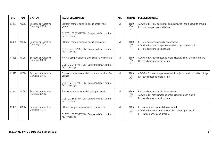| <b>DTC</b> | <b>CM</b>   | <b>SYSTEM</b>                                | <b>FAULT DESCRIPTION</b>                                       | <b>MIL</b> | <b>CM PIN</b>                 | <b>POSSIBLE CAUSES</b>                                                                                     |  |                                 |
|------------|-------------|----------------------------------------------|----------------------------------------------------------------|------------|-------------------------------|------------------------------------------------------------------------------------------------------------|--|---------------------------------|
| C1422      | <b>ADCM</b> | <b>Suspension Adaptive</b><br>Damping (CATS) | LH front damper solenoid circuit short circuit<br>ground       | M          | <b>BT69</b><br>$-30$<br>$-31$ | ADCM to LH front damper solenoid circuit(s): short circuit to ground<br>LH front damper solenoid failure   |  |                                 |
|            |             |                                              | CUSTOMER SYMPTOM: Dampers default to firm;<br>fault message    |            |                               |                                                                                                            |  |                                 |
| C1424      | <b>ADCM</b> | <b>Suspension Adaptive</b><br>Damping (CATS) | LH front damper solenoid circuit open circuit                  | M          | <b>BT69</b><br>$-30$          | LH front damper solenoid disconnected<br>ADCM to LH front damper solenoid circuit(s): open circuit         |  |                                 |
|            |             |                                              | CUSTOMER SYMPTOM: Dampers default to firm;<br>fault message    |            | $-31$                         | LH front damper solenoid failure                                                                           |  |                                 |
| C1425      | <b>ADCM</b> | <b>Suspension Adaptive</b><br>Damping (CATS) | RH rear damper solenoid circuit short circuit ground           | M          | <b>BT69</b><br>$-15$          | ADCM to RH rear damper solenoid circuit(s): short circuit to ground<br>RH rear damper solenoid failure     |  |                                 |
|            |             |                                              | CUSTOMER SYMPTOM: Dampers default to firm;<br>fault message    |            | $-34$                         |                                                                                                            |  |                                 |
| C1426      | <b>ADCM</b> | <b>Suspension Adaptive</b><br>Damping (CATS) | RH rear damper solenoid circuit short circuit to B+<br>voltage | M          | <b>BT69</b><br>$-15$<br>$-34$ | ADCM to RH rear damper solenoid circuit(s): short circuit to B+ voltage<br>RH rear damper solenoid failure |  |                                 |
|            |             |                                              | CUSTOMER SYMPTOM: Dampers default to firm;<br>fault message    |            |                               |                                                                                                            |  |                                 |
| C1427      | <b>ADCM</b> | <b>Suspension Adaptive</b><br>Damping (CATS) | RH rear damper solenoid circuit open circuit                   | M          | <b>BT69</b><br>$-15$          | RH rear damper solenoid disconnected<br>ADCM to RH rear damper solenoid circuit(s): open circuit           |  |                                 |
|            |             |                                              | CUSTOMER SYMPTOM: Dampers default to firm;<br>fault message    |            | $-34$                         | RH rear damper solenoid failure                                                                            |  |                                 |
| C1430      | <b>ADCM</b> | <b>Suspension Adaptive</b><br>Damping (CATS) | LH rear damper solenoid circuit open circuit                   | M          | <b>BT69</b><br>$-13$          | LH rear damper solenoid disconnected<br>ADCM to LH rear damper solenoid circuit(s): open circuit           |  |                                 |
|            |             |                                              | CUSTOMER SYMPTOM: Dampers default to firm;<br>fault message    |            | $-32$                         |                                                                                                            |  | LH rear damper solenoid failure |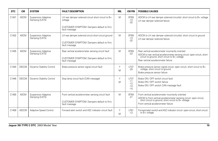| <b>DTC</b> | <b>CM</b>    | <b>SYSTEM</b>                                | <b>FAULT DESCRIPTION</b>                                       | <b>MIL</b> | <b>CM PIN</b>                 | <b>POSSIBLE CAUSES</b>                                                                                                                                                           |
|------------|--------------|----------------------------------------------|----------------------------------------------------------------|------------|-------------------------------|----------------------------------------------------------------------------------------------------------------------------------------------------------------------------------|
| C1431      | <b>ADCM</b>  | <b>Suspension Adaptive</b><br>Damping (CATS) | LH rear damper solenoid circuit short circuit to B+<br>voltage | M          | <b>BT69</b><br>$-13$<br>$-32$ | ADCM to LH rear damper solenoid circuit(s): short circuit to B+ voltage<br>LH rear damper solenoid failure                                                                       |
|            |              |                                              | CUSTOMER SYMPTOM: Dampers default to firm;<br>fault message    |            |                               |                                                                                                                                                                                  |
| C1432      | <b>ADCM</b>  | <b>Suspension Adaptive</b><br>Damping (CATS) | LH rear damper solenoid circuit short circuit ground           | M          | <b>BT69</b><br>$-13$          | ADCM to LH rear damper solenoid circuit(s): short circuit to ground<br>LH rear damper solenoid failure                                                                           |
|            |              |                                              | CUSTOMER SYMPTOM: Dampers default to firm;<br>fault message    |            | $-32$                         |                                                                                                                                                                                  |
| C1435      | <b>ADCM</b>  | <b>Suspension Adaptive</b><br>Damping (CATS) | Rear vertical accelerometer sensing circuit fault              | M          | BT69<br>$-22$                 | Rear vertical accelerometer incorrectly oriented<br>ADCM to rear vertical accelerometer sensing circuit: open circuit, short circuit to ground, short circuit to B+ voltage      |
|            |              |                                              | CUSTOMER SYMPTOM: Dampers default to firm;<br>fault message    |            |                               | Rear vertical accelerometer failure                                                                                                                                              |
| C1440      | <b>DSCCM</b> | Dynamic Stability Control                    | Brake pressure sensor signal circuit fault                     | Υ<br>M     | <b>LF37</b><br>$-20$          | Brake pressure sensor signal circuit: open circuit, short circuit to B+<br>voltage, short circuit to ground<br>Brake pressure sensor failure                                     |
| C1446      | <b>DSCCM</b> | Dynamic Stability Control                    | Stop lamp circuit fault (CAN message)                          | Υ<br>M     | <b>LF37</b><br>$-11$          | Brake ON / OFF switch circuit fault<br>Brake ON / OFF switch failure                                                                                                             |
|            |              |                                              |                                                                |            | $-12$<br>$-14$<br>$-15$       | Brake ON / OFF switch CAN message fault                                                                                                                                          |
| C1455      | <b>ADCM</b>  | <b>Suspension Adaptive</b><br>Damping (CATS) | Front vertical accelerometer sensing circuit fault             | M          | <b>BT69</b><br>$-21$          | Front vertical accelerometer incorrectly oriented<br>ADCM to front vertical accelerometer sensing circuit: open circuit,<br>short circuit to ground, short circuit to B+ voltage |
|            |              |                                              | CUSTOMER SYMPTOM: Dampers default to firm;<br>fault message    |            |                               | Front vertical accelerometer failure                                                                                                                                             |
| C1459      | <b>ASCCM</b> | Adaptive Speed Control                       | Forward alert switch and ASC indicator circuit fault           | Y<br>M     | LF61<br>$-12$                 | Forward alert switch and ASC indicator circuit: open circuit, short circuit<br>to B+ voltage                                                                                     |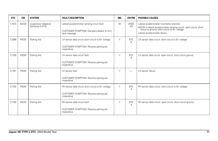| <b>DTC</b> | <b>CM</b>   | <b>SYSTEM</b>                                | <b>FAULT DESCRIPTION</b>                                                                                   | MIL | <b>CM PIN</b>           | <b>POSSIBLE CAUSES</b>                                                                                                                                                                           |
|------------|-------------|----------------------------------------------|------------------------------------------------------------------------------------------------------------|-----|-------------------------|--------------------------------------------------------------------------------------------------------------------------------------------------------------------------------------------------|
| C1515      | <b>ADCM</b> | <b>Suspension Adaptive</b><br>Damping (CATS) | Lateral accelerometer sensing circuit fault<br>CUSTOMER SYMPTOM: Dampers default to firm;<br>fault message | M   | <b>BT69</b><br>$-20$    | Lateral accelerometer incorrectly oriented<br>ADCM to lateral accelerometer sensing circuit: open circuit, short circuit to ground, short circuit to B+ voltage<br>Lateral accelerometer failure |
| C1699      | <b>PACM</b> | Parking Aid                                  | LH sensor data circuit short circuit to B+ voltage<br>CUSTOMER SYMPTOM: Reverse parking aid<br>inoperative | Y   | BT <sub>5</sub><br>$-5$ | LH sensor data circuit: short circuit to B+ voltage                                                                                                                                              |
| C1700      | <b>PACM</b> | Parking Aid                                  | LH sensor data circuit fault<br>CUSTOMER SYMPTOM: Reverse parking aid<br>inoperative                       | Y   | BT <sub>5</sub><br>$-5$ | LH sensor data circuit: open circuit, short circuit ground                                                                                                                                       |
| C1701      | <b>PACM</b> | Parking Aid                                  | LH sensor fault<br>CUSTOMER SYMPTOM: Reverse parking aid<br>inoperative                                    | Y   |                         | LH sensor failure                                                                                                                                                                                |
| C1702      | PACM        | Parking Aid                                  | RH sensor data circuit short circuit to B+ voltage<br>CUSTOMER SYMPTOM: Reverse parking aid<br>inoperative | Y   | BT <sub>5</sub><br>$-4$ | RH sensor data circuit: short circuit to B+ voltage                                                                                                                                              |
| C1703      | <b>PACM</b> | Parking Aid                                  | RH sensor data circuit fault<br>CUSTOMER SYMPTOM: Reverse parking aid<br>inoperative                       | Y   | BT <sub>5</sub><br>$-4$ | RH sensor data circuit: open circuit, short circuit ground                                                                                                                                       |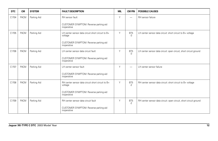| <b>DTC</b> | <b>CM</b>   | <b>SYSTEM</b> | <b>FAULT DESCRIPTION</b>                                     | <b>MIL</b> | <b>CM PIN</b>            | <b>POSSIBLE CAUSES</b>                                            |
|------------|-------------|---------------|--------------------------------------------------------------|------------|--------------------------|-------------------------------------------------------------------|
| C1704      | <b>PACM</b> | Parking Aid   | RH sensor fault                                              | Υ          | $\overline{\phantom{0}}$ | RH sensor failure                                                 |
|            |             |               | CUSTOMER SYMPTOM: Reverse parking aid<br>inoperative         |            |                          |                                                                   |
| C1705      | <b>PACM</b> | Parking Aid   | LH center sensor data circuit short circuit to B+<br>voltage | Y          | BT <sub>5</sub><br>$-3$  | LH center sensor data circuit: short circuit to B+ voltage        |
|            |             |               | CUSTOMER SYMPTOM: Reverse parking aid<br>inoperative         |            |                          |                                                                   |
| C1706      | <b>PACM</b> | Parking Aid   | LH center sensor data circuit fault                          | Υ          | BT <sub>5</sub><br>$-3$  | LH center sensor data circuit: open circuit, short circuit ground |
|            |             |               | CUSTOMER SYMPTOM: Reverse parking aid<br>inoperative         |            |                          |                                                                   |
| C1707      | <b>PACM</b> | Parking Aid   | LH center sensor fault                                       | Υ          |                          | LH center sensor failure                                          |
|            |             |               | CUSTOMER SYMPTOM: Reverse parking aid<br>inoperative         |            |                          |                                                                   |
| C1708      | <b>PACM</b> | Parking Aid   | RH center sensor data circuit short circuit to B+<br>voltage | Υ          | BT <sub>5</sub><br>$-2$  | RH center sensor data circuit: short circuit to B+ voltage        |
|            |             |               | CUSTOMER SYMPTOM: Reverse parking aid<br>inoperative         |            |                          |                                                                   |
| C1709      | <b>PACM</b> | Parking Aid   | RH center sensor data circuit fault                          | Υ          | BT <sub>5</sub><br>$-2$  | RH center sensor data circuit: open circuit, short circuit ground |
|            |             |               | CUSTOMER SYMPTOM: Reverse parking aid<br>inoperative         |            |                          |                                                                   |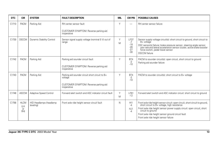| <b>DTC</b> | <b>CM</b>                       | <b>SYSTEM</b>                        | <b>FAULT DESCRIPTION</b>                                                                                           | <b>MIL</b> | <b>CM PIN</b>                                           | <b>POSSIBLE CAUSES</b>                                                                                                                                                                                                                                                                                                    |
|------------|---------------------------------|--------------------------------------|--------------------------------------------------------------------------------------------------------------------|------------|---------------------------------------------------------|---------------------------------------------------------------------------------------------------------------------------------------------------------------------------------------------------------------------------------------------------------------------------------------------------------------------------|
| C1710      | PACM                            | Parking Aid                          | RH center sensor fault<br>CUSTOMER SYMPTOM: Reverse parking aid<br>inoperative                                     | Υ          | -                                                       | RH center sensor failure                                                                                                                                                                                                                                                                                                  |
| C1730      | <b>DSCCM</b>                    | Dynamic Stability Control            | Sensor signal supply voltage (nominal 5 V) out of<br>range                                                         | Y<br>M     | <b>LF37</b><br>$-7$<br>$-18$<br>$-26$<br>$-27$<br>$-30$ | Sensor supply voltage circuit(s): short circuit to ground, short circuit to<br>B+ voltage<br>DSC sensor(s) failure: brake pressure sensor, steering angle sensor,<br>yaw rate and lateral acceleration sensor cluster, active brake booster<br>force switch, pedal travel sensor<br><b>DSCCM</b> failure                  |
| C1742      | <b>PACM</b>                     | Parking Aid                          | Parking aid sounder circuit fault<br>CUSTOMER SYMPTOM: Reverse parking aid<br>inoperative                          | Υ          | BT4<br>$-2$<br>$-10$                                    | PACM to sounder circuit(s): open circuit, short circuit to ground<br>Parking aid sounder failure                                                                                                                                                                                                                          |
| C1743      | <b>PACM</b>                     | Parking Aid                          | Parking aid sounder circuit short circuit to B+<br>voltage<br>CUSTOMER SYMPTOM: Reverse parking aid<br>inoperative | Υ          | BT4<br>$-2$<br>$-10$                                    | PACM to sounder circuit(s): short circuit to B+ voltage                                                                                                                                                                                                                                                                   |
| C1748      | <b>ASCCM</b>                    | Adaptive Speed Control               | Forward alert switch and ASC indicator circuit fault                                                               | Y<br>M     | LF61<br>$-12$                                           | Forward alert switch and ASC indicator circuit: short circuit to ground                                                                                                                                                                                                                                                   |
| C1756      | <b>HLCM</b><br>(LH<br>or<br>RH) | HID Headlamps (headlamp<br>leveling) | Front axle ride height sensor circuit fault                                                                        | N          | H11<br>$-4$<br>HJ1<br>$-4$                              | Front axle ride height sensor circuit: open circuit, short circuit to ground, short circuit to B+ voltage, high resistance<br>Front axle ride height sensor power supply circuit: open circuit, short<br>circuit to ground<br>Front axle ride height sensor ground circuit fault<br>Front axle ride height sensor failure |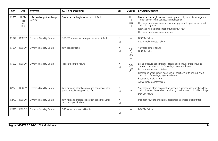| DTC.  | <b>CM</b>                             | <b>SYSTEM</b>                        | <b>FAULT DESCRIPTION</b>                                                                 | MIL    | <b>CM PIN</b>                          | <b>POSSIBLE CAUSES</b>                                                                                                                                                                                                                                                                                                                  |
|-------|---------------------------------------|--------------------------------------|------------------------------------------------------------------------------------------|--------|----------------------------------------|-----------------------------------------------------------------------------------------------------------------------------------------------------------------------------------------------------------------------------------------------------------------------------------------------------------------------------------------|
| C1768 | <b>HLCM</b><br>(LH<br><b>or</b><br>RH | HID Headlamps (headlamp<br>leveling) | Rear axle ride height sensor circuit fault                                               | N      | H11<br>$-4$<br>HJ1<br>$-4$             | Rear axle ride height sensor circuit: open circuit, short circuit to ground,<br>short circuit to B+ voltage, high resistance<br>Rear axle ride height sensor power supply circuit: open circuit, short<br>circuit to ground<br>Rear axle ride height sensor ground circuit fault<br>Rear axle ride height sensor failure                |
| C1777 | <b>DSCCM</b>                          | <b>Dynamic Stability Control</b>     | DSCCM internal vacuum pressure circuit fault                                             | Υ<br>M | -                                      | <b>DSCCM</b> failure<br>Active brake booster failure                                                                                                                                                                                                                                                                                    |
| C1994 | <b>DSCCM</b>                          | <b>Dynamic Stability Control</b>     | Yaw control failure                                                                      | Υ<br>M | <b>LF37</b><br>-5<br>-7<br>$-25$<br>29 | Yaw rate sensor failure<br><b>DSCCM</b> failure                                                                                                                                                                                                                                                                                         |
| C1997 | <b>DSCCM</b>                          | <b>Dynamic Stability Control</b>     | Pressure control failure                                                                 | Υ<br>M | <b>LF37</b><br>$-17$<br>$-20$<br>$-31$ | Brake pressure sensor signal circuit: open circuit, short circuit to ground, short circuit to B+ voltage, high resistance<br>Brake pressure sensor failure<br>Booster solenoid circuit: open circuit, short circuit to ground, short circuit to B+ voltage, high resistance<br>Booster solenoid failure<br>Active brake booster failure |
| C2778 | <b>DSCCM</b>                          | <b>Dynamic Stability Control</b>     | Yaw rate and lateral acceleration sensors cluster<br>sensor supply voltage circuit fault | Υ<br>M | <b>LF37</b><br>$-7$                    | Yaw rate and lateral acceleration sensors cluster sensor supply voltage<br>circuit: open circuit, short circuit to ground, short circuit to B+ voltage<br><b>DSCCM</b> failure                                                                                                                                                          |
| C2783 | <b>DSCCM</b>                          | Dynamic Stability Control            | Yaw rate and lateral acceleration sensors cluster<br>incorrect specification             | Y<br>M |                                        | Incorrect yaw rate and lateral acceleration sensors cluster fitted                                                                                                                                                                                                                                                                      |
| C2785 | <b>DSCCM</b>                          | <b>Dynamic Stability Control</b>     | DSC sensors out of calibration                                                           | Y<br>M |                                        | <b>DSCCM</b> failure                                                                                                                                                                                                                                                                                                                    |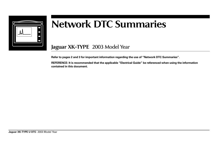

## **Network DTC Summaries**

**Jaguar XK-TYPE** 2003 Model Year

**Refer to pages 2 and 3 for important information regarding the use of "Network DTC Summaries".**

**REFERENCE: It is recommended that the applicable "Electrical Guide" be referenced when using the information contained in this document.**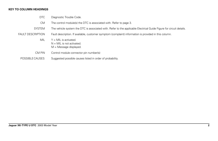## **KEY TO COLUMN HEADINGS**

- DTC Diagnostic Trouble Code.
- CM The control module(s) the DTC is associated with. Refer to page 3.
- SYSTEM The vehicle system the DTC is associated with. Refer to the applicable Electrical Guide Figure for circuit details.
- FAULT DESCRIPTION Fault description. If available, customer symptom (complaint) information is provided in this column.
	- $MIL \tY = MIL$  is activated.  $N = MIL$  is not activated. M = Message displayed.
	- CM PIN Control module connector pin number(s)
	- POSSIBLE CAUSES Suggested possible causes listed in order of probability.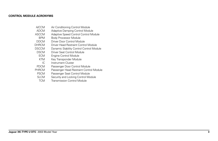## **CONTROL MODULE ACRONYMS**

- A/CCM Air Conditioning Control Module
- ADCM Adaptive Damping Control Module<br>ASCCM Adaptive Speed Control Control Mo
- Adaptive Speed Control Control Module
- BPM Body Processor Module<br>DDCM Driver Door Control Mod
- DDCM Driver Door Control Module<br>DHRCM Driver Head Restraint Contro
- Driver Head Restraint Control Module
- DSCCM Dynamic Stability Control Control Module<br>
DSCM Driver Seat Control Module
- SCM Driver Seat Control Module<br>ECM Engine Control Module
- Engine Control Module
- KTM Key Transponder Module<br>IC Instrument Cluster
- IC Instrument Cluster<br>PDCM Passenger Door Co
- Passenger Door Control Module
- PHRCM Passenger Head Restraint Control Module<br>PSCM Passenger Seat Control Module
- **PSCM** Passenger Seat Control Module<br>SLCM Security and Locking Control Mo
- Security and Locking Control Module
- TCM Transmission Control Module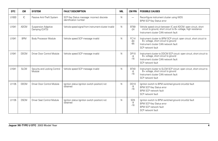| <b>DTC</b> | <b>CM</b>   | <b>SYSTEM</b>                          | <b>FAULT DESCRIPTION</b>                                            | MIL | <b>CM PIN</b>                  | <b>POSSIBLE CAUSES</b>                                                                                                                                                     |
|------------|-------------|----------------------------------------|---------------------------------------------------------------------|-----|--------------------------------|----------------------------------------------------------------------------------------------------------------------------------------------------------------------------|
| U1003      | IС          | Passive Anti-Theft System              | SCP Key Status message: incorrect discrete<br>identification number | N   | $\overline{\phantom{0}}$       | Reconfigure instrument cluster using WDS<br><b>BPM SCP Key Status error</b>                                                                                                |
| U1041      | <b>ADCM</b> | Suspension Adaptive<br>Damping (CATS)  | Vehicle speed signal from instrument cluster invalid                | N   | <b>BT69</b><br>$-24$           | Vehicle speed circuit between IC and ADCM: open circuit, short circuit to ground, short circuit to B+ voltage, high resistance<br>Instrument cluster CAN network fault     |
| U1041      | <b>BPM</b>  | <b>Body Processor Module</b>           | Vehicle speed SCP message invalid                                   | N   | <b>FC14</b><br>$-84$<br>$-85$  | Instrument cluster to BPM SCP circuit: open circuit, short circuit to B+ voltage, short circuit to ground<br>Instrument cluster CAN network fault<br>SCP network fault     |
| U1041      | <b>DDCM</b> | Driver Door Control Module             | Vehicle speed SCP message invalid                                   | N   | <b>DP10</b><br>-9<br>$-16$     | Instrument cluster to DDCM SCP circuit: open circuit, short circuit to<br>B+ voltage, short circuit to ground<br>Instrument cluster CAN network fault<br>SCP network fault |
| U1041      | <b>SLCM</b> | Security and Locking Control<br>Module | Vehicle speed SCP message invalid                                   | N   | <b>BT40</b><br>-8<br>$-16$     | Instrument cluster to SLCM SCP circuit: open circuit, short circuit to<br>B+ voltage, short circuit to ground<br>Instrument cluster CAN network fault<br>SCP network fault |
| U1135      | <b>DDCM</b> | Driver Door Control Module             | Ignition status (ignition switch position) not<br>obtained          | N   | <b>DD10</b><br>-9<br>$-16$     | Ignition switch to BPM switched ground circuit(s) fault<br><b>BPM SCP Key Status error</b><br><b>BPM SCP network fault</b><br>SCP network fault                            |
| U1135      | <b>DSCM</b> | Driver Seat Control Module             | Ignition status (ignition switch position) not<br>obtained          | N   | SD <sub>5</sub><br>-9<br>$-16$ | Ignition switch to BPM switched ground circuit(s) fault<br><b>BPM SCP Key Status error</b><br><b>BPM SCP network fault</b><br>SCP network fault                            |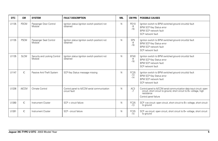| <b>DTC</b> | <b>CM</b>    | <b>SYSTEM</b>                          | <b>FAULT DESCRIPTION</b>                                     | <b>MIL</b> | <b>CM PIN</b>                  | <b>POSSIBLE CAUSES</b>                                                                                                                                                             |
|------------|--------------|----------------------------------------|--------------------------------------------------------------|------------|--------------------------------|------------------------------------------------------------------------------------------------------------------------------------------------------------------------------------|
| U1135      | <b>PDCM</b>  | Passenger Door Control<br>Module       | Ignition status (ignition switch position) not<br>obtained   | N          | PD10<br>-9<br>$-16$            | Ignition switch to BPM switched ground circuit(s) fault<br><b>BPM SCP Key Status error</b><br>BPM SCP network fault<br>SCP network fault                                           |
| U1135      | <b>PSCM</b>  | Passenger Seat Control<br>Module       | Ignition status (ignition switch position) not<br>obtained   | N          | SP <sub>5</sub><br>-9<br>$-16$ | Ignition switch to BPM switched ground circuit(s) fault<br><b>BPM SCP Key Status error</b><br>BPM SCP network fault<br>SCP network fault                                           |
| U1135      | <b>SLCM</b>  | Security and Locking Control<br>Module | Ignition status (ignition switch position) not<br>obtained   | N          | <b>BT40</b><br>-8<br>$-16$     | Ignition switch to BPM switched ground circuit(s) fault<br><b>BPM SCP Key Status error</b><br>BPM SCP network fault<br>SCP network fault                                           |
| U1147      | IC.          | Passive Anti-Theft System              | SCP Key Status message missing                               | N          | FC25<br>$-13$<br>$-14$         | lgnition switch to BPM switched ground circuit(s) fault<br><b>BPM SCP Key Status error</b><br><b>BPM SCP network fault</b><br>SCP network fault                                    |
| U1236      | <b>A/CCM</b> | Climate Control                        | Control panel to A/CCM serial communication<br>circuit fault | N          | AC3<br>$-7$                    | Control panel to A/CCM serial communication data input circuit: open<br>circuit, short circuit to ground, short circuit to B+ voltage, high<br>resistance<br>Control panel failure |
| U1260      | IC.          | Instrument Cluster                     | SCP + circuit failure                                        | N          | FC25<br>$-13$                  | SCP +ve circuit: open circuit, short circuit to B+ voltage, short circuit<br>to ground                                                                                             |
| U1261      | IC           | Instrument Cluster                     | SCP - circuit failure                                        | N          | FC25<br>$-14$                  | SCP-ve circuit: open circuit, short circuit to B+ voltage, short circuit<br>to ground                                                                                              |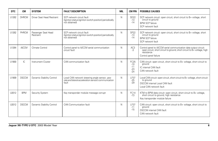| <b>DTC</b> | <b>CM</b>    | <b>SYSTEM</b>                    | <b>FAULT DESCRIPTION</b>                                                                                      | MIL | <b>CM PIN</b>                                   | <b>POSSIBLE CAUSES</b>                                                                                                                                                              |
|------------|--------------|----------------------------------|---------------------------------------------------------------------------------------------------------------|-----|-------------------------------------------------|-------------------------------------------------------------------------------------------------------------------------------------------------------------------------------------|
| U1262      | <b>DHRCM</b> | Driver Seat Head Restraint       | SCP network circuit fault<br>(Ignition status [ignition switch position] periodically<br>not obtained)        | N   | <b>SD22</b><br>$-13$<br>$-14$                   | SCP network circuit: open circuit, short circuit to B+ voltage, short<br>circuit to ground<br><b>BPM SCP failure</b><br>SCP network fault                                           |
| U1262      | PHRCM        | Passenger Seat Head<br>Restraint | SCP network circuit fault<br>(Ignition status [ignition switch position] periodically<br>not obtained)        | N   | <b>SP22</b><br>$-13$<br>$-14$                   | SCP network circuit: open circuit, short circuit to B+ voltage, short<br>circuit to ground<br><b>BPM SCP failure</b><br>SCP network fault                                           |
| U1264      | <b>A/CCM</b> | Climate Control                  | Control panel to A/CCM serial communication<br>circuit fault                                                  | N   | AC3<br>$-3$                                     | Control panel to A/CCM serial communication data output circuit:<br>open circuit, short circuit to ground, short circuit to B+ voltage, high<br>resistance<br>Control panel failure |
| U1900      | IC.          | Instrument Cluster               | CAN communication fault                                                                                       | N   | <b>FC25</b><br>$-10$<br>$-11$<br>$-23$<br>$-24$ | CAN circuit: open circuit, short circuit to B+ voltage, short circuit to<br>around<br>IC internal CAN fault<br>CAN network fault                                                    |
| U1909      | <b>DSCCM</b> | Dynamic Stability Control        | Local CAN network (steering angle sensor, yaw<br>rate and lateral acceleration sensor) communication<br>fault | N   | <b>LF37</b><br>$-25$<br>$-29$                   | Local CAN circuit: open circuit, short circuit to B+ voltage, short circuit<br>to ground<br><b>DSCCM</b> internal Local CAN fault<br>Local CAN network fault                        |
| U2012      | <b>BPM</b>   | Security System                  | Key transponder module message corrupt                                                                        | N   | <b>FC14</b><br>$-73$                            | KTM to BPM data circuit: open circuit, short circuit to B+ voltage,<br>short circuit to ground, high resistance<br>Key transponder module failure                                   |
| U2012      | <b>DSCCM</b> | Dynamic Stability Control        | CAN Communication fault                                                                                       | N   | <b>LF37</b><br>$-11$<br>$-15$                   | CAN circuit: open circuit, short circuit to B+ voltage, short circuit to<br>around<br><b>DSCCM</b> internal CAN fault<br>CAN network fault                                          |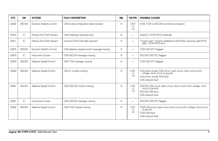| <b>DTC</b> | <b>CM</b>    | <b>SYSTEM</b>             | <b>FAULT DESCRIPTION</b>                   | <b>MIL</b> | <b>CM PIN</b>                   | <b>POSSIBLE CAUSES</b>                                                                                                                                     |
|------------|--------------|---------------------------|--------------------------------------------|------------|---------------------------------|------------------------------------------------------------------------------------------------------------------------------------------------------------|
| U2202      | <b>DSCCM</b> | Dynamic Stability Control | CAN Invalid configuration data received    | N          | LF37<br>$-11$<br>$-15$          | ECM, TCM or ASCCM incorrectly configured                                                                                                                   |
| U2510      | IC.          | Passive Anti-Theft System | CAN challenge response error               | N          | $\overbrace{\phantom{1232211}}$ | Failed IC / ECM PATS challenge                                                                                                                             |
| U2511      | IC           | Passive Anti-Theft System | Incorrect ECM CAN data received            | N          | -                               | "Engine start" remains disabled by ECM after receiving valid PATS<br>data - ECM PATS error                                                                 |
| U2515      | <b>DSCCM</b> | Dynamic Stability Control | CAN Adaptive speed control message missing | N          | $\overline{\phantom{0}}$        | TCM CAN DTC flagged                                                                                                                                        |
| U2515      | IC.          | Instrument Cluster        | CAN ASCCM message missing                  | N          | $\overline{\phantom{0}}$        | ASCCM CAN DTC flagged                                                                                                                                      |
| U2516      | <b>ASCCM</b> | Adaptive Speed Control    | CAN TCM message missing                    | N          | $\overline{\phantom{0}}$        | TCM CAN DTC flagged                                                                                                                                        |
| U2520      | <b>ASCCM</b> | Adaptive Speed Control    | CAN IC module missing                      | N          | LF61<br>-4<br>$-10$             | Instrument cluster CAN circuit: open circuit, short circuit to B+<br>voltage, short circuit to ground<br>Instrument cluster CAN fault<br>CAN network fault |
| U2521      | <b>ASCCM</b> | Adaptive Speed Control    | CAN DSCCM module missing                   | N          | LF61<br>-4<br>$-10$             | DSCCM CAN circuit: open circuit, short circuit to B+ voltage, short<br>circuit to ground<br><b>DSCCM CAN fault</b><br>CAN network fault                    |
| U2521      | IC.          | <b>Instrument Cluster</b> | CAN DSCCM message missing                  | N          | $\overline{\phantom{0}}$        | DSCCM CAN DTC flagged                                                                                                                                      |
| U2522      | <b>ASCCM</b> | Adaptive Speed Control    | CAN TCM module missing                     | N          | <b>LF61</b><br>-4<br>$-10$      | TCM CAN circuit: open circuit, short circuit to B+ voltage, short circuit<br>to ground<br><b>TCM CAN fault</b><br>CAN network fault                        |